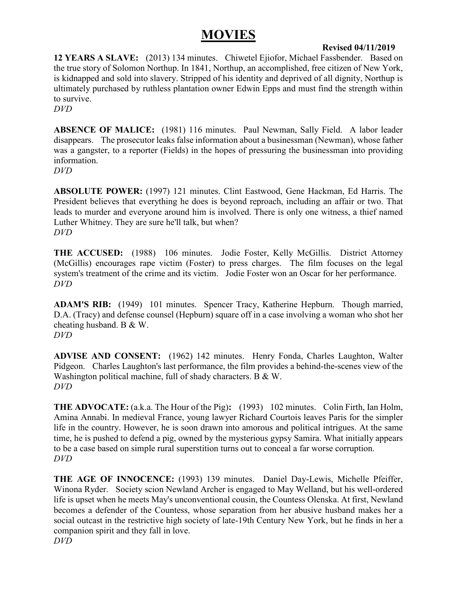## **MOVIES**

### **Revised 04/11/2019**

**12 YEARS A SLAVE:** (2013) 134 minutes. Chiwetel Ejiofor, Michael Fassbender. Based on the true story of Solomon Northup. In 1841, Northup, an accomplished, free citizen of New York, is kidnapped and sold into slavery. Stripped of his identity and deprived of all dignity, Northup is ultimately purchased by ruthless plantation owner Edwin Epps and must find the strength within to survive.

*DVD*

**ABSENCE OF MALICE:** (1981) 116 minutes. Paul Newman, Sally Field. A labor leader disappears. The prosecutor leaks false information about a businessman (Newman), whose father was a gangster, to a reporter (Fields) in the hopes of pressuring the businessman into providing information.

*DVD*

**ABSOLUTE POWER:** (1997) 121 minutes. Clint Eastwood, Gene Hackman, Ed Harris. The President believes that everything he does is beyond reproach, including an affair or two. That leads to murder and everyone around him is involved. There is only one witness, a thief named Luther Whitney. They are sure he'll talk, but when? *DVD*

**THE ACCUSED:** (1988) 106 minutes. Jodie Foster, Kelly McGillis. District Attorney (McGillis) encourages rape victim (Foster) to press charges. The film focuses on the legal system's treatment of the crime and its victim. Jodie Foster won an Oscar for her performance. *DVD*

**ADAM'S RIB:** (1949) 101 minutes. Spencer Tracy, Katherine Hepburn. Though married, D.A. (Tracy) and defense counsel (Hepburn) square off in a case involving a woman who shot her cheating husband. B & W. *DVD*

**ADVISE AND CONSENT:** (1962) 142 minutes. Henry Fonda, Charles Laughton, Walter Pidgeon. Charles Laughton's last performance, the film provides a behind-the-scenes view of the Washington political machine, full of shady characters. B & W. *DVD*

**THE ADVOCATE:** (a.k.a. The Hour of the Pig)**:** (1993) 102 minutes. Colin Firth, Ian Holm, Amina Annabi. In medieval France, young lawyer Richard Courtois leaves Paris for the simpler life in the country. However, he is soon drawn into amorous and political intrigues. At the same time, he is pushed to defend a pig, owned by the mysterious gypsy Samira. What initially appears to be a case based on simple rural superstition turns out to conceal a far worse corruption. *DVD*

**THE AGE OF INNOCENCE:** (1993) 139 minutes. Daniel Day-Lewis, Michelle Pfeiffer, Winona Ryder. Society scion Newland Archer is engaged to May Welland, but his well-ordered life is upset when he meets May's unconventional cousin, the Countess Olenska. At first, Newland becomes a defender of the Countess, whose separation from her abusive husband makes her a social outcast in the restrictive high society of late-19th Century New York, but he finds in her a companion spirit and they fall in love. *DVD*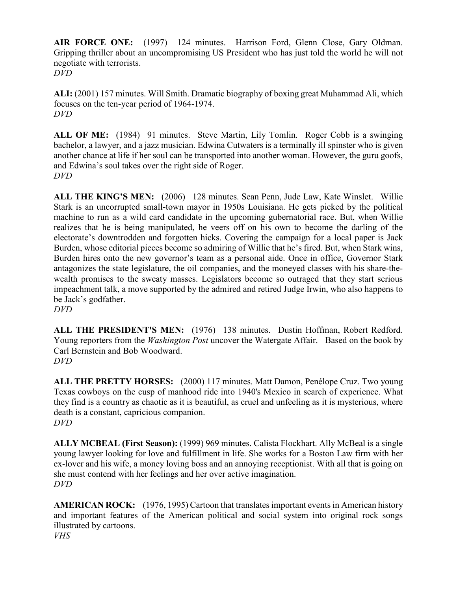**AIR FORCE ONE:** (1997) 124 minutes. Harrison Ford, Glenn Close, Gary Oldman. Gripping thriller about an uncompromising US President who has just told the world he will not negotiate with terrorists. *DVD*

**ALI:** (2001) 157 minutes. Will Smith. Dramatic biography of boxing great Muhammad Ali, which focuses on the ten-year period of 1964-1974. *DVD*

**ALL OF ME:** (1984) 91 minutes. Steve Martin, Lily Tomlin. Roger Cobb is a swinging bachelor, a lawyer, and a jazz musician. Edwina Cutwaters is a terminally ill spinster who is given another chance at life if her soul can be transported into another woman. However, the guru goofs, and Edwina's soul takes over the right side of Roger. *DVD*

**ALL THE KING'S MEN:** (2006) 128 minutes. Sean Penn, Jude Law, Kate Winslet. Willie Stark is an uncorrupted small-town mayor in 1950s Louisiana. He gets picked by the political machine to run as a wild card candidate in the upcoming gubernatorial race. But, when Willie realizes that he is being manipulated, he veers off on his own to become the darling of the electorate's downtrodden and forgotten hicks. Covering the campaign for a local paper is Jack Burden, whose editorial pieces become so admiring of Willie that he's fired. But, when Stark wins, Burden hires onto the new governor's team as a personal aide. Once in office, Governor Stark antagonizes the state legislature, the oil companies, and the moneyed classes with his share-thewealth promises to the sweaty masses. Legislators become so outraged that they start serious impeachment talk, a move supported by the admired and retired Judge Irwin, who also happens to be Jack's godfather. *DVD*

**ALL THE PRESIDENT'S MEN:** (1976) 138 minutes. Dustin Hoffman, Robert Redford. Young reporters from the *Washington Post* uncover the Watergate Affair. Based on the book by Carl Bernstein and Bob Woodward. *DVD*

**ALL THE PRETTY HORSES:** (2000) 117 minutes. Matt Damon, Penélope Cruz. Two young Texas cowboys on the cusp of manhood ride into 1940's Mexico in search of experience. What they find is a country as chaotic as it is beautiful, as cruel and unfeeling as it is mysterious, where death is a constant, capricious companion. *DVD*

**ALLY MCBEAL (First Season):** (1999) 969 minutes. Calista Flockhart. Ally McBeal is a single young lawyer looking for love and fulfillment in life. She works for a Boston Law firm with her ex-lover and his wife, a money loving boss and an annoying receptionist. With all that is going on she must contend with her feelings and her over active imagination. *DVD*

**AMERICAN ROCK:** (1976, 1995) Cartoon that translates important events in American history and important features of the American political and social system into original rock songs illustrated by cartoons. *VHS*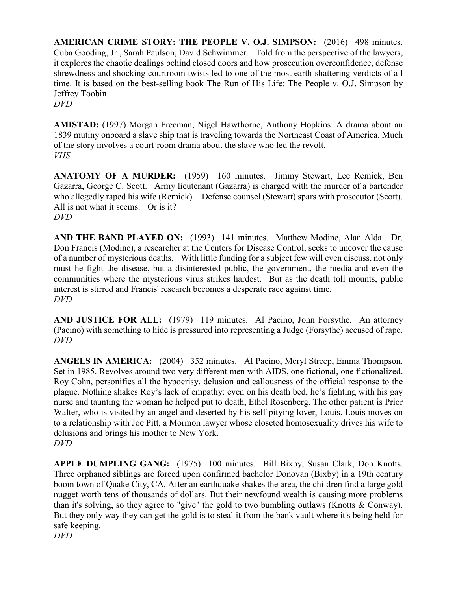**AMERICAN CRIME STORY: THE PEOPLE V. O.J. SIMPSON:** (2016) 498 minutes. Cuba Gooding, Jr., Sarah Paulson, David Schwimmer. Told from the perspective of the lawyers, it explores the chaotic dealings behind closed doors and how prosecution overconfidence, defense shrewdness and shocking courtroom twists led to one of the most earth-shattering verdicts of all time. It is based on the best-selling book The Run of His Life: The People v. O.J. Simpson by Jeffrey Toobin.

*DVD*

**AMISTAD:** (1997) Morgan Freeman, Nigel Hawthorne, Anthony Hopkins. A drama about an 1839 mutiny onboard a slave ship that is traveling towards the Northeast Coast of America. Much of the story involves a court-room drama about the slave who led the revolt. *VHS*

**ANATOMY OF A MURDER:** (1959) 160 minutes. Jimmy Stewart, Lee Remick, Ben Gazarra, George C. Scott. Army lieutenant (Gazarra) is charged with the murder of a bartender who allegedly raped his wife (Remick). Defense counsel (Stewart) spars with prosecutor (Scott). All is not what it seems. Or is it? *DVD*

**AND THE BAND PLAYED ON:** (1993) 141 minutes. Matthew Modine, Alan Alda. Dr. Don Francis (Modine), a researcher at the Centers for Disease Control, seeks to uncover the cause of a number of mysterious deaths. With little funding for a subject few will even discuss, not only must he fight the disease, but a disinterested public, the government, the media and even the communities where the mysterious virus strikes hardest. But as the death toll mounts, public interest is stirred and Francis' research becomes a desperate race against time. *DVD*

**AND JUSTICE FOR ALL:** (1979) 119 minutes. Al Pacino, John Forsythe. An attorney (Pacino) with something to hide is pressured into representing a Judge (Forsythe) accused of rape. *DVD*

**ANGELS IN AMERICA:** (2004) 352 minutes. Al Pacino, Meryl Streep, Emma Thompson. Set in 1985. Revolves around two very different men with AIDS, one fictional, one fictionalized. Roy Cohn, personifies all the hypocrisy, delusion and callousness of the official response to the plague. Nothing shakes Roy's lack of empathy: even on his death bed, he's fighting with his gay nurse and taunting the woman he helped put to death, Ethel Rosenberg. The other patient is Prior Walter, who is visited by an angel and deserted by his self-pitying lover, Louis. Louis moves on to a relationship with Joe Pitt, a Mormon lawyer whose closeted homosexuality drives his wife to delusions and brings his mother to New York. *DVD*

**APPLE DUMPLING GANG:** (1975) 100 minutes. Bill Bixby, Susan Clark, Don Knotts. Three orphaned siblings are forced upon confirmed bachelor Donovan (Bixby) in a 19th century boom town of Quake City, CA. After an earthquake shakes the area, the children find a large gold nugget worth tens of thousands of dollars. But their newfound wealth is causing more problems than it's solving, so they agree to "give" the gold to two bumbling outlaws (Knotts & Conway). But they only way they can get the gold is to steal it from the bank vault where it's being held for safe keeping. *DVD*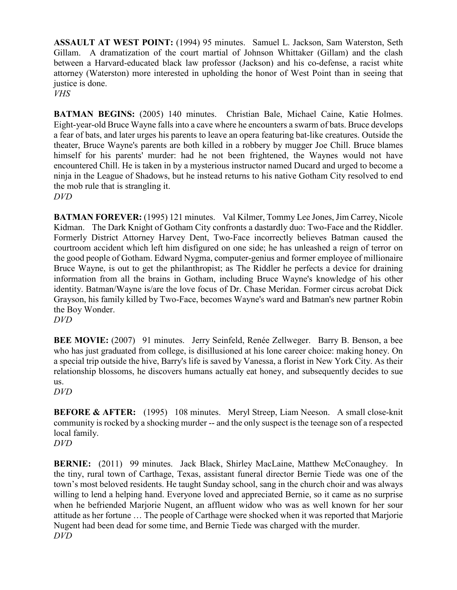**ASSAULT AT WEST POINT:** (1994) 95 minutes. Samuel L. Jackson, Sam Waterston, Seth Gillam. A dramatization of the court martial of Johnson Whittaker (Gillam) and the clash between a Harvard-educated black law professor (Jackson) and his co-defense, a racist white attorney (Waterston) more interested in upholding the honor of West Point than in seeing that justice is done.

*VHS*

**BATMAN BEGINS:** (2005) 140 minutes. Christian Bale, Michael Caine, Katie Holmes. Eight-year-old Bruce Wayne falls into a cave where he encounters a swarm of bats. Bruce develops a fear of bats, and later urges his parents to leave an opera featuring bat-like creatures. Outside the theater, Bruce Wayne's parents are both killed in a robbery by mugger Joe Chill. Bruce blames himself for his parents' murder: had he not been frightened, the Waynes would not have encountered Chill. He is taken in by a mysterious instructor named Ducard and urged to become a ninja in the League of Shadows, but he instead returns to his native Gotham City resolved to end the mob rule that is strangling it. *DVD*

**BATMAN FOREVER:** (1995) 121 minutes. Val Kilmer, Tommy Lee Jones, Jim Carrey, Nicole Kidman. The Dark Knight of Gotham City confronts a dastardly duo: Two-Face and the Riddler. Formerly District Attorney Harvey Dent, Two-Face incorrectly believes Batman caused the courtroom accident which left him disfigured on one side; he has unleashed a reign of terror on the good people of Gotham. Edward Nygma, computer-genius and former employee of millionaire Bruce Wayne, is out to get the philanthropist; as The Riddler he perfects a device for draining information from all the brains in Gotham, including Bruce Wayne's knowledge of his other identity. Batman/Wayne is/are the love focus of Dr. Chase Meridan. Former circus acrobat Dick Grayson, his family killed by Two-Face, becomes Wayne's ward and Batman's new partner Robin the Boy Wonder. *DVD*

**BEE MOVIE:** (2007) 91 minutes. Jerry Seinfeld, Renée Zellweger. Barry B. Benson, a bee who has just graduated from college, is disillusioned at his lone career choice: making honey. On a special trip outside the hive, Barry's life is saved by Vanessa, a florist in New York City. As their relationship blossoms, he discovers humans actually eat honey, and subsequently decides to sue

us. *DVD*

**BEFORE & AFTER:** (1995) 108 minutes. Meryl Streep, Liam Neeson. A small close-knit community is rocked by a shocking murder -- and the only suspect is the teenage son of a respected local family. *DVD*

**BERNIE:** (2011) 99 minutes. Jack Black, Shirley MacLaine, Matthew McConaughey. In the tiny, rural town of Carthage, Texas, assistant funeral director Bernie Tiede was one of the town's most beloved residents. He taught Sunday school, sang in the church choir and was always willing to lend a helping hand. Everyone loved and appreciated Bernie, so it came as no surprise when he befriended Marjorie Nugent, an affluent widow who was as well known for her sour attitude as her fortune … The people of Carthage were shocked when it was reported that Marjorie Nugent had been dead for some time, and Bernie Tiede was charged with the murder. *DVD*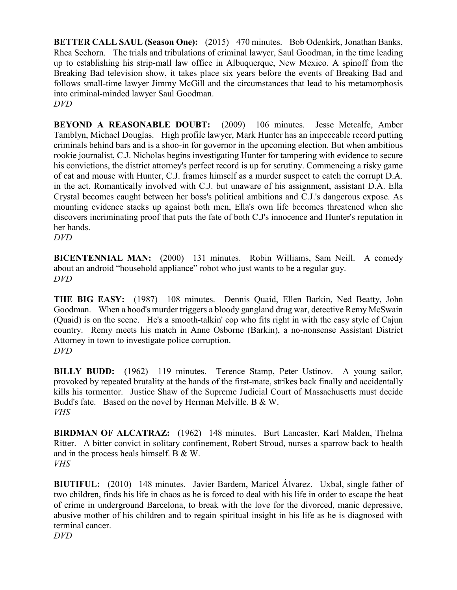**BETTER CALL SAUL (Season One):** (2015) 470 minutes. Bob Odenkirk, Jonathan Banks, Rhea Seehorn. The trials and tribulations of criminal lawyer, Saul Goodman, in the time leading up to establishing his strip-mall law office in Albuquerque, New Mexico. A spinoff from the Breaking Bad television show, it takes place six years before the events of Breaking Bad and follows small-time lawyer Jimmy McGill and the circumstances that lead to his metamorphosis into criminal-minded lawyer Saul Goodman. *DVD*

**BEYOND A REASONABLE DOUBT:** (2009) 106 minutes. Jesse Metcalfe, Amber Tamblyn, Michael Douglas. High profile lawyer, Mark Hunter has an impeccable record putting criminals behind bars and is a shoo-in for governor in the upcoming election. But when ambitious rookie journalist, C.J. Nicholas begins investigating Hunter for tampering with evidence to secure his convictions, the district attorney's perfect record is up for scrutiny. Commencing a risky game of cat and mouse with Hunter, C.J. frames himself as a murder suspect to catch the corrupt D.A. in the act. Romantically involved with C.J. but unaware of his assignment, assistant D.A. Ella Crystal becomes caught between her boss's political ambitions and C.J.'s dangerous expose. As mounting evidence stacks up against both men, Ella's own life becomes threatened when she discovers incriminating proof that puts the fate of both C.J's innocence and Hunter's reputation in her hands.

*DVD*

**BICENTENNIAL MAN:** (2000) 131 minutes. Robin Williams, Sam Neill. A comedy about an android "household appliance" robot who just wants to be a regular guy. *DVD*

**THE BIG EASY:** (1987) 108 minutes. Dennis Quaid, Ellen Barkin, Ned Beatty, John Goodman. When a hood's murder triggers a bloody gangland drug war, detective Remy McSwain (Quaid) is on the scene. He's a smooth-talkin' cop who fits right in with the easy style of Cajun country. Remy meets his match in Anne Osborne (Barkin), a no-nonsense Assistant District Attorney in town to investigate police corruption. *DVD*

**BILLY BUDD:** (1962) 119 minutes. Terence Stamp, Peter Ustinov. A young sailor, provoked by repeated brutality at the hands of the first-mate, strikes back finally and accidentally kills his tormentor. Justice Shaw of the Supreme Judicial Court of Massachusetts must decide Budd's fate. Based on the novel by Herman Melville. B & W. *VHS*

**BIRDMAN OF ALCATRAZ:** (1962) 148 minutes. Burt Lancaster, Karl Malden, Thelma Ritter. A bitter convict in solitary confinement, Robert Stroud, nurses a sparrow back to health and in the process heals himself. B & W. *VHS*

**BIUTIFUL:** (2010) 148 minutes. Javier Bardem, Maricel Álvarez. Uxbal, single father of two children, finds his life in chaos as he is forced to deal with his life in order to escape the heat of crime in underground Barcelona, to break with the love for the divorced, manic depressive, abusive mother of his children and to regain spiritual insight in his life as he is diagnosed with terminal cancer. *DVD*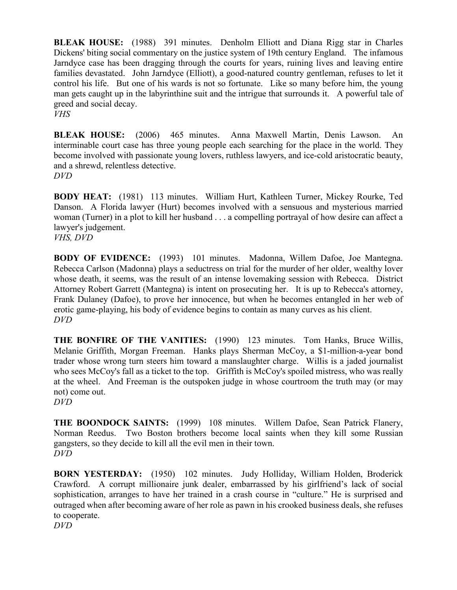**BLEAK HOUSE:** (1988) 391 minutes. Denholm Elliott and Diana Rigg star in Charles Dickens' biting social commentary on the justice system of 19th century England. The infamous Jarndyce case has been dragging through the courts for years, ruining lives and leaving entire families devastated. John Jarndyce (Elliott), a good-natured country gentleman, refuses to let it control his life. But one of his wards is not so fortunate. Like so many before him, the young man gets caught up in the labyrinthine suit and the intrigue that surrounds it. A powerful tale of greed and social decay.

*VHS*

**BLEAK HOUSE:** (2006) 465 minutes. Anna Maxwell Martin, Denis Lawson. An interminable court case has three young people each searching for the place in the world. They become involved with passionate young lovers, ruthless lawyers, and ice-cold aristocratic beauty, and a shrewd, relentless detective.

*DVD*

**BODY HEAT:** (1981) 113 minutes. William Hurt, Kathleen Turner, Mickey Rourke, Ted Danson. A Florida lawyer (Hurt) becomes involved with a sensuous and mysterious married woman (Turner) in a plot to kill her husband . . . a compelling portrayal of how desire can affect a lawyer's judgement.

*VHS, DVD*

**BODY OF EVIDENCE:** (1993) 101 minutes. Madonna, Willem Dafoe, Joe Mantegna. Rebecca Carlson (Madonna) plays a seductress on trial for the murder of her older, wealthy lover whose death, it seems, was the result of an intense lovemaking session with Rebecca. District Attorney Robert Garrett (Mantegna) is intent on prosecuting her. It is up to Rebecca's attorney, Frank Dulaney (Dafoe), to prove her innocence, but when he becomes entangled in her web of erotic game-playing, his body of evidence begins to contain as many curves as his client. *DVD*

**THE BONFIRE OF THE VANITIES:** (1990) 123 minutes. Tom Hanks, Bruce Willis, Melanie Griffith, Morgan Freeman. Hanks plays Sherman McCoy, a \$1-million-a-year bond trader whose wrong turn steers him toward a manslaughter charge. Willis is a jaded journalist who sees McCoy's fall as a ticket to the top. Griffith is McCoy's spoiled mistress, who was really at the wheel. And Freeman is the outspoken judge in whose courtroom the truth may (or may not) come out.

*DVD*

**THE BOONDOCK SAINTS:** (1999) 108 minutes. Willem Dafoe, Sean Patrick Flanery, Norman Reedus. Two Boston brothers become local saints when they kill some Russian gangsters, so they decide to kill all the evil men in their town. *DVD*

**BORN YESTERDAY:** (1950) 102 minutes. Judy Holliday, William Holden, Broderick Crawford. A corrupt millionaire junk dealer, embarrassed by his girlfriend's lack of social sophistication, arranges to have her trained in a crash course in "culture." He is surprised and outraged when after becoming aware of her role as pawn in his crooked business deals, she refuses to cooperate.

*DVD*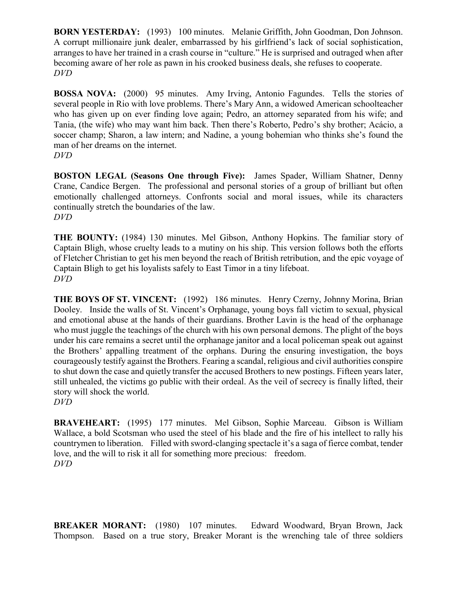**BORN YESTERDAY:** (1993) 100 minutes. Melanie Griffith, John Goodman, Don Johnson. A corrupt millionaire junk dealer, embarrassed by his girlfriend's lack of social sophistication, arranges to have her trained in a crash course in "culture." He is surprised and outraged when after becoming aware of her role as pawn in his crooked business deals, she refuses to cooperate. *DVD*

**BOSSA NOVA:** (2000) 95 minutes. Amy Irving, Antonio Fagundes. Tells the stories of several people in Rio with love problems. There's Mary Ann, a widowed American schoolteacher who has given up on ever finding love again; Pedro, an attorney separated from his wife; and Tania, (the wife) who may want him back. Then there's Roberto, Pedro's shy brother; Acácio, a soccer champ; Sharon, a law intern; and Nadine, a young bohemian who thinks she's found the man of her dreams on the internet. *DVD*

**BOSTON LEGAL (Seasons One through Five):** James Spader, William Shatner, Denny Crane, Candice Bergen. The professional and personal stories of a group of brilliant but often emotionally challenged attorneys. Confronts social and moral issues, while its characters continually stretch the boundaries of the law. *DVD*

**THE BOUNTY:** (1984) 130 minutes. Mel Gibson, Anthony Hopkins. The familiar story of Captain Bligh, whose cruelty leads to a mutiny on his ship. This version follows both the efforts of Fletcher Christian to get his men beyond the reach of British retribution, and the epic voyage of Captain Bligh to get his loyalists safely to East Timor in a tiny lifeboat. *DVD*

**THE BOYS OF ST. VINCENT:** (1992) 186 minutes. Henry Czerny, Johnny Morina, Brian Dooley. Inside the walls of St. Vincent's Orphanage, young boys fall victim to sexual, physical and emotional abuse at the hands of their guardians. Brother Lavin is the head of the orphanage who must juggle the teachings of the church with his own personal demons. The plight of the boys under his care remains a secret until the orphanage janitor and a local policeman speak out against the Brothers' appalling treatment of the orphans. During the ensuring investigation, the boys courageously testify against the Brothers. Fearing a scandal, religious and civil authorities conspire to shut down the case and quietly transfer the accused Brothers to new postings. Fifteen years later, still unhealed, the victims go public with their ordeal. As the veil of secrecy is finally lifted, their story will shock the world. *DVD*

**BRAVEHEART:** (1995) 177 minutes. Mel Gibson, Sophie Marceau. Gibson is William Wallace, a bold Scotsman who used the steel of his blade and the fire of his intellect to rally his countrymen to liberation. Filled with sword-clanging spectacle it's a saga of fierce combat, tender love, and the will to risk it all for something more precious: freedom. *DVD*

**BREAKER MORANT:** (1980) 107 minutes. Edward Woodward, Bryan Brown, Jack Thompson. Based on a true story, Breaker Morant is the wrenching tale of three soldiers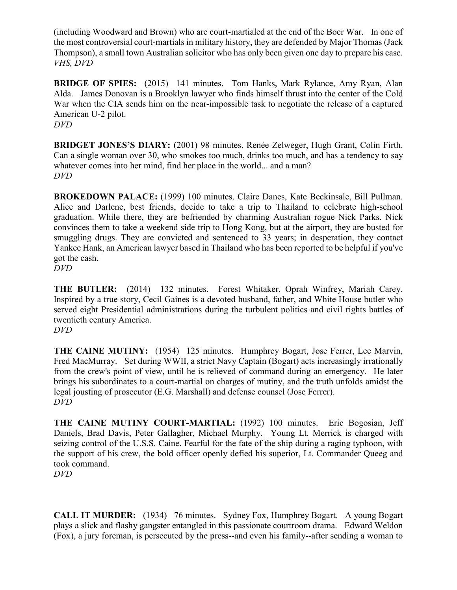(including Woodward and Brown) who are court-martialed at the end of the Boer War. In one of the most controversial court-martials in military history, they are defended by Major Thomas (Jack Thompson), a small town Australian solicitor who has only been given one day to prepare his case. *VHS, DVD*

**BRIDGE OF SPIES:** (2015) 141 minutes. Tom Hanks, Mark Rylance, Amy Ryan, Alan Alda. James Donovan is a Brooklyn lawyer who finds himself thrust into the center of the Cold War when the CIA sends him on the near-impossible task to negotiate the release of a captured American U-2 pilot. *DVD*

**BRIDGET JONES'S DIARY:** (2001) 98 minutes. Renée Zelweger, Hugh Grant, Colin Firth. Can a single woman over 30, who smokes too much, drinks too much, and has a tendency to say whatever comes into her mind, find her place in the world... and a man? *DVD*

**BROKEDOWN PALACE:** (1999) 100 minutes. Claire Danes, Kate Beckinsale, Bill Pullman. Alice and Darlene, best friends, decide to take a trip to Thailand to celebrate high-school graduation. While there, they are befriended by charming Australian rogue Nick Parks. Nick convinces them to take a weekend side trip to Hong Kong, but at the airport, they are busted for smuggling drugs. They are convicted and sentenced to 33 years; in desperation, they contact Yankee Hank, an American lawyer based in Thailand who has been reported to be helpful if you've got the cash.

*DVD*

**THE BUTLER:** (2014) 132 minutes. Forest Whitaker, Oprah Winfrey, Mariah Carey. Inspired by a true story, Cecil Gaines is a devoted husband, father, and White House butler who served eight Presidential administrations during the turbulent politics and civil rights battles of twentieth century America. *DVD*

**THE CAINE MUTINY:** (1954) 125 minutes. Humphrey Bogart, Jose Ferrer, Lee Marvin, Fred MacMurray. Set during WWII, a strict Navy Captain (Bogart) acts increasingly irrationally from the crew's point of view, until he is relieved of command during an emergency. He later brings his subordinates to a court-martial on charges of mutiny, and the truth unfolds amidst the legal jousting of prosecutor (E.G. Marshall) and defense counsel (Jose Ferrer). *DVD*

**THE CAINE MUTINY COURT-MARTIAL:** (1992) 100 minutes. Eric Bogosian, Jeff Daniels, Brad Davis, Peter Gallagher, Michael Murphy. Young Lt. Merrick is charged with seizing control of the U.S.S. Caine. Fearful for the fate of the ship during a raging typhoon, with the support of his crew, the bold officer openly defied his superior, Lt. Commander Queeg and took command.

*DVD*

**CALL IT MURDER:** (1934) 76 minutes. Sydney Fox, Humphrey Bogart. A young Bogart plays a slick and flashy gangster entangled in this passionate courtroom drama. Edward Weldon (Fox), a jury foreman, is persecuted by the press--and even his family--after sending a woman to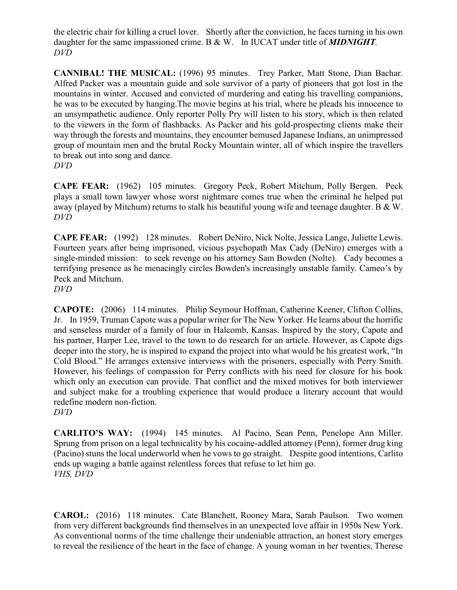the electric chair for killing a cruel lover. Shortly after the conviction, he faces turning in his own daughter for the same impassioned crime. B & W. In IUCAT under title of *MIDNIGHT. DVD*

**CANNIBAL! THE MUSICAL:** (1996) 95 minutes. Trey Parker, Matt Stone, Dian Bachar. Alfred Packer was a mountain guide and sole survivor of a party of pioneers that got lost in the mountains in winter. Accused and convicted of murdering and eating his travelling companions, he was to be executed by hanging.The movie begins at his trial, where he pleads his innocence to an unsympathetic audience. Only reporter Polly Pry will listen to his story, which is then related to the viewers in the form of flashbacks. As Packer and his gold-prospecting clients make their way through the forests and mountains, they encounter bemused Japanese Indians, an unimpressed group of mountain men and the brutal Rocky Mountain winter, all of which inspire the travellers to break out into song and dance. *DVD*

**CAPE FEAR:** (1962) 105 minutes. Gregory Peck, Robert Mitchum, Polly Bergen. Peck plays a small town lawyer whose worst nightmare comes true when the criminal he helped put away (played by Mitchum) returns to stalk his beautiful young wife and teenage daughter. B & W. *DVD*

**CAPE FEAR:** (1992) 128 minutes. Robert DeNiro, Nick Nolte, Jessica Lange, Juliette Lewis. Fourteen years after being imprisoned, vicious psychopath Max Cady (DeNiro) emerges with a single-minded mission: to seek revenge on his attorney Sam Bowden (Nolte). Cady becomes a terrifying presence as he menacingly circles Bowden's increasingly unstable family. Cameo's by Peck and Mitchum. *DVD*

**CAPOTE:** (2006) 114 minutes. Philip Seymour Hoffman, Catherine Keener, Clifton Collins, Jr. In 1959, Truman Capote was a popular writer for The New Yorker. He learns about the horrific and senseless murder of a family of four in Halcomb, Kansas. Inspired by the story, Capote and his partner, Harper Lee, travel to the town to do research for an article. However, as Capote digs deeper into the story, he is inspired to expand the project into what would be his greatest work, "In Cold Blood." He arranges extensive interviews with the prisoners, especially with Perry Smith. However, his feelings of compassion for Perry conflicts with his need for closure for his book which only an execution can provide. That conflict and the mixed motives for both interviewer and subject make for a troubling experience that would produce a literary account that would redefine modern non-fiction. *DVD*

**CARLITO'S WAY:** (1994) 145 minutes. Al Pacino, Sean Penn, Penelope Ann Miller. Sprung from prison on a legal technicality by his cocaine-addled attorney (Penn), former drug king (Pacino) stuns the local underworld when he vows to go straight. Despite good intentions, Carlito ends up waging a battle against relentless forces that refuse to let him go. *VHS, DVD*

**CAROL:** (2016) 118 minutes. Cate Blanchett, Rooney Mara, Sarah Paulson. Two women from very different backgrounds find themselves in an unexpected love affair in 1950s New York. As conventional norms of the time challenge their undeniable attraction, an honest story emerges to reveal the resilience of the heart in the face of change. A young woman in her twenties, Therese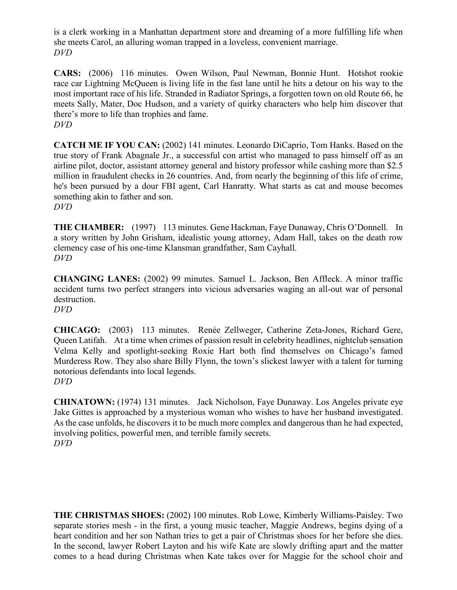is a clerk working in a Manhattan department store and dreaming of a more fulfilling life when she meets Carol, an alluring woman trapped in a loveless, convenient marriage. *DVD*

**CARS:** (2006) 116 minutes. Owen Wilson, Paul Newman, Bonnie Hunt. Hotshot rookie race car Lightning McQueen is living life in the fast lane until he hits a detour on his way to the most important race of his life. Stranded in Radiator Springs, a forgotten town on old Route 66, he meets Sally, Mater, Doc Hudson, and a variety of quirky characters who help him discover that there's more to life than trophies and fame. *DVD*

**CATCH ME IF YOU CAN:** (2002) 141 minutes. Leonardo DiCaprio, Tom Hanks. Based on the true story of Frank Abagnale Jr., a successful con artist who managed to pass himself off as an airline pilot, doctor, assistant attorney general and history professor while cashing more than \$2.5 million in fraudulent checks in 26 countries. And, from nearly the beginning of this life of crime, he's been pursued by a dour FBI agent, Carl Hanratty. What starts as cat and mouse becomes something akin to father and son. *DVD*

**THE CHAMBER:** (1997) 113 minutes. Gene Hackman, Faye Dunaway, Chris O'Donnell. In a story written by John Grisham, idealistic young attorney, Adam Hall, takes on the death row clemency case of his one-time Klansman grandfather, Sam Cayhall. *DVD*

**CHANGING LANES:** (2002) 99 minutes. Samuel L. Jackson, Ben Affleck. A minor traffic accident turns two perfect strangers into vicious adversaries waging an all-out war of personal destruction. *DVD*

**CHICAGO:** (2003) 113 minutes. Renée Zellweger, Catherine Zeta-Jones, Richard Gere, Queen Latifah. At a time when crimes of passion result in celebrity headlines, nightclub sensation Velma Kelly and spotlight-seeking Roxie Hart both find themselves on Chicago's famed Murderess Row. They also share Billy Flynn, the town's slickest lawyer with a talent for turning notorious defendants into local legends. *DVD*

**CHINATOWN:** (1974) 131 minutes. Jack Nicholson, Faye Dunaway. Los Angeles private eye Jake Gittes is approached by a mysterious woman who wishes to have her husband investigated. As the case unfolds, he discovers it to be much more complex and dangerous than he had expected, involving politics, powerful men, and terrible family secrets. *DVD*

**THE CHRISTMAS SHOES:** (2002) 100 minutes. Rob Lowe, Kimberly Williams-Paisley. Two separate stories mesh - in the first, a young music teacher, Maggie Andrews, begins dying of a heart condition and her son Nathan tries to get a pair of Christmas shoes for her before she dies. In the second, lawyer Robert Layton and his wife Kate are slowly drifting apart and the matter comes to a head during Christmas when Kate takes over for Maggie for the school choir and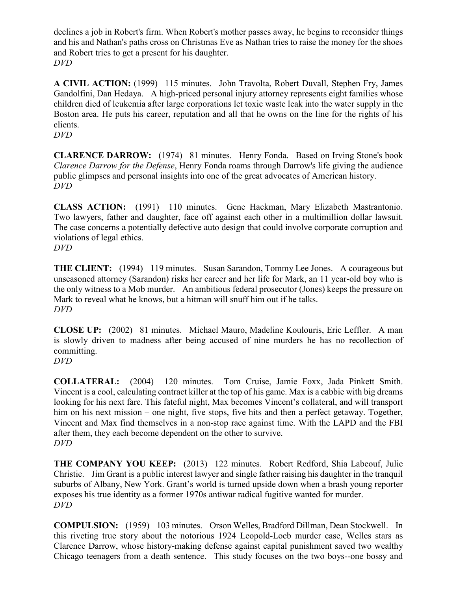declines a job in Robert's firm. When Robert's mother passes away, he begins to reconsider things and his and Nathan's paths cross on Christmas Eve as Nathan tries to raise the money for the shoes and Robert tries to get a present for his daughter. *DVD*

**A CIVIL ACTION:** (1999) 115 minutes. John Travolta, Robert Duvall, Stephen Fry, James Gandolfini, Dan Hedaya. A high-priced personal injury attorney represents eight families whose children died of leukemia after large corporations let toxic waste leak into the water supply in the Boston area. He puts his career, reputation and all that he owns on the line for the rights of his clients.

*DVD*

**CLARENCE DARROW:** (1974) 81 minutes. Henry Fonda. Based on Irving Stone's book *Clarence Darrow for the Defense*, Henry Fonda roams through Darrow's life giving the audience public glimpses and personal insights into one of the great advocates of American history. *DVD*

**CLASS ACTION:** (1991) 110 minutes. Gene Hackman, Mary Elizabeth Mastrantonio. Two lawyers, father and daughter, face off against each other in a multimillion dollar lawsuit. The case concerns a potentially defective auto design that could involve corporate corruption and violations of legal ethics. *DVD*

**THE CLIENT:** (1994) 119 minutes. Susan Sarandon, Tommy Lee Jones. A courageous but unseasoned attorney (Sarandon) risks her career and her life for Mark, an 11 year-old boy who is the only witness to a Mob murder. An ambitious federal prosecutor (Jones) keeps the pressure on Mark to reveal what he knows, but a hitman will snuff him out if he talks. *DVD*

**CLOSE UP:** (2002) 81 minutes. Michael Mauro, Madeline Koulouris, Eric Leffler. A man is slowly driven to madness after being accused of nine murders he has no recollection of committing.

*DVD*

**COLLATERAL:** (2004) 120 minutes. Tom Cruise, Jamie Foxx, Jada Pinkett Smith. Vincent is a cool, calculating contract killer at the top of his game. Max is a cabbie with big dreams looking for his next fare. This fateful night, Max becomes Vincent's collateral, and will transport him on his next mission – one night, five stops, five hits and then a perfect getaway. Together, Vincent and Max find themselves in a non-stop race against time. With the LAPD and the FBI after them, they each become dependent on the other to survive. *DVD*

**THE COMPANY YOU KEEP:** (2013) 122 minutes. Robert Redford, Shia Labeouf, Julie Christie. Jim Grant is a public interest lawyer and single father raising his daughter in the tranquil suburbs of Albany, New York. Grant's world is turned upside down when a brash young reporter exposes his true identity as a former 1970s antiwar radical fugitive wanted for murder. *DVD*

**COMPULSION:** (1959) 103 minutes. Orson Welles, Bradford Dillman, Dean Stockwell. In this riveting true story about the notorious 1924 Leopold-Loeb murder case, Welles stars as Clarence Darrow, whose history-making defense against capital punishment saved two wealthy Chicago teenagers from a death sentence. This study focuses on the two boys--one bossy and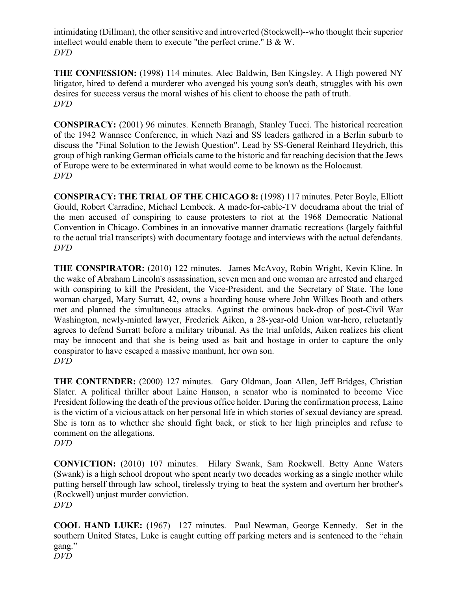intimidating (Dillman), the other sensitive and introverted (Stockwell)--who thought their superior intellect would enable them to execute "the perfect crime." B & W. *DVD*

**THE CONFESSION:** (1998) 114 minutes. Alec Baldwin, Ben Kingsley. A High powered NY litigator, hired to defend a murderer who avenged his young son's death, struggles with his own desires for success versus the moral wishes of his client to choose the path of truth. *DVD*

**CONSPIRACY:** (2001) 96 minutes. Kenneth Branagh, Stanley Tucci. The historical recreation of the 1942 Wannsee Conference, in which Nazi and SS leaders gathered in a Berlin suburb to discuss the "Final Solution to the Jewish Question". Lead by SS-General Reinhard Heydrich, this group of high ranking German officials came to the historic and far reaching decision that the Jews of Europe were to be exterminated in what would come to be known as the Holocaust. *DVD*

**CONSPIRACY: THE TRIAL OF THE CHICAGO 8:** (1998) 117 minutes. Peter Boyle, Elliott Gould, Robert Carradine, Michael Lembeck. A made-for-cable-TV docudrama about the trial of the men accused of conspiring to cause protesters to riot at the 1968 Democratic National Convention in Chicago. Combines in an innovative manner dramatic recreations (largely faithful to the actual trial transcripts) with documentary footage and interviews with the actual defendants. *DVD*

**THE CONSPIRATOR:** (2010) 122 minutes. James McAvoy, Robin Wright, Kevin Kline. In the wake of Abraham Lincoln's assassination, seven men and one woman are arrested and charged with conspiring to kill the President, the Vice-President, and the Secretary of State. The lone woman charged, Mary Surratt, 42, owns a boarding house where John Wilkes Booth and others met and planned the simultaneous attacks. Against the ominous back-drop of post-Civil War Washington, newly-minted lawyer, Frederick Aiken, a 28-year-old Union war-hero, reluctantly agrees to defend Surratt before a military tribunal. As the trial unfolds, Aiken realizes his client may be innocent and that she is being used as bait and hostage in order to capture the only conspirator to have escaped a massive manhunt, her own son. *DVD*

**THE CONTENDER:** (2000) 127 minutes. Gary Oldman, Joan Allen, Jeff Bridges, Christian Slater. A political thriller about Laine Hanson, a senator who is nominated to become Vice President following the death of the previous office holder. During the confirmation process, Laine is the victim of a vicious attack on her personal life in which stories of sexual deviancy are spread. She is torn as to whether she should fight back, or stick to her high principles and refuse to comment on the allegations. *DVD*

**CONVICTION:** (2010) 107 minutes. Hilary Swank, Sam Rockwell. Betty Anne Waters (Swank) is a high school dropout who spent nearly two decades working as a single mother while putting herself through law school, tirelessly trying to beat the system and overturn her brother's (Rockwell) unjust murder conviction. *DVD*

**COOL HAND LUKE:** (1967) 127 minutes. Paul Newman, George Kennedy. Set in the southern United States, Luke is caught cutting off parking meters and is sentenced to the "chain gang." *DVD*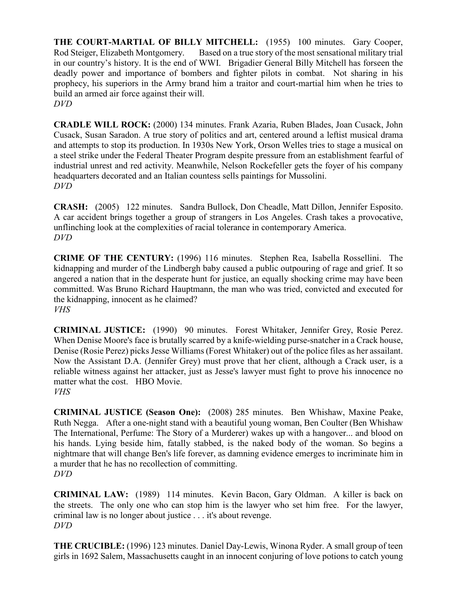**THE COURT-MARTIAL OF BILLY MITCHELL:** (1955) 100 minutes. Gary Cooper, Rod Steiger, Elizabeth Montgomery. Based on a true story of the most sensational military trial in our country's history. It is the end of WWI. Brigadier General Billy Mitchell has forseen the deadly power and importance of bombers and fighter pilots in combat. Not sharing in his prophecy, his superiors in the Army brand him a traitor and court-martial him when he tries to build an armed air force against their will. *DVD*

**CRADLE WILL ROCK:** (2000) 134 minutes. Frank Azaria, Ruben Blades, Joan Cusack, John Cusack, Susan Saradon. A true story of politics and art, centered around a leftist musical drama and attempts to stop its production. In 1930s New York, Orson Welles tries to stage a musical on a steel strike under the Federal Theater Program despite pressure from an establishment fearful of industrial unrest and red activity. Meanwhile, Nelson Rockefeller gets the foyer of his company headquarters decorated and an Italian countess sells paintings for Mussolini. *DVD*

**CRASH:** (2005) 122 minutes. Sandra Bullock, Don Cheadle, Matt Dillon, Jennifer Esposito. A car accident brings together a group of strangers in Los Angeles. Crash takes a provocative, unflinching look at the complexities of racial tolerance in contemporary America. *DVD*

**CRIME OF THE CENTURY:** (1996) 116 minutes. Stephen Rea, Isabella Rossellini. The kidnapping and murder of the Lindbergh baby caused a public outpouring of rage and grief. It so angered a nation that in the desperate hunt for justice, an equally shocking crime may have been committed. Was Bruno Richard Hauptmann, the man who was tried, convicted and executed for the kidnapping, innocent as he claimed? *VHS*

**CRIMINAL JUSTICE:** (1990) 90 minutes. Forest Whitaker, Jennifer Grey, Rosie Perez. When Denise Moore's face is brutally scarred by a knife-wielding purse-snatcher in a Crack house, Denise (Rosie Perez) picks Jesse Williams (Forest Whitaker) out of the police files as her assailant. Now the Assistant D.A. (Jennifer Grey) must prove that her client, although a Crack user, is a reliable witness against her attacker, just as Jesse's lawyer must fight to prove his innocence no matter what the cost. HBO Movie. *VHS*

**CRIMINAL JUSTICE (Season One):** (2008) 285 minutes. Ben Whishaw, Maxine Peake, Ruth Negga. After a one-night stand with a beautiful young woman, Ben Coulter (Ben Whishaw The International, Perfume: The Story of a Murderer) wakes up with a hangover... and blood on his hands. Lying beside him, fatally stabbed, is the naked body of the woman. So begins a nightmare that will change Ben's life forever, as damning evidence emerges to incriminate him in a murder that he has no recollection of committing. *DVD*

**CRIMINAL LAW:** (1989) 114 minutes. Kevin Bacon, Gary Oldman. A killer is back on the streets. The only one who can stop him is the lawyer who set him free. For the lawyer, criminal law is no longer about justice . . . it's about revenge. *DVD*

**THE CRUCIBLE:** (1996) 123 minutes. Daniel Day-Lewis, Winona Ryder. A small group of teen girls in 1692 Salem, Massachusetts caught in an innocent conjuring of love potions to catch young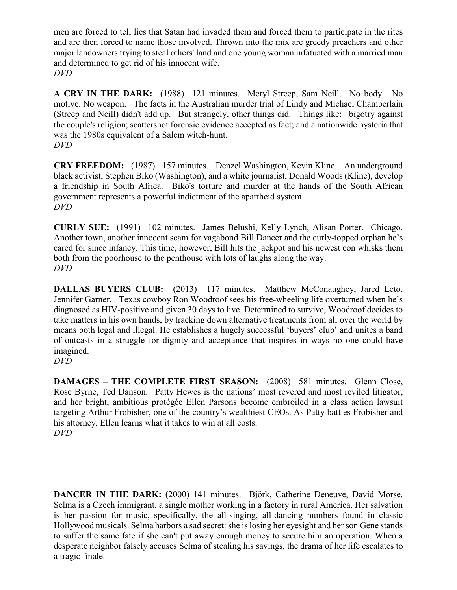men are forced to tell lies that Satan had invaded them and forced them to participate in the rites and are then forced to name those involved. Thrown into the mix are greedy preachers and other major landowners trying to steal others' land and one young woman infatuated with a married man and determined to get rid of his innocent wife. *DVD*

**A CRY IN THE DARK:** (1988) 121 minutes. Meryl Streep, Sam Neill. No body. No motive. No weapon. The facts in the Australian murder trial of Lindy and Michael Chamberlain (Streep and Neill) didn't add up. But strangely, other things did. Things like: bigotry against the couple's religion; scattershot forensic evidence accepted as fact; and a nationwide hysteria that was the 1980s equivalent of a Salem witch-hunt. *DVD*

**CRY FREEDOM:** (1987) 157 minutes. Denzel Washington, Kevin Kline. An underground black activist, Stephen Biko (Washington), and a white journalist, Donald Woods (Kline), develop a friendship in South Africa. Biko's torture and murder at the hands of the South African government represents a powerful indictment of the apartheid system. *DVD*

**CURLY SUE:** (1991) 102 minutes. James Belushi, Kelly Lynch, Alisan Porter. Chicago. Another town, another innocent scam for vagabond Bill Dancer and the curly-topped orphan he's cared for since infancy. This time, however, Bill hits the jackpot and his newest con whisks them both from the poorhouse to the penthouse with lots of laughs along the way. *DVD*

**DALLAS BUYERS CLUB:** (2013) 117 minutes. Matthew McConaughey, Jared Leto, Jennifer Garner. Texas cowboy Ron Woodroof sees his free-wheeling life overturned when he's diagnosed as HIV-positive and given 30 days to live. Determined to survive, Woodroof decides to take matters in his own hands, by tracking down alternative treatments from all over the world by means both legal and illegal. He establishes a hugely successful 'buyers' club' and unites a band of outcasts in a struggle for dignity and acceptance that inspires in ways no one could have imagined.

*DVD*

**DAMAGES – THE COMPLETE FIRST SEASON:** (2008) 581 minutes. Glenn Close, Rose Byrne, Ted Danson. Patty Hewes is the nations' most revered and most reviled litigator, and her bright, ambitious protégée Ellen Parsons become embroiled in a class action lawsuit targeting Arthur Frobisher, one of the country's wealthiest CEOs. As Patty battles Frobisher and his attorney, Ellen learns what it takes to win at all costs. *DVD*

**DANCER IN THE DARK:** (2000) 141 minutes. Björk, Catherine Deneuve, David Morse. Selma is a Czech immigrant, a single mother working in a factory in rural America. Her salvation is her passion for music, specifically, the all-singing, all-dancing numbers found in classic Hollywood musicals. Selma harbors a sad secret: she is losing her eyesight and her son Gene stands to suffer the same fate if she can't put away enough money to secure him an operation. When a desperate neighbor falsely accuses Selma of stealing his savings, the drama of her life escalates to a tragic finale.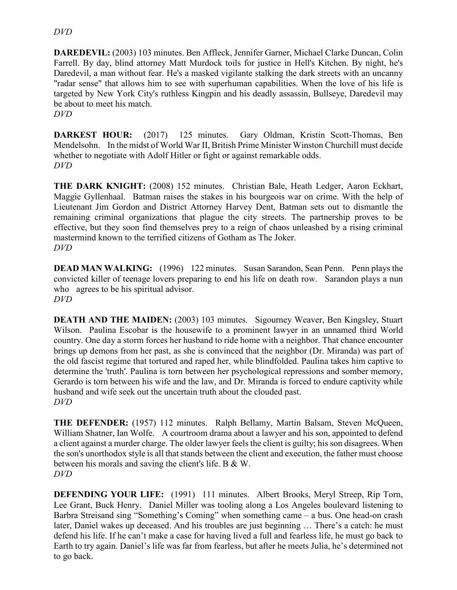#### *DVD*

**DAREDEVIL:** (2003) 103 minutes. Ben Affleck, Jennifer Garner, Michael Clarke Duncan, Colin Farrell. By day, blind attorney Matt Murdock toils for justice in Hell's Kitchen. By night, he's Daredevil, a man without fear. He's a masked vigilante stalking the dark streets with an uncanny "radar sense" that allows him to see with superhuman capabilities. When the love of his life is targeted by New York City's ruthless Kingpin and his deadly assassin, Bullseye, Daredevil may be about to meet his match. *DVD*

**DARKEST HOUR:** (2017) 125 minutes. Gary Oldman, Kristin Scott-Thomas, Ben Mendelsohn. In the midst of World War II, British Prime Minister Winston Churchill must decide whether to negotiate with Adolf Hitler or fight or against remarkable odds. *DVD*

**THE DARK KNIGHT:** (2008) 152 minutes. Christian Bale, Heath Ledger, Aaron Eckhart, Maggie Gyllenhaal. Batman raises the stakes in his bourgeois war on crime. With the help of Lieutenant Jim Gordon and District Attorney Harvey Dent, Batman sets out to dismantle the remaining criminal organizations that plague the city streets. The partnership proves to be effective, but they soon find themselves prey to a reign of chaos unleashed by a rising criminal mastermind known to the terrified citizens of Gotham as The Joker. *DVD*

**DEAD MAN WALKING:** (1996) 122 minutes. Susan Sarandon, Sean Penn. Penn plays the convicted killer of teenage lovers preparing to end his life on death row. Sarandon plays a nun who agrees to be his spiritual advisor. *DVD*

**DEATH AND THE MAIDEN:** (2003) 103 minutes. Sigourney Weaver, Ben Kingsley, Stuart Wilson. Paulina Escobar is the housewife to a prominent lawyer in an unnamed third World country. One day a storm forces her husband to ride home with a neighbor. That chance encounter brings up demons from her past, as she is convinced that the neighbor (Dr. Miranda) was part of the old fascist regime that tortured and raped her, while blindfolded. Paulina takes him captive to determine the 'truth'. Paulina is torn between her psychological repressions and somber memory, Gerardo is torn between his wife and the law, and Dr. Miranda is forced to endure captivity while husband and wife seek out the uncertain truth about the clouded past. *DVD*

**THE DEFENDER:** (1957) 112 minutes. Ralph Bellamy, Martin Balsam, Steven McQueen, William Shatner, Ian Wolfe. A courtroom drama about a lawyer and his son, appointed to defend a client against a murder charge. The older lawyer feels the client is guilty; his son disagrees. When the son's unorthodox style is all that stands between the client and execution, the father must choose between his morals and saving the client's life. B & W. *DVD*

**DEFENDING YOUR LIFE:** (1991) 111 minutes. Albert Brooks, Meryl Streep, Rip Torn, Lee Grant, Buck Henry. Daniel Miller was tooling along a Los Angeles boulevard listening to Barbra Streisand sing "Something's Coming" when something came – a bus. One head-on crash later, Daniel wakes up deceased. And his troubles are just beginning … There's a catch: he must defend his life. If he can't make a case for having lived a full and fearless life, he must go back to Earth to try again. Daniel's life was far from fearless, but after he meets Julia, he's determined not to go back.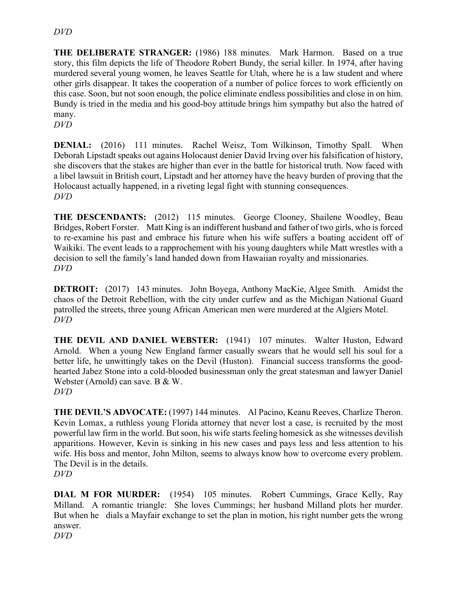**THE DELIBERATE STRANGER:** (1986) 188 minutes. Mark Harmon. Based on a true story, this film depicts the life of Theodore Robert Bundy, the serial killer. In 1974, after having murdered several young women, he leaves Seattle for Utah, where he is a law student and where other girls disappear. It takes the cooperation of a number of police forces to work efficiently on this case. Soon, but not soon enough, the police eliminate endless possibilities and close in on him. Bundy is tried in the media and his good-boy attitude brings him sympathy but also the hatred of many.

*DVD*

**DENIAL:** (2016) 111 minutes. Rachel Weisz, Tom Wilkinson, Timothy Spall. When Deborah Lipstadt speaks out agains Holocaust denier David Irving over his falsification of history, she discovers that the stakes are higher than ever in the battle for historical truth. Now faced with a libel lawsuit in British court, Lipstadt and her attorney have the heavy burden of proving that the Holocaust actually happened, in a riveting legal fight with stunning consequences. *DVD*

**THE DESCENDANTS:** (2012) 115 minutes. George Clooney, Shailene Woodley, Beau Bridges, Robert Forster. Matt King is an indifferent husband and father of two girls, who is forced to re-examine his past and embrace his future when his wife suffers a boating accident off of Waikiki. The event leads to a rapprochement with his young daughters while Matt wrestles with a decision to sell the family's land handed down from Hawaiian royalty and missionaries. *DVD*

**DETROIT:** (2017) 143 minutes. John Boyega, Anthony MacKie, Algee Smith. Amidst the chaos of the Detroit Rebellion, with the city under curfew and as the Michigan National Guard patrolled the streets, three young African American men were murdered at the Algiers Motel. *DVD*

**THE DEVIL AND DANIEL WEBSTER:** (1941) 107 minutes. Walter Huston, Edward Arnold. When a young New England farmer casually swears that he would sell his soul for a better life, he unwittingly takes on the Devil (Huston). Financial success transforms the goodhearted Jabez Stone into a cold-blooded businessman only the great statesman and lawyer Daniel Webster (Arnold) can save. B & W. *DVD*

**THE DEVIL'S ADVOCATE:** (1997) 144 minutes. Al Pacino, Keanu Reeves, Charlize Theron. Kevin Lomax, a ruthless young Florida attorney that never lost a case, is recruited by the most powerful law firm in the world. But soon, his wife starts feeling homesick as she witnesses devilish apparitions. However, Kevin is sinking in his new cases and pays less and less attention to his wife. His boss and mentor, John Milton, seems to always know how to overcome every problem. The Devil is in the details.

*DVD*

**DIAL M FOR MURDER:** (1954) 105 minutes. Robert Cummings, Grace Kelly, Ray Milland. A romantic triangle: She loves Cummings; her husband Milland plots her murder. But when he dials a Mayfair exchange to set the plan in motion, his right number gets the wrong answer. *DVD*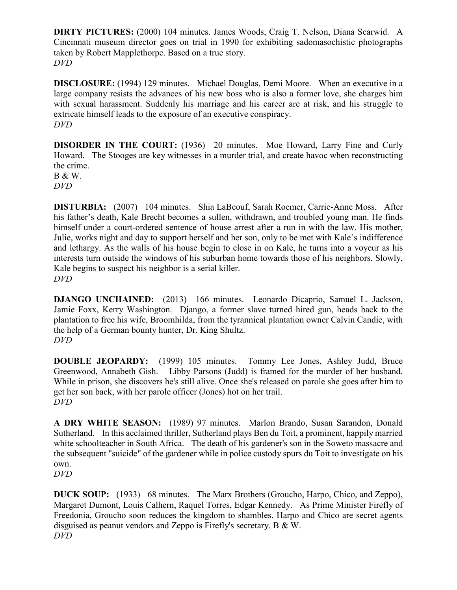**DIRTY PICTURES:** (2000) 104 minutes. James Woods, Craig T. Nelson, Diana Scarwid. A Cincinnati museum director goes on trial in 1990 for exhibiting sadomasochistic photographs taken by Robert Mapplethorpe. Based on a true story. *DVD*

**DISCLOSURE:** (1994) 129 minutes. Michael Douglas, Demi Moore. When an executive in a large company resists the advances of his new boss who is also a former love, she charges him with sexual harassment. Suddenly his marriage and his career are at risk, and his struggle to extricate himself leads to the exposure of an executive conspiracy. *DVD*

**DISORDER IN THE COURT:** (1936) 20 minutes. Moe Howard, Larry Fine and Curly Howard. The Stooges are key witnesses in a murder trial, and create havoc when reconstructing the crime.

B & W. *DVD*

**DISTURBIA:** (2007) 104 minutes. Shia LaBeouf, Sarah Roemer, Carrie-Anne Moss. After his father's death, Kale Brecht becomes a sullen, withdrawn, and troubled young man. He finds himself under a court-ordered sentence of house arrest after a run in with the law. His mother, Julie, works night and day to support herself and her son, only to be met with Kale's indifference and lethargy. As the walls of his house begin to close in on Kale, he turns into a voyeur as his interests turn outside the windows of his suburban home towards those of his neighbors. Slowly, Kale begins to suspect his neighbor is a serial killer. *DVD*

**DJANGO UNCHAINED:** (2013) 166 minutes. Leonardo Dicaprio, Samuel L. Jackson, Jamie Foxx, Kerry Washington. Django, a former slave turned hired gun, heads back to the plantation to free his wife, Broomhilda, from the tyrannical plantation owner Calvin Candie, with the help of a German bounty hunter, Dr. King Shultz. *DVD*

**DOUBLE JEOPARDY:** (1999) 105 minutes. Tommy Lee Jones, Ashley Judd, Bruce Greenwood, Annabeth Gish. Libby Parsons (Judd) is framed for the murder of her husband. While in prison, she discovers he's still alive. Once she's released on parole she goes after him to get her son back, with her parole officer (Jones) hot on her trail. *DVD*

**A DRY WHITE SEASON:** (1989) 97 minutes. Marlon Brando, Susan Sarandon, Donald Sutherland. In this acclaimed thriller, Sutherland plays Ben du Toit, a prominent, happily married white schoolteacher in South Africa. The death of his gardener's son in the Soweto massacre and the subsequent "suicide" of the gardener while in police custody spurs du Toit to investigate on his own.

```
DVD
```
**DUCK SOUP:** (1933) 68 minutes. The Marx Brothers (Groucho, Harpo, Chico, and Zeppo), Margaret Dumont, Louis Calhern, Raquel Torres, Edgar Kennedy. As Prime Minister Firefly of Freedonia, Groucho soon reduces the kingdom to shambles. Harpo and Chico are secret agents disguised as peanut vendors and Zeppo is Firefly's secretary. B & W. *DVD*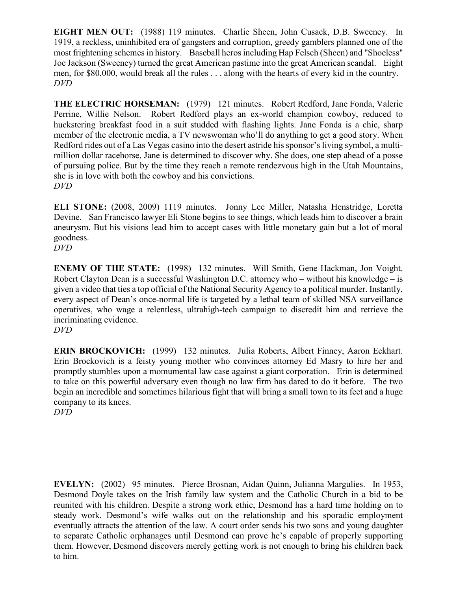**EIGHT MEN OUT:** (1988) 119 minutes. Charlie Sheen, John Cusack, D.B. Sweeney. In 1919, a reckless, uninhibited era of gangsters and corruption, greedy gamblers planned one of the most frightening schemes in history. Baseball heros including Hap Felsch (Sheen) and "Shoeless" Joe Jackson (Sweeney) turned the great American pastime into the great American scandal. Eight men, for \$80,000, would break all the rules . . . along with the hearts of every kid in the country. *DVD*

**THE ELECTRIC HORSEMAN:** (1979) 121 minutes. Robert Redford, Jane Fonda, Valerie Perrine, Willie Nelson. Robert Redford plays an ex-world champion cowboy, reduced to huckstering breakfast food in a suit studded with flashing lights. Jane Fonda is a chic, sharp member of the electronic media, a TV newswoman who'll do anything to get a good story. When Redford rides out of a Las Vegas casino into the desert astride his sponsor's living symbol, a multimillion dollar racehorse, Jane is determined to discover why. She does, one step ahead of a posse of pursuing police. But by the time they reach a remote rendezvous high in the Utah Mountains, she is in love with both the cowboy and his convictions. *DVD*

**ELI STONE:** (2008, 2009) 1119 minutes. Jonny Lee Miller, Natasha Henstridge, Loretta Devine. San Francisco lawyer Eli Stone begins to see things, which leads him to discover a brain aneurysm. But his visions lead him to accept cases with little monetary gain but a lot of moral goodness.

*DVD*

**ENEMY OF THE STATE:** (1998) 132 minutes. Will Smith, Gene Hackman, Jon Voight. Robert Clayton Dean is a successful Washington D.C. attorney who – without his knowledge – is given a video that ties a top official of the National Security Agency to a political murder. Instantly, every aspect of Dean's once-normal life is targeted by a lethal team of skilled NSA surveillance operatives, who wage a relentless, ultrahigh-tech campaign to discredit him and retrieve the incriminating evidence.

*DVD*

**ERIN BROCKOVICH:** (1999) 132 minutes. Julia Roberts, Albert Finney, Aaron Eckhart. Erin Brockovich is a feisty young mother who convinces attorney Ed Masry to hire her and promptly stumbles upon a momumental law case against a giant corporation. Erin is determined to take on this powerful adversary even though no law firm has dared to do it before. The two begin an incredible and sometimes hilarious fight that will bring a small town to its feet and a huge company to its knees.

*DVD*

**EVELYN:** (2002) 95 minutes. Pierce Brosnan, Aidan Quinn, Julianna Margulies. In 1953, Desmond Doyle takes on the Irish family law system and the Catholic Church in a bid to be reunited with his children. Despite a strong work ethic, Desmond has a hard time holding on to steady work. Desmond's wife walks out on the relationship and his sporadic employment eventually attracts the attention of the law. A court order sends his two sons and young daughter to separate Catholic orphanages until Desmond can prove he's capable of properly supporting them. However, Desmond discovers merely getting work is not enough to bring his children back to him.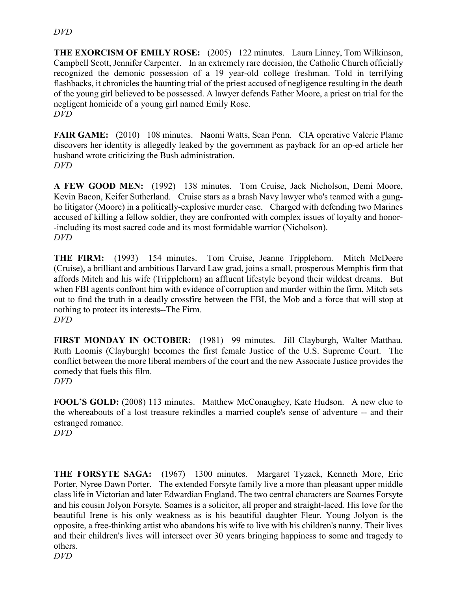#### *DVD*

**THE EXORCISM OF EMILY ROSE:** (2005) 122 minutes. Laura Linney, Tom Wilkinson, Campbell Scott, Jennifer Carpenter. In an extremely rare decision, the Catholic Church officially recognized the demonic possession of a 19 year-old college freshman. Told in terrifying flashbacks, it chronicles the haunting trial of the priest accused of negligence resulting in the death of the young girl believed to be possessed. A lawyer defends Father Moore, a priest on trial for the negligent homicide of a young girl named Emily Rose. *DVD*

**FAIR GAME:** (2010) 108 minutes. Naomi Watts, Sean Penn. CIA operative Valerie Plame discovers her identity is allegedly leaked by the government as payback for an op-ed article her husband wrote criticizing the Bush administration. *DVD*

**A FEW GOOD MEN:** (1992) 138 minutes. Tom Cruise, Jack Nicholson, Demi Moore, Kevin Bacon, Keifer Sutherland. Cruise stars as a brash Navy lawyer who's teamed with a gungho litigator (Moore) in a politically-explosive murder case. Charged with defending two Marines accused of killing a fellow soldier, they are confronted with complex issues of loyalty and honor- -including its most sacred code and its most formidable warrior (Nicholson). *DVD*

**THE FIRM:** (1993) 154 minutes. Tom Cruise, Jeanne Tripplehorn. Mitch McDeere (Cruise), a brilliant and ambitious Harvard Law grad, joins a small, prosperous Memphis firm that affords Mitch and his wife (Tripplehorn) an affluent lifestyle beyond their wildest dreams. But when FBI agents confront him with evidence of corruption and murder within the firm, Mitch sets out to find the truth in a deadly crossfire between the FBI, the Mob and a force that will stop at nothing to protect its interests--The Firm. *DVD*

FIRST MONDAY IN OCTOBER: (1981) 99 minutes. Jill Clayburgh, Walter Matthau. Ruth Loomis (Clayburgh) becomes the first female Justice of the U.S. Supreme Court. The conflict between the more liberal members of the court and the new Associate Justice provides the comedy that fuels this film. *DVD*

**FOOL'S GOLD:** (2008) 113 minutes. Matthew McConaughey, Kate Hudson. A new clue to the whereabouts of a lost treasure rekindles a married couple's sense of adventure -- and their estranged romance.

*DVD*

**THE FORSYTE SAGA:** (1967) 1300 minutes. Margaret Tyzack, Kenneth More, Eric Porter, Nyree Dawn Porter. The extended Forsyte family live a more than pleasant upper middle class life in Victorian and later Edwardian England. The two central characters are Soames Forsyte and his cousin Jolyon Forsyte. Soames is a solicitor, all proper and straight-laced. His love for the beautiful Irene is his only weakness as is his beautiful daughter Fleur. Young Jolyon is the opposite, a free-thinking artist who abandons his wife to live with his children's nanny. Their lives and their children's lives will intersect over 30 years bringing happiness to some and tragedy to others. *DVD*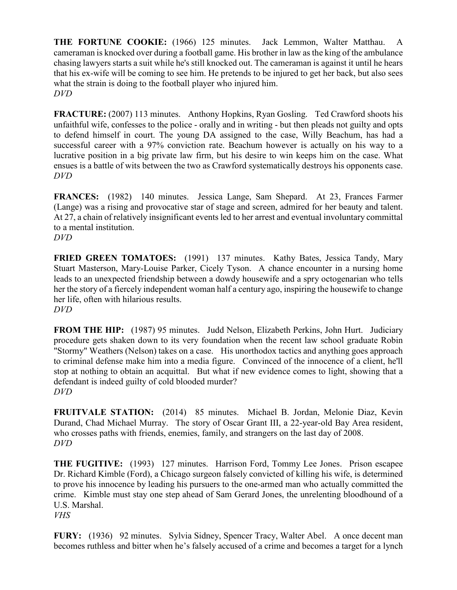**THE FORTUNE COOKIE:** (1966) 125 minutes. Jack Lemmon, Walter Matthau. A cameraman is knocked over during a football game. His brother in law as the king of the ambulance chasing lawyers starts a suit while he's still knocked out. The cameraman is against it until he hears that his ex-wife will be coming to see him. He pretends to be injured to get her back, but also sees what the strain is doing to the football player who injured him. *DVD*

**FRACTURE:** (2007) 113 minutes. Anthony Hopkins, Ryan Gosling. Ted Crawford shoots his unfaithful wife, confesses to the police - orally and in writing - but then pleads not guilty and opts to defend himself in court. The young DA assigned to the case, Willy Beachum, has had a successful career with a 97% conviction rate. Beachum however is actually on his way to a lucrative position in a big private law firm, but his desire to win keeps him on the case. What ensues is a battle of wits between the two as Crawford systematically destroys his opponents case. *DVD*

**FRANCES:** (1982) 140 minutes. Jessica Lange, Sam Shepard. At 23, Frances Farmer (Lange) was a rising and provocative star of stage and screen, admired for her beauty and talent. At 27, a chain of relatively insignificant events led to her arrest and eventual involuntary committal to a mental institution. *DVD*

**FRIED GREEN TOMATOES:** (1991) 137 minutes. Kathy Bates, Jessica Tandy, Mary Stuart Masterson, Mary-Louise Parker, Cicely Tyson. A chance encounter in a nursing home leads to an unexpected friendship between a dowdy housewife and a spry octogenarian who tells her the story of a fiercely independent woman half a century ago, inspiring the housewife to change her life, often with hilarious results. *DVD*

**FROM THE HIP:** (1987) 95 minutes. Judd Nelson, Elizabeth Perkins, John Hurt. Judiciary procedure gets shaken down to its very foundation when the recent law school graduate Robin "Stormy" Weathers (Nelson) takes on a case. His unorthodox tactics and anything goes approach to criminal defense make him into a media figure. Convinced of the innocence of a client, he'll stop at nothing to obtain an acquittal. But what if new evidence comes to light, showing that a defendant is indeed guilty of cold blooded murder? *DVD*

**FRUITVALE STATION:** (2014) 85 minutes. Michael B. Jordan, Melonie Diaz, Kevin Durand, Chad Michael Murray. The story of Oscar Grant III, a 22-year-old Bay Area resident, who crosses paths with friends, enemies, family, and strangers on the last day of 2008. *DVD*

**THE FUGITIVE:** (1993) 127 minutes. Harrison Ford, Tommy Lee Jones. Prison escapee Dr. Richard Kimble (Ford), a Chicago surgeon falsely convicted of killing his wife, is determined to prove his innocence by leading his pursuers to the one-armed man who actually committed the crime. Kimble must stay one step ahead of Sam Gerard Jones, the unrelenting bloodhound of a U.S. Marshal. *VHS*

**FURY:** (1936) 92 minutes. Sylvia Sidney, Spencer Tracy, Walter Abel. A once decent man becomes ruthless and bitter when he's falsely accused of a crime and becomes a target for a lynch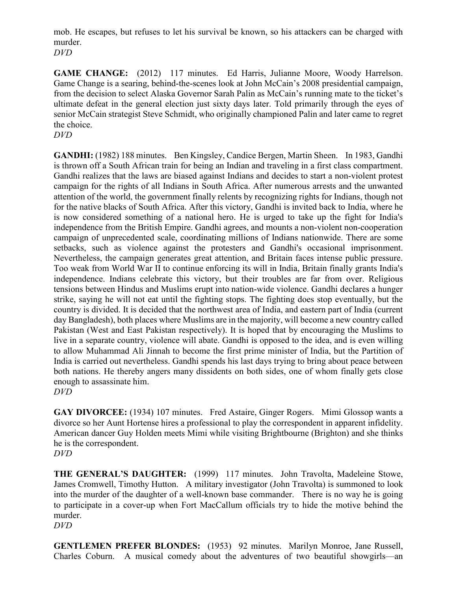mob. He escapes, but refuses to let his survival be known, so his attackers can be charged with murder.

*DVD*

**GAME CHANGE:** (2012) 117 minutes. Ed Harris, Julianne Moore, Woody Harrelson. Game Change is a searing, behind-the-scenes look at John McCain's 2008 presidential campaign, from the decision to select Alaska Governor Sarah Palin as McCain's running mate to the ticket's ultimate defeat in the general election just sixty days later. Told primarily through the eyes of senior McCain strategist Steve Schmidt, who originally championed Palin and later came to regret the choice.

*DVD*

**GANDHI:** (1982) 188 minutes. Ben Kingsley, Candice Bergen, Martin Sheen. In 1983, Gandhi is thrown off a South African train for being an Indian and traveling in a first class compartment. Gandhi realizes that the laws are biased against Indians and decides to start a non-violent protest campaign for the rights of all Indians in South Africa. After numerous arrests and the unwanted attention of the world, the government finally relents by recognizing rights for Indians, though not for the native blacks of South Africa. After this victory, Gandhi is invited back to India, where he is now considered something of a national hero. He is urged to take up the fight for India's independence from the British Empire. Gandhi agrees, and mounts a non-violent non-cooperation campaign of unprecedented scale, coordinating millions of Indians nationwide. There are some setbacks, such as violence against the protesters and Gandhi's occasional imprisonment. Nevertheless, the campaign generates great attention, and Britain faces intense public pressure. Too weak from World War II to continue enforcing its will in India, Britain finally grants India's independence. Indians celebrate this victory, but their troubles are far from over. Religious tensions between Hindus and Muslims erupt into nation-wide violence. Gandhi declares a hunger strike, saying he will not eat until the fighting stops. The fighting does stop eventually, but the country is divided. It is decided that the northwest area of India, and eastern part of India (current day Bangladesh), both places where Muslims are in the majority, will become a new country called Pakistan (West and East Pakistan respectively). It is hoped that by encouraging the Muslims to live in a separate country, violence will abate. Gandhi is opposed to the idea, and is even willing to allow Muhammad Ali Jinnah to become the first prime minister of India, but the Partition of India is carried out nevertheless. Gandhi spends his last days trying to bring about peace between both nations. He thereby angers many dissidents on both sides, one of whom finally gets close enough to assassinate him. *DVD*

**GAY DIVORCEE:** (1934) 107 minutes. Fred Astaire, Ginger Rogers. Mimi Glossop wants a divorce so her Aunt Hortense hires a professional to play the correspondent in apparent infidelity. American dancer Guy Holden meets Mimi while visiting Brightbourne (Brighton) and she thinks he is the correspondent.

*DVD*

**THE GENERAL'S DAUGHTER:** (1999) 117 minutes. John Travolta, Madeleine Stowe, James Cromwell, Timothy Hutton. A military investigator (John Travolta) is summoned to look into the murder of the daughter of a well-known base commander.There is no way he is going to participate in a cover-up when Fort MacCallum officials try to hide the motive behind the murder.

*DVD*

**GENTLEMEN PREFER BLONDES:** (1953) 92 minutes. Marilyn Monroe, Jane Russell, Charles Coburn. A musical comedy about the adventures of two beautiful showgirls—an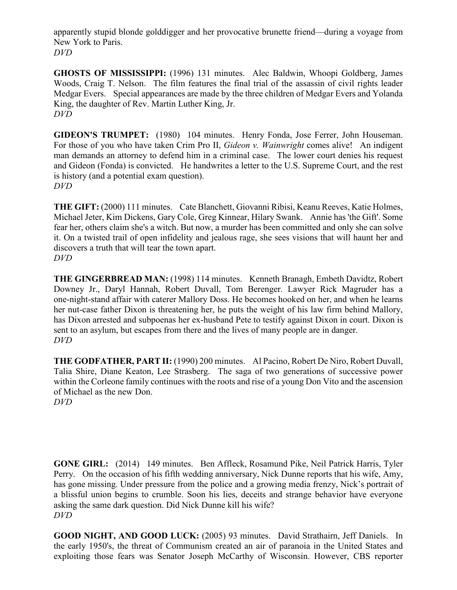apparently stupid blonde golddigger and her provocative brunette friend—during a voyage from New York to Paris. *DVD*

**GHOSTS OF MISSISSIPPI:** (1996) 131 minutes. Alec Baldwin, Whoopi Goldberg, James Woods, Craig T. Nelson. The film features the final trial of the assassin of civil rights leader Medgar Evers. Special appearances are made by the three children of Medgar Evers and Yolanda King, the daughter of Rev. Martin Luther King, Jr. *DVD*

**GIDEON'S TRUMPET:** (1980) 104 minutes. Henry Fonda, Jose Ferrer, John Houseman. For those of you who have taken Crim Pro II, *Gideon v. Wainwright* comes alive! An indigent man demands an attorney to defend him in a criminal case. The lower court denies his request and Gideon (Fonda) is convicted. He handwrites a letter to the U.S. Supreme Court, and the rest is history (and a potential exam question). *DVD*

**THE GIFT:** (2000) 111 minutes. Cate Blanchett, Giovanni Ribisi, Keanu Reeves, Katie Holmes, Michael Jeter, Kim Dickens, Gary Cole, Greg Kinnear, Hilary Swank. Annie has 'the Gift'. Some fear her, others claim she's a witch. But now, a murder has been committed and only she can solve it. On a twisted trail of open infidelity and jealous rage, she sees visions that will haunt her and discovers a truth that will tear the town apart. *DVD*

**THE GINGERBREAD MAN:** (1998) 114 minutes. Kenneth Branagh, Embeth Davidtz, Robert Downey Jr., Daryl Hannah, Robert Duvall, Tom Berenger. Lawyer Rick Magruder has a one-night-stand affair with caterer Mallory Doss. He becomes hooked on her, and when he learns her nut-case father Dixon is threatening her, he puts the weight of his law firm behind Mallory, has Dixon arrested and subpoenas her ex-husband Pete to testify against Dixon in court. Dixon is sent to an asylum, but escapes from there and the lives of many people are in danger. *DVD*

**THE GODFATHER, PART II:** (1990) 200 minutes. Al Pacino, Robert De Niro, Robert Duvall, Talia Shire, Diane Keaton, Lee Strasberg. The saga of two generations of successive power within the Corleone family continues with the roots and rise of a young Don Vito and the ascension of Michael as the new Don. *DVD*

**GONE GIRL:** (2014) 149 minutes. Ben Affleck, Rosamund Pike, Neil Patrick Harris, Tyler Perry. On the occasion of his fifth wedding anniversary, Nick Dunne reports that his wife, Amy, has gone missing. Under pressure from the police and a growing media frenzy, Nick's portrait of a blissful union begins to crumble. Soon his lies, deceits and strange behavior have everyone asking the same dark question. Did Nick Dunne kill his wife? *DVD*

**GOOD NIGHT, AND GOOD LUCK:** (2005) 93 minutes. David Strathairn, Jeff Daniels. In the early 1950's, the threat of Communism created an air of paranoia in the United States and exploiting those fears was Senator Joseph McCarthy of Wisconsin. However, CBS reporter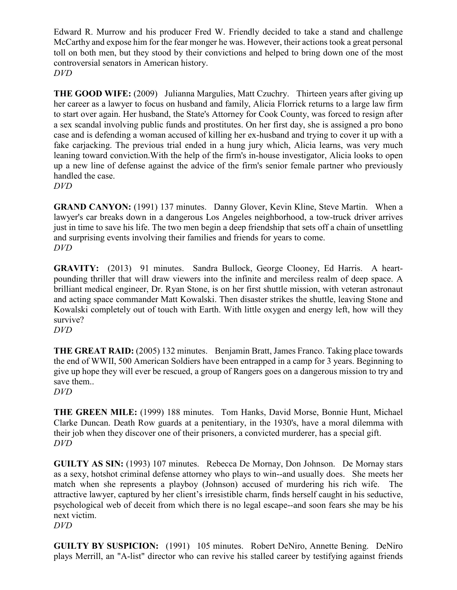Edward R. Murrow and his producer Fred W. Friendly decided to take a stand and challenge McCarthy and expose him for the fear monger he was. However, their actions took a great personal toll on both men, but they stood by their convictions and helped to bring down one of the most controversial senators in American history. *DVD*

**THE GOOD WIFE:** (2009) Julianna Margulies, Matt Czuchry. Thirteen years after giving up her career as a lawyer to focus on husband and family, Alicia Florrick returns to a large law firm to start over again. Her husband, the State's Attorney for Cook County, was forced to resign after a sex scandal involving public funds and prostitutes. On her first day, she is assigned a pro bono case and is defending a woman accused of killing her ex-husband and trying to cover it up with a fake carjacking. The previous trial ended in a hung jury which, Alicia learns, was very much leaning toward conviction.With the help of the firm's in-house investigator, Alicia looks to open up a new line of defense against the advice of the firm's senior female partner who previously handled the case.

*DVD*

**GRAND CANYON:** (1991) 137 minutes. Danny Glover, Kevin Kline, Steve Martin. When a lawyer's car breaks down in a dangerous Los Angeles neighborhood, a tow-truck driver arrives just in time to save his life. The two men begin a deep friendship that sets off a chain of unsettling and surprising events involving their families and friends for years to come. *DVD*

**GRAVITY:** (2013) 91 minutes. Sandra Bullock, George Clooney, Ed Harris. A heartpounding thriller that will draw viewers into the infinite and merciless realm of deep space. A brilliant medical engineer, Dr. Ryan Stone, is on her first shuttle mission, with veteran astronaut and acting space commander Matt Kowalski. Then disaster strikes the shuttle, leaving Stone and Kowalski completely out of touch with Earth. With little oxygen and energy left, how will they survive?

*DVD*

**THE GREAT RAID:** (2005) 132 minutes. Benjamin Bratt, James Franco. Taking place towards the end of WWII, 500 American Soldiers have been entrapped in a camp for 3 years. Beginning to give up hope they will ever be rescued, a group of Rangers goes on a dangerous mission to try and save them..

*DVD*

**THE GREEN MILE:** (1999) 188 minutes. Tom Hanks, David Morse, Bonnie Hunt, Michael Clarke Duncan. Death Row guards at a penitentiary, in the 1930's, have a moral dilemma with their job when they discover one of their prisoners, a convicted murderer, has a special gift. *DVD*

**GUILTY AS SIN:** (1993) 107 minutes. Rebecca De Mornay, Don Johnson. De Mornay stars as a sexy, hotshot criminal defense attorney who plays to win--and usually does. She meets her match when she represents a playboy (Johnson) accused of murdering his rich wife. The attractive lawyer, captured by her client's irresistible charm, finds herself caught in his seductive, psychological web of deceit from which there is no legal escape--and soon fears she may be his next victim.

*DVD*

**GUILTY BY SUSPICION:** (1991) 105 minutes. Robert DeNiro, Annette Bening. DeNiro plays Merrill, an "A-list" director who can revive his stalled career by testifying against friends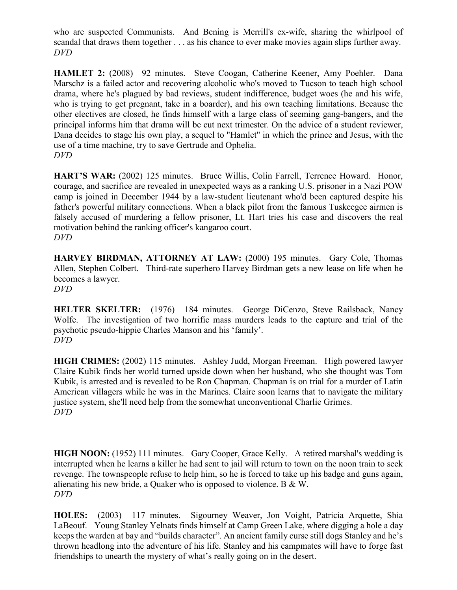who are suspected Communists. And Bening is Merrill's ex-wife, sharing the whirlpool of scandal that draws them together . . . as his chance to ever make movies again slips further away. *DVD*

**HAMLET 2:** (2008) 92 minutes. Steve Coogan, Catherine Keener, Amy Poehler. Dana Marschz is a failed actor and recovering alcoholic who's moved to Tucson to teach high school drama, where he's plagued by bad reviews, student indifference, budget woes (he and his wife, who is trying to get pregnant, take in a boarder), and his own teaching limitations. Because the other electives are closed, he finds himself with a large class of seeming gang-bangers, and the principal informs him that drama will be cut next trimester. On the advice of a student reviewer, Dana decides to stage his own play, a sequel to "Hamlet" in which the prince and Jesus, with the use of a time machine, try to save Gertrude and Ophelia. *DVD*

**HART'S WAR:** (2002) 125 minutes. Bruce Willis, Colin Farrell, Terrence Howard. Honor, courage, and sacrifice are revealed in unexpected ways as a ranking U.S. prisoner in a Nazi POW camp is joined in December 1944 by a law-student lieutenant who'd been captured despite his father's powerful military connections. When a black pilot from the famous Tuskeegee airmen is falsely accused of murdering a fellow prisoner, Lt. Hart tries his case and discovers the real motivation behind the ranking officer's kangaroo court. *DVD*

**HARVEY BIRDMAN, ATTORNEY AT LAW:** (2000) 195 minutes. Gary Cole, Thomas Allen, Stephen Colbert. Third-rate superhero Harvey Birdman gets a new lease on life when he becomes a lawyer. *DVD*

**HELTER SKELTER:** (1976) 184 minutes. George DiCenzo, Steve Railsback, Nancy Wolfe. The investigation of two horrific mass murders leads to the capture and trial of the psychotic pseudo-hippie Charles Manson and his 'family'. *DVD*

**HIGH CRIMES:** (2002) 115 minutes. Ashley Judd, Morgan Freeman. High powered lawyer Claire Kubik finds her world turned upside down when her husband, who she thought was Tom Kubik, is arrested and is revealed to be Ron Chapman. Chapman is on trial for a murder of Latin American villagers while he was in the Marines. Claire soon learns that to navigate the military justice system, she'll need help from the somewhat unconventional Charlie Grimes. *DVD*

**HIGH NOON:** (1952) 111 minutes. Gary Cooper, Grace Kelly. A retired marshal's wedding is interrupted when he learns a killer he had sent to jail will return to town on the noon train to seek revenge. The townspeople refuse to help him, so he is forced to take up his badge and guns again, alienating his new bride, a Quaker who is opposed to violence. B & W. *DVD*

**HOLES:** (2003) 117 minutes. Sigourney Weaver, Jon Voight, Patricia Arquette, Shia LaBeouf. Young Stanley Yelnats finds himself at Camp Green Lake, where digging a hole a day keeps the warden at bay and "builds character". An ancient family curse still dogs Stanley and he's thrown headlong into the adventure of his life. Stanley and his campmates will have to forge fast friendships to unearth the mystery of what's really going on in the desert.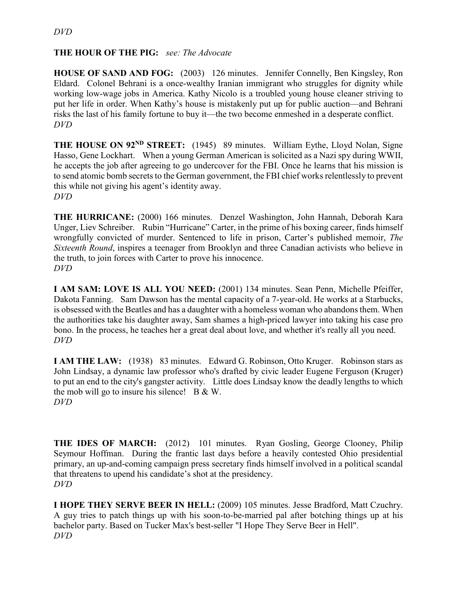#### **THE HOUR OF THE PIG:** *see: The Advocate*

**HOUSE OF SAND AND FOG:** (2003) 126 minutes. Jennifer Connelly, Ben Kingsley, Ron Eldard. Colonel Behrani is a once-wealthy Iranian immigrant who struggles for dignity while working low-wage jobs in America. Kathy Nicolo is a troubled young house cleaner striving to put her life in order. When Kathy's house is mistakenly put up for public auction—and Behrani risks the last of his family fortune to buy it—the two become enmeshed in a desperate conflict. *DVD*

**THE HOUSE ON 92ND STREET:** (1945) 89 minutes. William Eythe, Lloyd Nolan, Signe Hasso, Gene Lockhart. When a young German American is solicited as a Nazi spy during WWII, he accepts the job after agreeing to go undercover for the FBI. Once he learns that his mission is to send atomic bomb secrets to the German government, the FBI chief works relentlessly to prevent this while not giving his agent's identity away. *DVD*

**THE HURRICANE:** (2000) 166 minutes. Denzel Washington, John Hannah, Deborah Kara Unger, Liev Schreiber. Rubin "Hurricane" Carter, in the prime of his boxing career, finds himself wrongfully convicted of murder. Sentenced to life in prison, Carter's published memoir, *The Sixteenth Round*, inspires a teenager from Brooklyn and three Canadian activists who believe in the truth, to join forces with Carter to prove his innocence. *DVD*

**I AM SAM: LOVE IS ALL YOU NEED:** (2001) 134 minutes. Sean Penn, Michelle Pfeiffer, Dakota Fanning. Sam Dawson has the mental capacity of a 7-year-old. He works at a Starbucks, is obsessed with the Beatles and has a daughter with a homeless woman who abandons them. When the authorities take his daughter away, Sam shames a high-priced lawyer into taking his case pro bono. In the process, he teaches her a great deal about love, and whether it's really all you need. *DVD*

**I AM THE LAW:** (1938) 83 minutes. Edward G. Robinson, Otto Kruger. Robinson stars as John Lindsay, a dynamic law professor who's drafted by civic leader Eugene Ferguson (Kruger) to put an end to the city's gangster activity. Little does Lindsay know the deadly lengths to which the mob will go to insure his silence!  $B & W$ . *DVD*

**THE IDES OF MARCH:** (2012) 101 minutes. Ryan Gosling, George Clooney, Philip Seymour Hoffman. During the frantic last days before a heavily contested Ohio presidential primary, an up-and-coming campaign press secretary finds himself involved in a political scandal that threatens to upend his candidate's shot at the presidency. *DVD*

**I HOPE THEY SERVE BEER IN HELL:** (2009) 105 minutes. Jesse Bradford, Matt Czuchry. A guy tries to patch things up with his soon-to-be-married pal after botching things up at his bachelor party. Based on Tucker Max's best-seller "I Hope They Serve Beer in Hell". *DVD*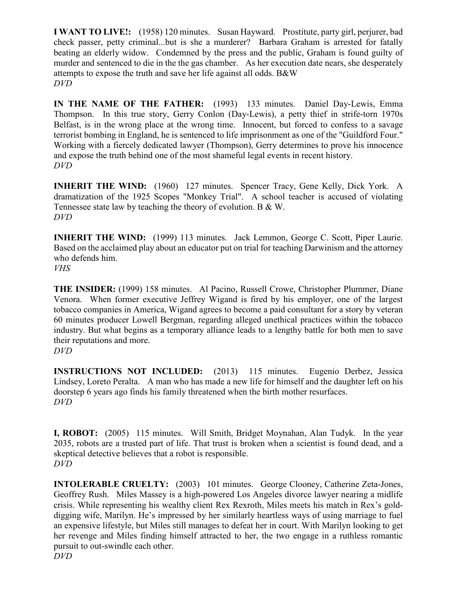**I WANT TO LIVE!:** (1958) 120 minutes. Susan Hayward. Prostitute, party girl, perjurer, bad check passer, petty criminal...but is she a murderer? Barbara Graham is arrested for fatally beating an elderly widow. Condemned by the press and the public, Graham is found guilty of murder and sentenced to die in the the gas chamber. As her execution date nears, she desperately attempts to expose the truth and save her life against all odds. B&W *DVD*

**IN THE NAME OF THE FATHER:** (1993) 133 minutes. Daniel Day-Lewis, Emma Thompson. In this true story, Gerry Conlon (Day-Lewis), a petty thief in strife-torn 1970s Belfast, is in the wrong place at the wrong time. Innocent, but forced to confess to a savage terrorist bombing in England, he is sentenced to life imprisonment as one of the "Guildford Four." Working with a fiercely dedicated lawyer (Thompson), Gerry determines to prove his innocence and expose the truth behind one of the most shameful legal events in recent history. *DVD*

**INHERIT THE WIND:** (1960) 127 minutes. Spencer Tracy, Gene Kelly, Dick York. A dramatization of the 1925 Scopes "Monkey Trial". A school teacher is accused of violating Tennessee state law by teaching the theory of evolution. B & W. *DVD*

**INHERIT THE WIND:** (1999) 113 minutes. Jack Lemmon, George C. Scott, Piper Laurie. Based on the acclaimed play about an educator put on trial for teaching Darwinism and the attorney who defends him.

*VHS*

**THE INSIDER:** (1999) 158 minutes. Al Pacino, Russell Crowe, Christopher Plummer, Diane Venora. When former executive Jeffrey Wigand is fired by his employer, one of the largest tobacco companies in America, Wigand agrees to become a paid consultant for a story by veteran 60 minutes producer Lowell Bergman, regarding alleged unethical practices within the tobacco industry. But what begins as a temporary alliance leads to a lengthy battle for both men to save their reputations and more.

*DVD*

**INSTRUCTIONS NOT INCLUDED:** (2013) 115 minutes. Eugenio Derbez, Jessica Lindsey, Loreto Peralta. A man who has made a new life for himself and the daughter left on his doorstep 6 years ago finds his family threatened when the birth mother resurfaces. *DVD*

**I, ROBOT:** (2005) 115 minutes. Will Smith, Bridget Moynahan, Alan Tudyk. In the year 2035, robots are a trusted part of life. That trust is broken when a scientist is found dead, and a skeptical detective believes that a robot is responsible. *DVD*

**INTOLERABLE CRUELTY:** (2003) 101 minutes. George Clooney, Catherine Zeta-Jones, Geoffrey Rush. Miles Massey is a high-powered Los Angeles divorce lawyer nearing a midlife crisis. While representing his wealthy client Rex Rexroth, Miles meets his match in Rex's golddigging wife, Marilyn. He's impressed by her similarly heartless ways of using marriage to fuel an expensive lifestyle, but Miles still manages to defeat her in court. With Marilyn looking to get her revenge and Miles finding himself attracted to her, the two engage in a ruthless romantic pursuit to out-swindle each other. *DVD*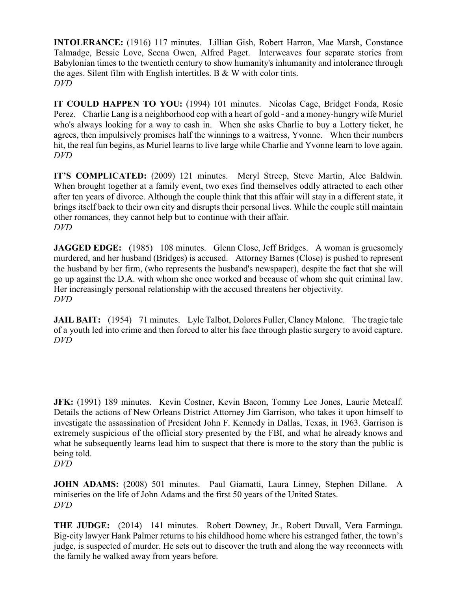**INTOLERANCE:** (1916) 117 minutes. Lillian Gish, Robert Harron, Mae Marsh, Constance Talmadge, Bessie Love, Seena Owen, Alfred Paget. Interweaves four separate stories from Babylonian times to the twentieth century to show humanity's inhumanity and intolerance through the ages. Silent film with English intertitles. B & W with color tints. *DVD*

**IT COULD HAPPEN TO YOU:** (1994) 101 minutes. Nicolas Cage, Bridget Fonda, Rosie Perez. Charlie Lang is a neighborhood cop with a heart of gold - and a money-hungry wife Muriel who's always looking for a way to cash in. When she asks Charlie to buy a Lottery ticket, he agrees, then impulsively promises half the winnings to a waitress, Yvonne. When their numbers hit, the real fun begins, as Muriel learns to live large while Charlie and Yvonne learn to love again. *DVD*

**IT'S COMPLICATED:** (2009) 121 minutes. Meryl Streep, Steve Martin, Alec Baldwin. When brought together at a family event, two exes find themselves oddly attracted to each other after ten years of divorce. Although the couple think that this affair will stay in a different state, it brings itself back to their own city and disrupts their personal lives. While the couple still maintain other romances, they cannot help but to continue with their affair. *DVD*

**JAGGED EDGE:** (1985) 108 minutes. Glenn Close, Jeff Bridges. A woman is gruesomely murdered, and her husband (Bridges) is accused. Attorney Barnes (Close) is pushed to represent the husband by her firm, (who represents the husband's newspaper), despite the fact that she will go up against the D.A. with whom she once worked and because of whom she quit criminal law. Her increasingly personal relationship with the accused threatens her objectivity. *DVD*

**JAIL BAIT:** (1954) 71 minutes. Lyle Talbot, Dolores Fuller, Clancy Malone. The tragic tale of a youth led into crime and then forced to alter his face through plastic surgery to avoid capture. *DVD*

JFK: (1991) 189 minutes. Kevin Costner, Kevin Bacon, Tommy Lee Jones, Laurie Metcalf. Details the actions of New Orleans District Attorney Jim Garrison, who takes it upon himself to investigate the assassination of President John F. Kennedy in Dallas, Texas, in 1963. Garrison is extremely suspicious of the official story presented by the FBI, and what he already knows and what he subsequently learns lead him to suspect that there is more to the story than the public is being told.

*DVD*

**JOHN ADAMS:** (2008) 501 minutes. Paul Giamatti, Laura Linney, Stephen Dillane. A miniseries on the life of John Adams and the first 50 years of the United States. *DVD*

**THE JUDGE:** (2014) 141 minutes. Robert Downey, Jr., Robert Duvall, Vera Farminga. Big-city lawyer Hank Palmer returns to his childhood home where his estranged father, the town's judge, is suspected of murder. He sets out to discover the truth and along the way reconnects with the family he walked away from years before.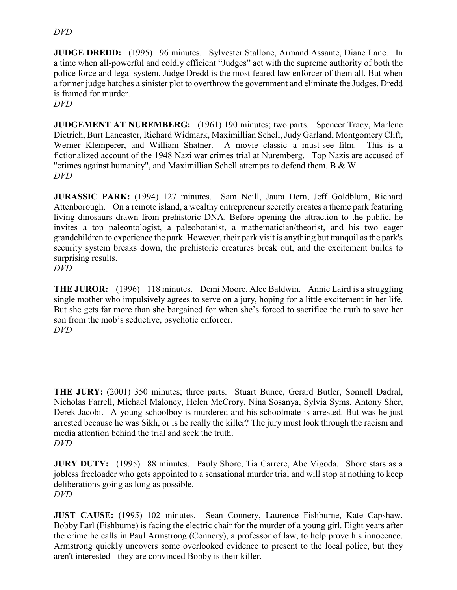#### *DVD*

**JUDGE DREDD:** (1995) 96 minutes. Sylvester Stallone, Armand Assante, Diane Lane. In a time when all-powerful and coldly efficient "Judges" act with the supreme authority of both the police force and legal system, Judge Dredd is the most feared law enforcer of them all. But when a former judge hatches a sinister plot to overthrow the government and eliminate the Judges, Dredd is framed for murder.

*DVD*

**JUDGEMENT AT NUREMBERG:** (1961) 190 minutes; two parts. Spencer Tracy, Marlene Dietrich, Burt Lancaster, Richard Widmark, Maximillian Schell, Judy Garland, Montgomery Clift, Werner Klemperer, and William Shatner. A movie classic--a must-see film. This is a fictionalized account of the 1948 Nazi war crimes trial at Nuremberg. Top Nazis are accused of "crimes against humanity", and Maximillian Schell attempts to defend them. B & W. *DVD*

**JURASSIC PARK:** (1994) 127 minutes. Sam Neill, Jaura Dern, Jeff Goldblum, Richard Attenborough. On a remote island, a wealthy entrepreneur secretly creates a theme park featuring living dinosaurs drawn from prehistoric DNA. Before opening the attraction to the public, he invites a top paleontologist, a paleobotanist, a mathematician/theorist, and his two eager grandchildren to experience the park. However, their park visit is anything but tranquil as the park's security system breaks down, the prehistoric creatures break out, and the excitement builds to surprising results.

*DVD*

**THE JUROR:** (1996) 118 minutes. Demi Moore, Alec Baldwin. Annie Laird is a struggling single mother who impulsively agrees to serve on a jury, hoping for a little excitement in her life. But she gets far more than she bargained for when she's forced to sacrifice the truth to save her son from the mob's seductive, psychotic enforcer. *DVD*

**THE JURY:** (2001) 350 minutes; three parts. Stuart Bunce, Gerard Butler, Sonnell Dadral, Nicholas Farrell, Michael Maloney, Helen McCrory, Nina Sosanya, Sylvia Syms, Antony Sher, Derek Jacobi. A young schoolboy is murdered and his schoolmate is arrested. But was he just arrested because he was Sikh, or is he really the killer? The jury must look through the racism and media attention behind the trial and seek the truth. *DVD*

**JURY DUTY:** (1995) 88 minutes. Pauly Shore, Tia Carrere, Abe Vigoda. Shore stars as a jobless freeloader who gets appointed to a sensational murder trial and will stop at nothing to keep deliberations going as long as possible. *DVD*

**JUST CAUSE:** (1995) 102 minutes. Sean Connery, Laurence Fishburne, Kate Capshaw. Bobby Earl (Fishburne) is facing the electric chair for the murder of a young girl. Eight years after the crime he calls in Paul Armstrong (Connery), a professor of law, to help prove his innocence. Armstrong quickly uncovers some overlooked evidence to present to the local police, but they aren't interested - they are convinced Bobby is their killer.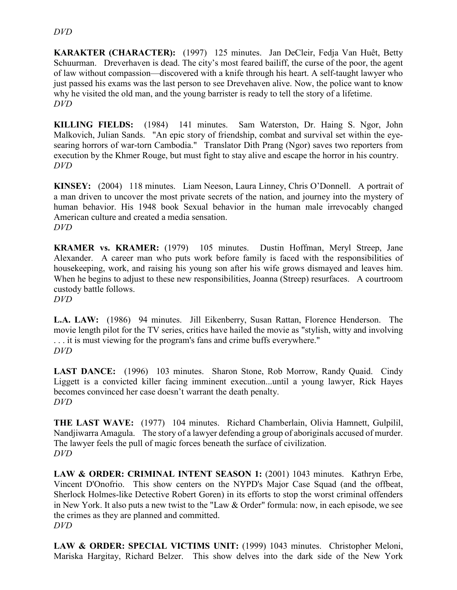#### *DVD*

**KARAKTER (CHARACTER):** (1997) 125 minutes. Jan DeCleir, Fedja Van Huêt, Betty Schuurman. Dreverhaven is dead. The city's most feared bailiff, the curse of the poor, the agent of law without compassion—discovered with a knife through his heart. A self-taught lawyer who just passed his exams was the last person to see Drevehaven alive. Now, the police want to know why he visited the old man, and the young barrister is ready to tell the story of a lifetime. *DVD*

**KILLING FIELDS:** (1984) 141 minutes. Sam Waterston, Dr. Haing S. Ngor, John Malkovich, Julian Sands. "An epic story of friendship, combat and survival set within the eyesearing horrors of war-torn Cambodia." Translator Dith Prang (Ngor) saves two reporters from execution by the Khmer Rouge, but must fight to stay alive and escape the horror in his country. *DVD*

**KINSEY:** (2004) 118 minutes. Liam Neeson, Laura Linney, Chris O'Donnell. A portrait of a man driven to uncover the most private secrets of the nation, and journey into the mystery of human behavior. His 1948 book Sexual behavior in the human male irrevocably changed American culture and created a media sensation. *DVD*

**KRAMER vs. KRAMER:** (1979) 105 minutes. Dustin Hoffman, Meryl Streep, Jane Alexander. A career man who puts work before family is faced with the responsibilities of housekeeping, work, and raising his young son after his wife grows dismayed and leaves him. When he begins to adjust to these new responsibilities, Joanna (Streep) resurfaces. A courtroom custody battle follows. *DVD*

**L.A. LAW:** (1986) 94 minutes. Jill Eikenberry, Susan Rattan, Florence Henderson. The movie length pilot for the TV series, critics have hailed the movie as "stylish, witty and involving . . . it is must viewing for the program's fans and crime buffs everywhere." *DVD*

**LAST DANCE:** (1996) 103 minutes. Sharon Stone, Rob Morrow, Randy Quaid. Cindy Liggett is a convicted killer facing imminent execution...until a young lawyer, Rick Hayes becomes convinced her case doesn't warrant the death penalty. *DVD*

**THE LAST WAVE:** (1977) 104 minutes. Richard Chamberlain, Olivia Hamnett, Gulpilil, Nandjiwarra Amagula. The story of a lawyer defending a group of aboriginals accused of murder. The lawyer feels the pull of magic forces beneath the surface of civilization. *DVD*

**LAW & ORDER: CRIMINAL INTENT SEASON 1:** (2001) 1043 minutes. Kathryn Erbe, Vincent D'Onofrio. This show centers on the NYPD's Major Case Squad (and the offbeat, Sherlock Holmes-like Detective Robert Goren) in its efforts to stop the worst criminal offenders in New York. It also puts a new twist to the "Law & Order" formula: now, in each episode, we see the crimes as they are planned and committed. *DVD*

**LAW & ORDER: SPECIAL VICTIMS UNIT:** (1999) 1043 minutes. Christopher Meloni, Mariska Hargitay, Richard Belzer. This show delves into the dark side of the New York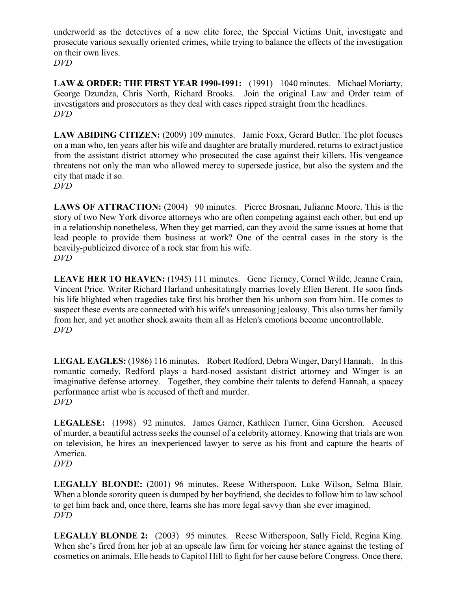underworld as the detectives of a new elite force, the Special Victims Unit, investigate and prosecute various sexually oriented crimes, while trying to balance the effects of the investigation on their own lives.

*DVD*

**LAW & ORDER: THE FIRST YEAR 1990-1991:** (1991) 1040 minutes. Michael Moriarty, George Dzundza, Chris North, Richard Brooks. Join the original Law and Order team of investigators and prosecutors as they deal with cases ripped straight from the headlines. *DVD*

**LAW ABIDING CITIZEN:** (2009) 109 minutes. Jamie Foxx, Gerard Butler. The plot focuses on a man who, ten years after his wife and daughter are brutally murdered, returns to extract justice from the assistant district attorney who prosecuted the case against their killers. His vengeance threatens not only the man who allowed mercy to supersede justice, but also the system and the city that made it so.

*DVD*

LAWS OF ATTRACTION: (2004) 90 minutes. Pierce Brosnan, Julianne Moore. This is the story of two New York divorce attorneys who are often competing against each other, but end up in a relationship nonetheless. When they get married, can they avoid the same issues at home that lead people to provide them business at work? One of the central cases in the story is the heavily-publicized divorce of a rock star from his wife. *DVD*

LEAVE HER TO HEAVEN: (1945) 111 minutes. Gene Tierney, Cornel Wilde, Jeanne Crain, Vincent Price. Writer Richard Harland unhesitatingly marries lovely Ellen Berent. He soon finds his life blighted when tragedies take first his brother then his unborn son from him. He comes to suspect these events are connected with his wife's unreasoning jealousy. This also turns her family from her, and yet another shock awaits them all as Helen's emotions become uncontrollable. *DVD*

**LEGAL EAGLES:** (1986) 116 minutes. Robert Redford, Debra Winger, Daryl Hannah. In this romantic comedy, Redford plays a hard-nosed assistant district attorney and Winger is an imaginative defense attorney. Together, they combine their talents to defend Hannah, a spacey performance artist who is accused of theft and murder. *DVD*

**LEGALESE:** (1998) 92 minutes. James Garner, Kathleen Turner, Gina Gershon. Accused of murder, a beautiful actress seeks the counsel of a celebrity attorney. Knowing that trials are won on television, he hires an inexperienced lawyer to serve as his front and capture the hearts of America. *DVD*

**LEGALLY BLONDE:** (2001) 96 minutes. Reese Witherspoon, Luke Wilson, Selma Blair. When a blonde sorority queen is dumped by her boyfriend, she decides to follow him to law school to get him back and, once there, learns she has more legal savvy than she ever imagined. *DVD*

**LEGALLY BLONDE 2:** (2003) 95 minutes. Reese Witherspoon, Sally Field, Regina King. When she's fired from her job at an upscale law firm for voicing her stance against the testing of cosmetics on animals, Elle heads to Capitol Hill to fight for her cause before Congress. Once there,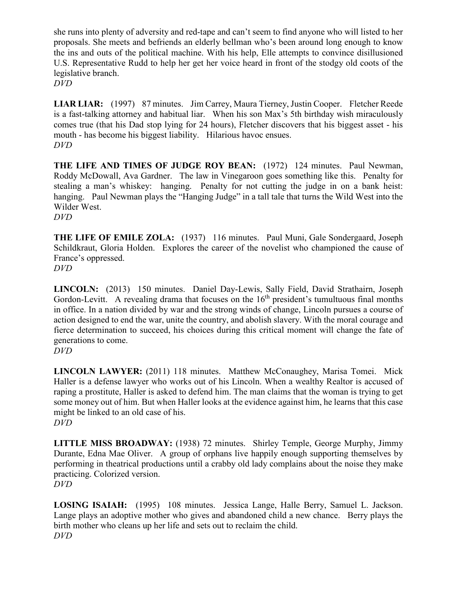she runs into plenty of adversity and red-tape and can't seem to find anyone who will listed to her proposals. She meets and befriends an elderly bellman who's been around long enough to know the ins and outs of the political machine. With his help, Elle attempts to convince disillusioned U.S. Representative Rudd to help her get her voice heard in front of the stodgy old coots of the legislative branch.

*DVD*

**LIAR LIAR:** (1997) 87 minutes. Jim Carrey, Maura Tierney, Justin Cooper. Fletcher Reede is a fast-talking attorney and habitual liar. When his son Max's 5th birthday wish miraculously comes true (that his Dad stop lying for 24 hours), Fletcher discovers that his biggest asset - his mouth - has become his biggest liability. Hilarious havoc ensues. *DVD*

**THE LIFE AND TIMES OF JUDGE ROY BEAN:** (1972) 124 minutes. Paul Newman, Roddy McDowall, Ava Gardner. The law in Vinegaroon goes something like this. Penalty for stealing a man's whiskey: hanging. Penalty for not cutting the judge in on a bank heist: hanging. Paul Newman plays the "Hanging Judge" in a tall tale that turns the Wild West into the Wilder West. *DVD*

**THE LIFE OF EMILE ZOLA:** (1937) 116 minutes. Paul Muni, Gale Sondergaard, Joseph Schildkraut, Gloria Holden. Explores the career of the novelist who championed the cause of France's oppressed.

*DVD*

**LINCOLN:** (2013) 150 minutes. Daniel Day-Lewis, Sally Field, David Strathairn, Joseph Gordon-Levitt. A revealing drama that focuses on the  $16<sup>th</sup>$  president's tumultuous final months in office. In a nation divided by war and the strong winds of change, Lincoln pursues a course of action designed to end the war, unite the country, and abolish slavery. With the moral courage and fierce determination to succeed, his choices during this critical moment will change the fate of generations to come.

**LINCOLN LAWYER:** (2011) 118 minutes. Matthew McConaughey, Marisa Tomei. Mick Haller is a defense lawyer who works out of his Lincoln. When a wealthy Realtor is accused of raping a prostitute, Haller is asked to defend him. The man claims that the woman is trying to get some money out of him. But when Haller looks at the evidence against him, he learns that this case might be linked to an old case of his. *DVD*

**LITTLE MISS BROADWAY:** (1938) 72 minutes. Shirley Temple, George Murphy, Jimmy Durante, Edna Mae Oliver. A group of orphans live happily enough supporting themselves by performing in theatrical productions until a crabby old lady complains about the noise they make practicing. Colorized version. *DVD*

**LOSING ISAIAH:** (1995) 108 minutes. Jessica Lange, Halle Berry, Samuel L. Jackson. Lange plays an adoptive mother who gives and abandoned child a new chance. Berry plays the birth mother who cleans up her life and sets out to reclaim the child. *DVD*

*DVD*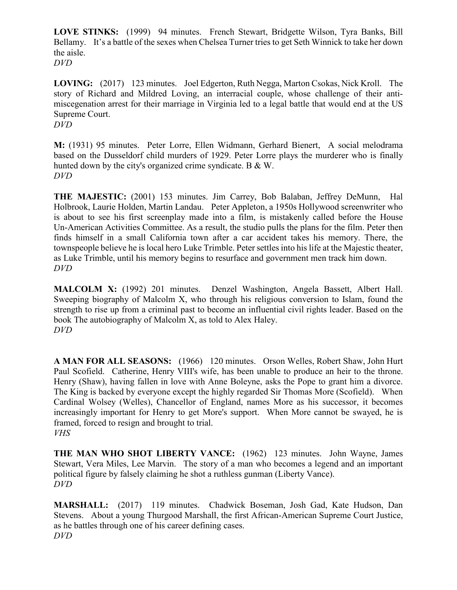**LOVE STINKS:** (1999) 94 minutes. French Stewart, Bridgette Wilson, Tyra Banks, Bill Bellamy. It's a battle of the sexes when Chelsea Turner tries to get Seth Winnick to take her down the aisle. *DVD*

**LOVING:** (2017) 123 minutes. Joel Edgerton, Ruth Negga, Marton Csokas, Nick Kroll. The story of Richard and Mildred Loving, an interracial couple, whose challenge of their antimiscegenation arrest for their marriage in Virginia led to a legal battle that would end at the US Supreme Court. *DVD*

**M:** (1931) 95 minutes. Peter Lorre, Ellen Widmann, Gerhard Bienert, A social melodrama based on the Dusseldorf child murders of 1929. Peter Lorre plays the murderer who is finally hunted down by the city's organized crime syndicate. B & W. *DVD*

**THE MAJESTIC:** (2001) 153 minutes. Jim Carrey, Bob Balaban, Jeffrey DeMunn, Hal Holbrook, Laurie Holden, Martin Landau. Peter Appleton, a 1950s Hollywood screenwriter who is about to see his first screenplay made into a film, is mistakenly called before the House Un-American Activities Committee. As a result, the studio pulls the plans for the film. Peter then finds himself in a small California town after a car accident takes his memory. There, the townspeople believe he is local hero Luke Trimble. Peter settles into his life at the Majestic theater, as Luke Trimble, until his memory begins to resurface and government men track him down. *DVD*

**MALCOLM X:** (1992) 201 minutes. Denzel Washington, Angela Bassett, Albert Hall. Sweeping biography of Malcolm X, who through his religious conversion to Islam, found the strength to rise up from a criminal past to become an influential civil rights leader. Based on the book The autobiography of Malcolm X, as told to Alex Haley. *DVD*

**A MAN FOR ALL SEASONS:** (1966) 120 minutes. Orson Welles, Robert Shaw, John Hurt Paul Scofield. Catherine, Henry VIII's wife, has been unable to produce an heir to the throne. Henry (Shaw), having fallen in love with Anne Boleyne, asks the Pope to grant him a divorce. The King is backed by everyone except the highly regarded Sir Thomas More (Scofield). When Cardinal Wolsey (Welles), Chancellor of England, names More as his successor, it becomes increasingly important for Henry to get More's support. When More cannot be swayed, he is framed, forced to resign and brought to trial. *VHS*

**THE MAN WHO SHOT LIBERTY VANCE:** (1962) 123 minutes. John Wayne, James Stewart, Vera Miles, Lee Marvin. The story of a man who becomes a legend and an important political figure by falsely claiming he shot a ruthless gunman (Liberty Vance). *DVD*

**MARSHALL:** (2017) 119 minutes. Chadwick Boseman, Josh Gad, Kate Hudson, Dan Stevens. About a young Thurgood Marshall, the first African-American Supreme Court Justice, as he battles through one of his career defining cases. *DVD*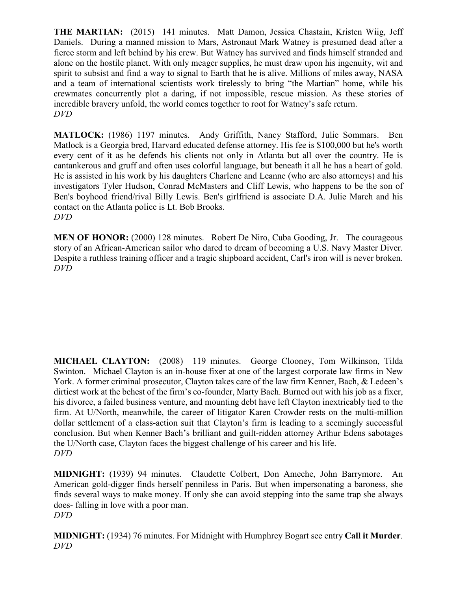**THE MARTIAN:** (2015) 141 minutes. Matt Damon, Jessica Chastain, Kristen Wiig, Jeff Daniels. During a manned mission to Mars, Astronaut Mark Watney is presumed dead after a fierce storm and left behind by his crew. But Watney has survived and finds himself stranded and alone on the hostile planet. With only meager supplies, he must draw upon his ingenuity, wit and spirit to subsist and find a way to signal to Earth that he is alive. Millions of miles away, NASA and a team of international scientists work tirelessly to bring "the Martian" home, while his crewmates concurrently plot a daring, if not impossible, rescue mission. As these stories of incredible bravery unfold, the world comes together to root for Watney's safe return. *DVD*

**MATLOCK:** (1986) 1197 minutes. Andy Griffith, Nancy Stafford, Julie Sommars. Ben Matlock is a Georgia bred, Harvard educated defense attorney. His fee is \$100,000 but he's worth every cent of it as he defends his clients not only in Atlanta but all over the country. He is cantankerous and gruff and often uses colorful language, but beneath it all he has a heart of gold. He is assisted in his work by his daughters Charlene and Leanne (who are also attorneys) and his investigators Tyler Hudson, Conrad McMasters and Cliff Lewis, who happens to be the son of Ben's boyhood friend/rival Billy Lewis. Ben's girlfriend is associate D.A. Julie March and his contact on the Atlanta police is Lt. Bob Brooks. *DVD*

**MEN OF HONOR:** (2000) 128 minutes. Robert De Niro, Cuba Gooding, Jr. The courageous story of an African-American sailor who dared to dream of becoming a U.S. Navy Master Diver. Despite a ruthless training officer and a tragic shipboard accident, Carl's iron will is never broken. *DVD*

**MICHAEL CLAYTON:** (2008) 119 minutes. George Clooney, Tom Wilkinson, Tilda Swinton. Michael Clayton is an in-house fixer at one of the largest corporate law firms in New York. A former criminal prosecutor, Clayton takes care of the law firm Kenner, Bach, & Ledeen's dirtiest work at the behest of the firm's co-founder, Marty Bach. Burned out with his job as a fixer, his divorce, a failed business venture, and mounting debt have left Clayton inextricably tied to the firm. At U/North, meanwhile, the career of litigator Karen Crowder rests on the multi-million dollar settlement of a class-action suit that Clayton's firm is leading to a seemingly successful conclusion. But when Kenner Bach's brilliant and guilt-ridden attorney Arthur Edens sabotages the U/North case, Clayton faces the biggest challenge of his career and his life. *DVD*

**MIDNIGHT:** (1939) 94 minutes. Claudette Colbert, Don Ameche, John Barrymore. An American gold-digger finds herself penniless in Paris. But when impersonating a baroness, she finds several ways to make money. If only she can avoid stepping into the same trap she always does- falling in love with a poor man. *DVD*

**MIDNIGHT:** (1934) 76 minutes. For Midnight with Humphrey Bogart see entry **Call it Murder**. *DVD*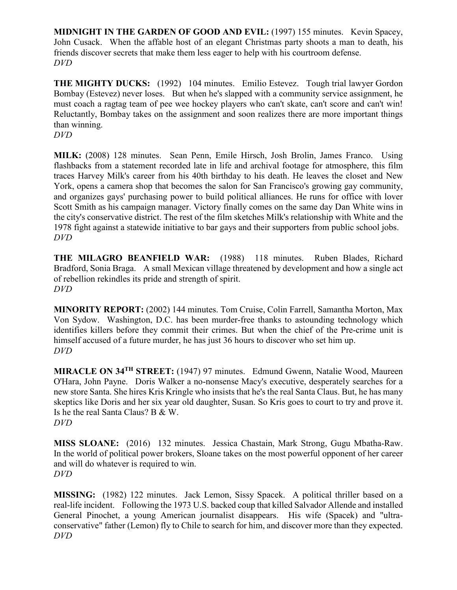**MIDNIGHT IN THE GARDEN OF GOOD AND EVIL:** (1997) 155 minutes. Kevin Spacey, John Cusack. When the affable host of an elegant Christmas party shoots a man to death, his friends discover secrets that make them less eager to help with his courtroom defense. *DVD*

**THE MIGHTY DUCKS:** (1992) 104 minutes. Emilio Estevez. Tough trial lawyer Gordon Bombay (Estevez) never loses. But when he's slapped with a community service assignment, he must coach a ragtag team of pee wee hockey players who can't skate, can't score and can't win! Reluctantly, Bombay takes on the assignment and soon realizes there are more important things than winning.

*DVD*

**MILK:** (2008) 128 minutes. Sean Penn, Emile Hirsch, Josh Brolin, James Franco. Using flashbacks from a statement recorded late in life and archival footage for atmosphere, this film traces Harvey Milk's career from his 40th birthday to his death. He leaves the closet and New York, opens a camera shop that becomes the salon for San Francisco's growing gay community, and organizes gays' purchasing power to build political alliances. He runs for office with lover Scott Smith as his campaign manager. Victory finally comes on the same day Dan White wins in the city's conservative district. The rest of the film sketches Milk's relationship with White and the 1978 fight against a statewide initiative to bar gays and their supporters from public school jobs. *DVD*

**THE MILAGRO BEANFIELD WAR:** (1988) 118 minutes. Ruben Blades, Richard Bradford, Sonia Braga. A small Mexican village threatened by development and how a single act of rebellion rekindles its pride and strength of spirit. *DVD*

**MINORITY REPORT:** (2002) 144 minutes. Tom Cruise, Colin Farrell, Samantha Morton, Max Von Sydow. Washington, D.C. has been murder-free thanks to astounding technology which identifies killers before they commit their crimes. But when the chief of the Pre-crime unit is himself accused of a future murder, he has just 36 hours to discover who set him up. *DVD*

**MIRACLE ON 34TH STREET:** (1947) 97 minutes. Edmund Gwenn, Natalie Wood, Maureen O'Hara, John Payne. Doris Walker a no-nonsense Macy's executive, desperately searches for a new store Santa. She hires Kris Kringle who insists that he's the real Santa Claus. But, he has many skeptics like Doris and her six year old daughter, Susan. So Kris goes to court to try and prove it. Is he the real Santa Claus? B & W. *DVD*

**MISS SLOANE:** (2016) 132 minutes. Jessica Chastain, Mark Strong, Gugu Mbatha-Raw. In the world of political power brokers, Sloane takes on the most powerful opponent of her career and will do whatever is required to win. *DVD*

**MISSING:** (1982) 122 minutes. Jack Lemon, Sissy Spacek. A political thriller based on a real-life incident. Following the 1973 U.S. backed coup that killed Salvador Allende and installed General Pinochet, a young American journalist disappears. His wife (Spacek) and "ultraconservative" father (Lemon) fly to Chile to search for him, and discover more than they expected. *DVD*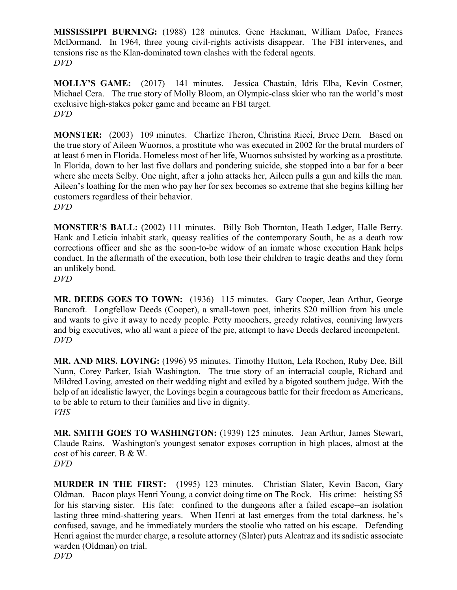**MISSISSIPPI BURNING:** (1988) 128 minutes. Gene Hackman, William Dafoe, Frances McDormand. In 1964, three young civil-rights activists disappear. The FBI intervenes, and tensions rise as the Klan-dominated town clashes with the federal agents. *DVD*

**MOLLY'S GAME:** (2017) 141 minutes. Jessica Chastain, Idris Elba, Kevin Costner, Michael Cera. The true story of Molly Bloom, an Olympic-class skier who ran the world's most exclusive high-stakes poker game and became an FBI target. *DVD*

**MONSTER:** (2003) 109 minutes. Charlize Theron, Christina Ricci, Bruce Dern. Based on the true story of Aileen Wuornos, a prostitute who was executed in 2002 for the brutal murders of at least 6 men in Florida. Homeless most of her life, Wuornos subsisted by working as a prostitute. In Florida, down to her last five dollars and pondering suicide, she stopped into a bar for a beer where she meets Selby. One night, after a john attacks her, Aileen pulls a gun and kills the man. Aileen's loathing for the men who pay her for sex becomes so extreme that she begins killing her customers regardless of their behavior. *DVD*

**MONSTER'S BALL:** (2002) 111 minutes. Billy Bob Thornton, Heath Ledger, Halle Berry. Hank and Leticia inhabit stark, queasy realities of the contemporary South, he as a death row corrections officer and she as the soon-to-be widow of an inmate whose execution Hank helps conduct. In the aftermath of the execution, both lose their children to tragic deaths and they form an unlikely bond.

*DVD*

**MR. DEEDS GOES TO TOWN:** (1936) 115 minutes. Gary Cooper, Jean Arthur, George Bancroft. Longfellow Deeds (Cooper), a small-town poet, inherits \$20 million from his uncle and wants to give it away to needy people. Petty moochers, greedy relatives, conniving lawyers and big executives, who all want a piece of the pie, attempt to have Deeds declared incompetent. *DVD*

**MR. AND MRS. LOVING:** (1996) 95 minutes. Timothy Hutton, Lela Rochon, Ruby Dee, Bill Nunn, Corey Parker, Isiah Washington. The true story of an interracial couple, Richard and Mildred Loving, arrested on their wedding night and exiled by a bigoted southern judge. With the help of an idealistic lawyer, the Lovings begin a courageous battle for their freedom as Americans, to be able to return to their families and live in dignity. *VHS*

**MR. SMITH GOES TO WASHINGTON:** (1939) 125 minutes. Jean Arthur, James Stewart, Claude Rains. Washington's youngest senator exposes corruption in high places, almost at the cost of his career. B & W. *DVD*

**MURDER IN THE FIRST:** (1995) 123 minutes. Christian Slater, Kevin Bacon, Gary Oldman. Bacon plays Henri Young, a convict doing time on The Rock. His crime: heisting \$5 for his starving sister. His fate: confined to the dungeons after a failed escape--an isolation lasting three mind-shattering years. When Henri at last emerges from the total darkness, he's confused, savage, and he immediately murders the stoolie who ratted on his escape. Defending Henri against the murder charge, a resolute attorney (Slater) puts Alcatraz and its sadistic associate warden (Oldman) on trial. *DVD*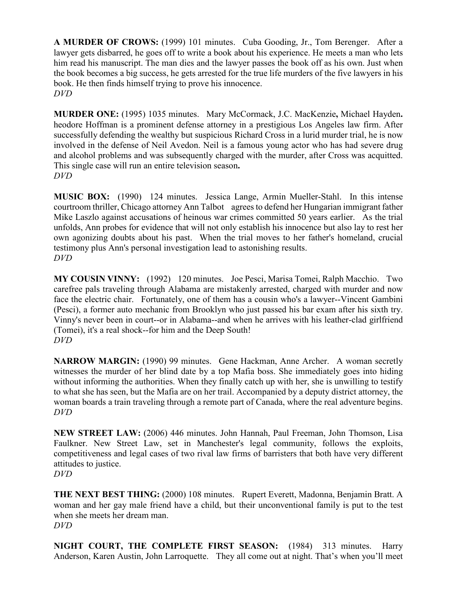**A MURDER OF CROWS:** (1999) 101 minutes. Cuba Gooding, Jr., Tom Berenger. After a lawyer gets disbarred, he goes off to write a book about his experience. He meets a man who lets him read his manuscript. The man dies and the lawyer passes the book off as his own. Just when the book becomes a big success, he gets arrested for the true life murders of the five lawyers in his book. He then finds himself trying to prove his innocence. *DVD*

**MURDER ONE:** (1995) 1035 minutes. Mary McCormack, J.C. MacKenzie**,** Michael Hayden**.**  heodore Hoffman is a prominent defense attorney in a prestigious Los Angeles law firm. After successfully defending the wealthy but suspicious Richard Cross in a lurid murder trial, he is now involved in the defense of Neil Avedon. Neil is a famous young actor who has had severe drug and alcohol problems and was subsequently charged with the murder, after Cross was acquitted. This single case will run an entire television season**.** *DVD*

**MUSIC BOX:** (1990) 124 minutes. Jessica Lange, Armin Mueller-Stahl. In this intense courtroom thriller, Chicago attorney Ann Talbot agrees to defend her Hungarian immigrant father Mike Laszlo against accusations of heinous war crimes committed 50 years earlier. As the trial unfolds, Ann probes for evidence that will not only establish his innocence but also lay to rest her own agonizing doubts about his past. When the trial moves to her father's homeland, crucial testimony plus Ann's personal investigation lead to astonishing results. *DVD*

**MY COUSIN VINNY:** (1992) 120 minutes. Joe Pesci, Marisa Tomei, Ralph Macchio. Two carefree pals traveling through Alabama are mistakenly arrested, charged with murder and now face the electric chair. Fortunately, one of them has a cousin who's a lawyer--Vincent Gambini (Pesci), a former auto mechanic from Brooklyn who just passed his bar exam after his sixth try. Vinny's never been in court--or in Alabama--and when he arrives with his leather-clad girlfriend (Tomei), it's a real shock--for him and the Deep South! *DVD*

**NARROW MARGIN:** (1990) 99 minutes. Gene Hackman, Anne Archer. A woman secretly witnesses the murder of her blind date by a top Mafia boss. She immediately goes into hiding without informing the authorities. When they finally catch up with her, she is unwilling to testify to what she has seen, but the Mafia are on her trail. Accompanied by a deputy district attorney, the woman boards a train traveling through a remote part of Canada, where the real adventure begins. *DVD*

**NEW STREET LAW:** (2006) 446 minutes. John Hannah, Paul Freeman, John Thomson, Lisa Faulkner. New Street Law, set in Manchester's legal community, follows the exploits, competitiveness and legal cases of two rival law firms of barristers that both have very different attitudes to justice.

*DVD*

**THE NEXT BEST THING:** (2000) 108 minutes. Rupert Everett, Madonna, Benjamin Bratt. A woman and her gay male friend have a child, but their unconventional family is put to the test when she meets her dream man. *DVD*

**NIGHT COURT, THE COMPLETE FIRST SEASON:** (1984) 313 minutes. Harry Anderson, Karen Austin, John Larroquette. They all come out at night. That's when you'll meet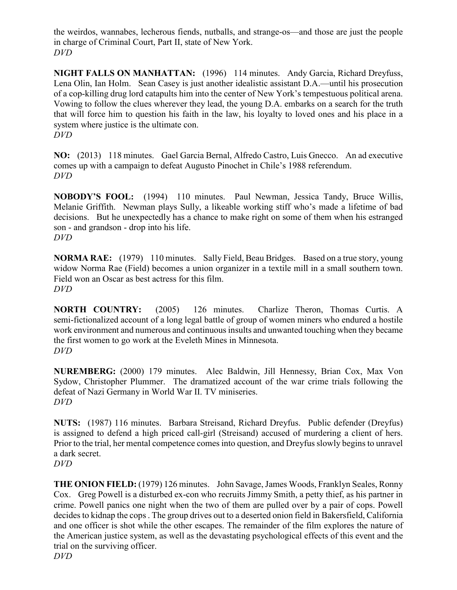the weirdos, wannabes, lecherous fiends, nutballs, and strange-os—and those are just the people in charge of Criminal Court, Part II, state of New York. *DVD*

**NIGHT FALLS ON MANHATTAN:** (1996) 114 minutes. Andy Garcia, Richard Dreyfuss, Lena Olin, Ian Holm. Sean Casey is just another idealistic assistant D.A.—until his prosecution of a cop-killing drug lord catapults him into the center of New York's tempestuous political arena. Vowing to follow the clues wherever they lead, the young D.A. embarks on a search for the truth that will force him to question his faith in the law, his loyalty to loved ones and his place in a system where justice is the ultimate con. *DVD*

**NO:** (2013) 118 minutes. Gael Garcia Bernal, Alfredo Castro, Luis Gnecco. An ad executive comes up with a campaign to defeat Augusto Pinochet in Chile's 1988 referendum. *DVD*

**NOBODY'S FOOL:** (1994) 110 minutes. Paul Newman, Jessica Tandy, Bruce Willis, Melanie Griffith. Newman plays Sully, a likeable working stiff who's made a lifetime of bad decisions. But he unexpectedly has a chance to make right on some of them when his estranged son - and grandson - drop into his life. *DVD*

**NORMA RAE:** (1979) 110 minutes. Sally Field, Beau Bridges. Based on a true story, young widow Norma Rae (Field) becomes a union organizer in a textile mill in a small southern town. Field won an Oscar as best actress for this film. *DVD*

**NORTH COUNTRY:** (2005) 126 minutes. Charlize Theron, Thomas Curtis. A semi-fictionalized account of a long legal battle of group of women miners who endured a hostile work environment and numerous and continuous insults and unwanted touching when they became the first women to go work at the Eveleth Mines in Minnesota. *DVD*

**NUREMBERG:** (2000) 179 minutes. Alec Baldwin, Jill Hennessy, Brian Cox, Max Von Sydow, Christopher Plummer. The dramatized account of the war crime trials following the defeat of Nazi Germany in World War II. TV miniseries. *DVD*

**NUTS:** (1987) 116 minutes. Barbara Streisand, Richard Dreyfus. Public defender (Dreyfus) is assigned to defend a high priced call-girl (Streisand) accused of murdering a client of hers. Prior to the trial, her mental competence comes into question, and Dreyfus slowly begins to unravel a dark secret. *DVD*

**THE ONION FIELD:** (1979) 126 minutes. John Savage, James Woods, Franklyn Seales, Ronny Cox. Greg Powell is a disturbed ex-con who recruits Jimmy Smith, a petty thief, as his partner in crime. Powell panics one night when the two of them are pulled over by a pair of cops. Powell decides to kidnap the cops . The group drives out to a deserted onion field in Bakersfield, California and one officer is shot while the other escapes. The remainder of the film explores the nature of the American justice system, as well as the devastating psychological effects of this event and the trial on the surviving officer. *DVD*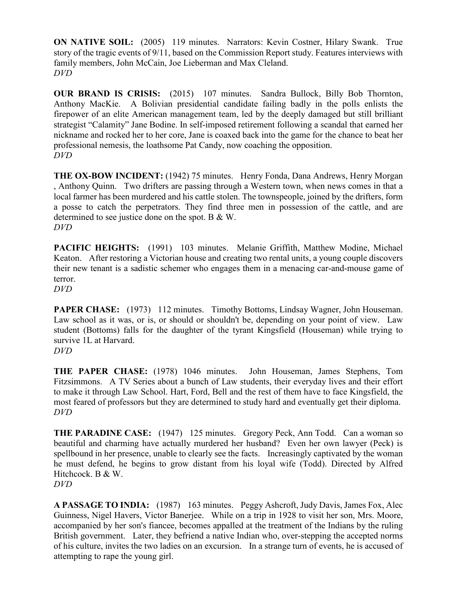**ON NATIVE SOIL:** (2005) 119 minutes. Narrators: Kevin Costner, Hilary Swank. True story of the tragic events of 9/11, based on the Commission Report study. Features interviews with family members, John McCain, Joe Lieberman and Max Cleland. *DVD*

**OUR BRAND IS CRISIS:** (2015) 107 minutes. Sandra Bullock, Billy Bob Thornton, Anthony MacKie. A Bolivian presidential candidate failing badly in the polls enlists the firepower of an elite American management team, led by the deeply damaged but still brilliant strategist "Calamity" Jane Bodine. In self-imposed retirement following a scandal that earned her nickname and rocked her to her core, Jane is coaxed back into the game for the chance to beat her professional nemesis, the loathsome Pat Candy, now coaching the opposition. *DVD*

**THE OX-BOW INCIDENT:** (1942) 75 minutes. Henry Fonda, Dana Andrews, Henry Morgan , Anthony Quinn. Two drifters are passing through a Western town, when news comes in that a local farmer has been murdered and his cattle stolen. The townspeople, joined by the drifters, form a posse to catch the perpetrators. They find three men in possession of the cattle, and are determined to see justice done on the spot. B & W. *DVD*

PACIFIC HEIGHTS: (1991) 103 minutes. Melanie Griffith, Matthew Modine, Michael Keaton. After restoring a Victorian house and creating two rental units, a young couple discovers their new tenant is a sadistic schemer who engages them in a menacing car-and-mouse game of terror.

*DVD*

**PAPER CHASE:** (1973) 112 minutes. Timothy Bottoms, Lindsay Wagner, John Houseman. Law school as it was, or is, or should or shouldn't be, depending on your point of view. Law student (Bottoms) falls for the daughter of the tyrant Kingsfield (Houseman) while trying to survive 1L at Harvard. *DVD*

**THE PAPER CHASE:** (1978) 1046 minutes. John Houseman, James Stephens, Tom Fitzsimmons. A TV Series about a bunch of Law students, their everyday lives and their effort to make it through Law School. Hart, Ford, Bell and the rest of them have to face Kingsfield, the most feared of professors but they are determined to study hard and eventually get their diploma. *DVD*

**THE PARADINE CASE:** (1947) 125 minutes. Gregory Peck, Ann Todd. Can a woman so beautiful and charming have actually murdered her husband? Even her own lawyer (Peck) is spellbound in her presence, unable to clearly see the facts. Increasingly captivated by the woman he must defend, he begins to grow distant from his loyal wife (Todd). Directed by Alfred Hitchcock. B & W.

*DVD*

**A PASSAGE TO INDIA:** (1987) 163 minutes. Peggy Ashcroft, Judy Davis, James Fox, Alec Guinness, Nigel Havers, Victor Banerjee. While on a trip in 1928 to visit her son, Mrs. Moore, accompanied by her son's fiancee, becomes appalled at the treatment of the Indians by the ruling British government. Later, they befriend a native Indian who, over-stepping the accepted norms of his culture, invites the two ladies on an excursion. In a strange turn of events, he is accused of attempting to rape the young girl.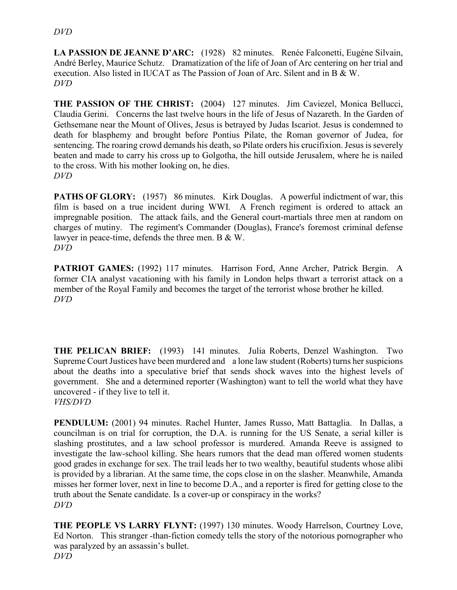**LA PASSION DE JEANNE D'ARC:** (1928) 82 minutes. Renée Falconetti, Eugéne Silvain, André Berley, Maurice Schutz. Dramatization of the life of Joan of Arc centering on her trial and execution. Also listed in IUCAT as The Passion of Joan of Arc. Silent and in B & W. *DVD*

**THE PASSION OF THE CHRIST:** (2004) 127 minutes. Jim Caviezel, Monica Bellucci, Claudia Gerini. Concerns the last twelve hours in the life of Jesus of Nazareth. In the Garden of Gethsemane near the Mount of Olives, Jesus is betrayed by Judas Iscariot. Jesus is condemned to death for blasphemy and brought before Pontius Pilate, the Roman governor of Judea, for sentencing. The roaring crowd demands his death, so Pilate orders his crucifixion. Jesus is severely beaten and made to carry his cross up to Golgotha, the hill outside Jerusalem, where he is nailed to the cross. With his mother looking on, he dies. *DVD*

**PATHS OF GLORY:** (1957) 86 minutes. Kirk Douglas. A powerful indictment of war, this film is based on a true incident during WWI. A French regiment is ordered to attack an impregnable position. The attack fails, and the General court-martials three men at random on charges of mutiny. The regiment's Commander (Douglas), France's foremost criminal defense lawyer in peace-time, defends the three men. B & W. *DVD*

**PATRIOT GAMES:** (1992) 117 minutes. Harrison Ford, Anne Archer, Patrick Bergin. A former CIA analyst vacationing with his family in London helps thwart a terrorist attack on a member of the Royal Family and becomes the target of the terrorist whose brother he killed. *DVD*

**THE PELICAN BRIEF:** (1993) 141 minutes. Julia Roberts, Denzel Washington. Two Supreme Court Justices have been murdered and a lone law student (Roberts) turns her suspicions about the deaths into a speculative brief that sends shock waves into the highest levels of government. She and a determined reporter (Washington) want to tell the world what they have uncovered - if they live to tell it. *VHS/DVD*

**PENDULUM:** (2001) 94 minutes. Rachel Hunter, James Russo, Matt Battaglia. In Dallas, a councilman is on trial for corruption, the D.A. is running for the US Senate, a serial killer is slashing prostitutes, and a law school professor is murdered. Amanda Reeve is assigned to investigate the law-school killing. She hears rumors that the dead man offered women students good grades in exchange for sex. The trail leads her to two wealthy, beautiful students whose alibi is provided by a librarian. At the same time, the cops close in on the slasher. Meanwhile, Amanda misses her former lover, next in line to become D.A., and a reporter is fired for getting close to the truth about the Senate candidate. Is a cover-up or conspiracy in the works? *DVD*

**THE PEOPLE VS LARRY FLYNT:** (1997) 130 minutes. Woody Harrelson, Courtney Love, Ed Norton. This stranger -than-fiction comedy tells the story of the notorious pornographer who was paralyzed by an assassin's bullet. *DVD*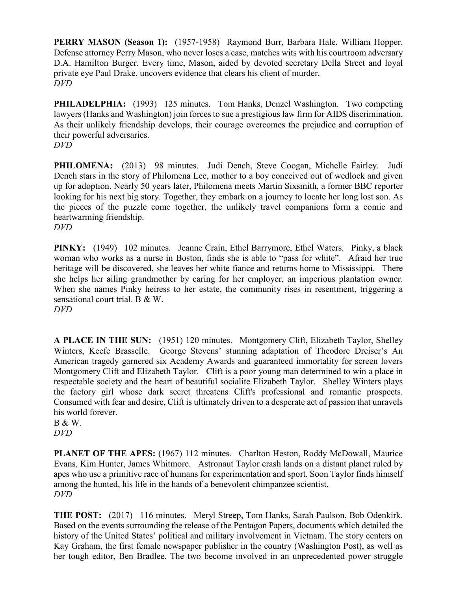**PERRY MASON (Season 1):** (1957-1958) Raymond Burr, Barbara Hale, William Hopper. Defense attorney Perry Mason, who never loses a case, matches wits with his courtroom adversary D.A. Hamilton Burger. Every time, Mason, aided by devoted secretary Della Street and loyal private eye Paul Drake, uncovers evidence that clears his client of murder. *DVD*

**PHILADELPHIA:** (1993) 125 minutes. Tom Hanks, Denzel Washington. Two competing lawyers (Hanks and Washington) join forces to sue a prestigious law firm for AIDS discrimination. As their unlikely friendship develops, their courage overcomes the prejudice and corruption of their powerful adversaries.

*DVD*

**PHILOMENA:** (2013) 98 minutes. Judi Dench, Steve Coogan, Michelle Fairley. Judi Dench stars in the story of Philomena Lee, mother to a boy conceived out of wedlock and given up for adoption. Nearly 50 years later, Philomena meets Martin Sixsmith, a former BBC reporter looking for his next big story. Together, they embark on a journey to locate her long lost son. As the pieces of the puzzle come together, the unlikely travel companions form a comic and heartwarming friendship.

*DVD*

**PINKY:** (1949) 102 minutes. Jeanne Crain, Ethel Barrymore, Ethel Waters. Pinky, a black woman who works as a nurse in Boston, finds she is able to "pass for white". Afraid her true heritage will be discovered, she leaves her white fiance and returns home to Mississippi. There she helps her ailing grandmother by caring for her employer, an imperious plantation owner. When she names Pinky heiress to her estate, the community rises in resentment, triggering a sensational court trial. B & W.

*DVD*

**A PLACE IN THE SUN:** (1951) 120 minutes. Montgomery Clift, Elizabeth Taylor, Shelley Winters, Keefe Brasselle. George Stevens' stunning adaptation of Theodore Dreiser's An American tragedy garnered six Academy Awards and guaranteed immortality for screen lovers Montgomery Clift and Elizabeth Taylor. Clift is a poor young man determined to win a place in respectable society and the heart of beautiful socialite Elizabeth Taylor. Shelley Winters plays the factory girl whose dark secret threatens Clift's professional and romantic prospects. Consumed with fear and desire, Clift is ultimately driven to a desperate act of passion that unravels his world forever.

B & W. *DVD*

**PLANET OF THE APES:** (1967) 112 minutes. Charlton Heston, Roddy McDowall, Maurice Evans, Kim Hunter, James Whitmore. Astronaut Taylor crash lands on a distant planet ruled by apes who use a primitive race of humans for experimentation and sport. Soon Taylor finds himself among the hunted, his life in the hands of a benevolent chimpanzee scientist. *DVD*

**THE POST:** (2017) 116 minutes. Meryl Streep, Tom Hanks, Sarah Paulson, Bob Odenkirk. Based on the events surrounding the release of the Pentagon Papers, documents which detailed the history of the United States' political and military involvement in Vietnam. The story centers on Kay Graham, the first female newspaper publisher in the country (Washington Post), as well as her tough editor, Ben Bradlee. The two become involved in an unprecedented power struggle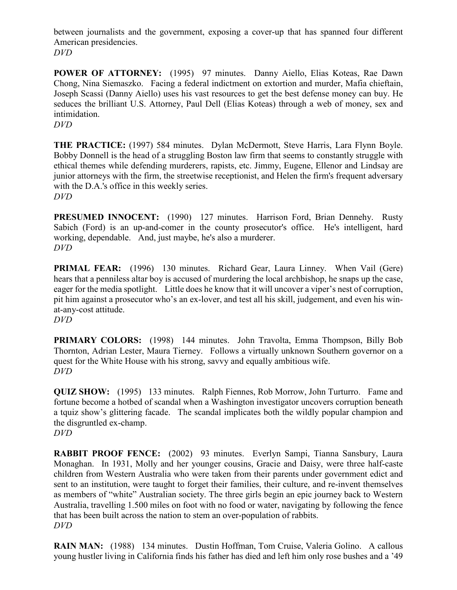between journalists and the government, exposing a cover-up that has spanned four different American presidencies. *DVD*

**POWER OF ATTORNEY:** (1995) 97 minutes. Danny Aiello, Elias Koteas, Rae Dawn Chong, Nina Siemaszko. Facing a federal indictment on extortion and murder, Mafia chieftain, Joseph Scassi (Danny Aiello) uses his vast resources to get the best defense money can buy. He seduces the brilliant U.S. Attorney, Paul Dell (Elias Koteas) through a web of money, sex and intimidation.

*DVD*

**THE PRACTICE:** (1997) 584 minutes. Dylan McDermott, Steve Harris, Lara Flynn Boyle. Bobby Donnell is the head of a struggling Boston law firm that seems to constantly struggle with ethical themes while defending murderers, rapists, etc. Jimmy, Eugene, Ellenor and Lindsay are junior attorneys with the firm, the streetwise receptionist, and Helen the firm's frequent adversary with the D.A.'s office in this weekly series. *DVD*

**PRESUMED INNOCENT:** (1990) 127 minutes. Harrison Ford, Brian Dennehy. Rusty Sabich (Ford) is an up-and-comer in the county prosecutor's office. He's intelligent, hard working, dependable. And, just maybe, he's also a murderer. *DVD*

**PRIMAL FEAR:** (1996) 130 minutes. Richard Gear, Laura Linney. When Vail (Gere) hears that a penniless altar boy is accused of murdering the local archbishop, he snaps up the case, eager for the media spotlight. Little does he know that it will uncover a viper's nest of corruption, pit him against a prosecutor who's an ex-lover, and test all his skill, judgement, and even his winat-any-cost attitude. *DVD*

**PRIMARY COLORS:** (1998) 144 minutes. John Travolta, Emma Thompson, Billy Bob Thornton, Adrian Lester, Maura Tierney. Follows a virtually unknown Southern governor on a quest for the White House with his strong, savvy and equally ambitious wife. *DVD*

**QUIZ SHOW:** (1995) 133 minutes. Ralph Fiennes, Rob Morrow, John Turturro. Fame and fortune become a hotbed of scandal when a Washington investigator uncovers corruption beneath a tquiz show's glittering facade. The scandal implicates both the wildly popular champion and the disgruntled ex-champ. *DVD*

**RABBIT PROOF FENCE:** (2002) 93 minutes. Everlyn Sampi, Tianna Sansbury, Laura Monaghan. In 1931, Molly and her younger cousins, Gracie and Daisy, were three half-caste children from Western Australia who were taken from their parents under government edict and sent to an institution, were taught to forget their families, their culture, and re-invent themselves as members of "white" Australian society. The three girls begin an epic journey back to Western Australia, travelling 1.500 miles on foot with no food or water, navigating by following the fence that has been built across the nation to stem an over-population of rabbits. *DVD*

**RAIN MAN:** (1988) 134 minutes. Dustin Hoffman, Tom Cruise, Valeria Golino. A callous young hustler living in California finds his father has died and left him only rose bushes and a '49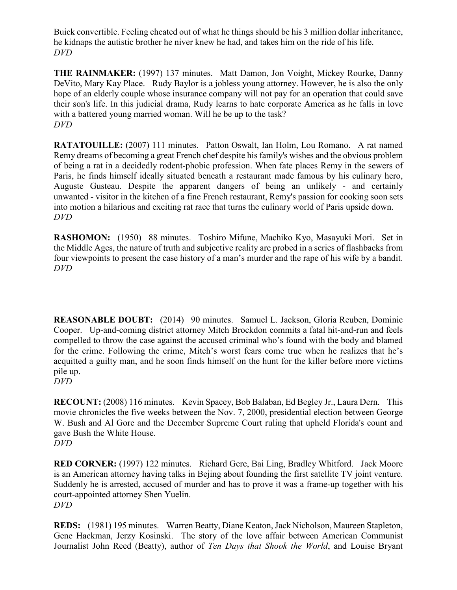Buick convertible. Feeling cheated out of what he things should be his 3 million dollar inheritance, he kidnaps the autistic brother he niver knew he had, and takes him on the ride of his life. *DVD*

**THE RAINMAKER:** (1997) 137 minutes. Matt Damon, Jon Voight, Mickey Rourke, Danny DeVito, Mary Kay Place. Rudy Baylor is a jobless young attorney. However, he is also the only hope of an elderly couple whose insurance company will not pay for an operation that could save their son's life. In this judicial drama, Rudy learns to hate corporate America as he falls in love with a battered young married woman. Will he be up to the task? *DVD*

**RATATOUILLE:** (2007) 111 minutes. Patton Oswalt, Ian Holm, Lou Romano. A rat named Remy dreams of becoming a great French chef despite his family's wishes and the obvious problem of being a rat in a decidedly rodent-phobic profession. When fate places Remy in the sewers of Paris, he finds himself ideally situated beneath a restaurant made famous by his culinary hero, Auguste Gusteau. Despite the apparent dangers of being an unlikely - and certainly unwanted - visitor in the kitchen of a fine French restaurant, Remy's passion for cooking soon sets into motion a hilarious and exciting rat race that turns the culinary world of Paris upside down. *DVD*

**RASHOMON:** (1950) 88 minutes. Toshiro Mifune, Machiko Kyo, Masayuki Mori. Set in the Middle Ages, the nature of truth and subjective reality are probed in a series of flashbacks from four viewpoints to present the case history of a man's murder and the rape of his wife by a bandit. *DVD*

**REASONABLE DOUBT:** (2014) 90 minutes. Samuel L. Jackson, Gloria Reuben, Dominic Cooper. Up-and-coming district attorney Mitch Brockdon commits a fatal hit-and-run and feels compelled to throw the case against the accused criminal who's found with the body and blamed for the crime. Following the crime, Mitch's worst fears come true when he realizes that he's acquitted a guilty man, and he soon finds himself on the hunt for the killer before more victims pile up.

*DVD*

**RECOUNT:** (2008) 116 minutes. Kevin Spacey, Bob Balaban, Ed Begley Jr., Laura Dern. This movie chronicles the five weeks between the Nov. 7, 2000, presidential election between George W. Bush and Al Gore and the December Supreme Court ruling that upheld Florida's count and gave Bush the White House. *DVD*

**RED CORNER:** (1997) 122 minutes. Richard Gere, Bai Ling, Bradley Whitford. Jack Moore is an American attorney having talks in Bejing about founding the first satellite TV joint venture. Suddenly he is arrested, accused of murder and has to prove it was a frame-up together with his court-appointed attorney Shen Yuelin. *DVD*

**REDS:** (1981) 195 minutes. Warren Beatty, Diane Keaton, Jack Nicholson, Maureen Stapleton, Gene Hackman, Jerzy Kosinski. The story of the love affair between American Communist Journalist John Reed (Beatty), author of *Ten Days that Shook the World*, and Louise Bryant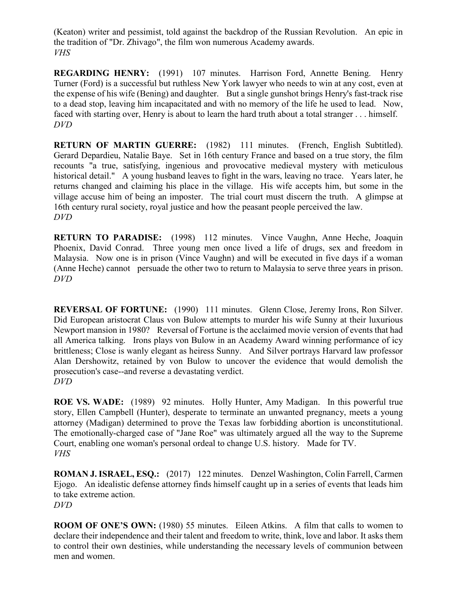(Keaton) writer and pessimist, told against the backdrop of the Russian Revolution. An epic in the tradition of "Dr. Zhivago", the film won numerous Academy awards. *VHS*

**REGARDING HENRY:** (1991) 107 minutes. Harrison Ford, Annette Bening. Henry Turner (Ford) is a successful but ruthless New York lawyer who needs to win at any cost, even at the expense of his wife (Bening) and daughter. But a single gunshot brings Henry's fast-track rise to a dead stop, leaving him incapacitated and with no memory of the life he used to lead. Now, faced with starting over, Henry is about to learn the hard truth about a total stranger . . . himself. *DVD*

**RETURN OF MARTIN GUERRE:** (1982) 111 minutes. (French, English Subtitled). Gerard Depardieu, Natalie Baye. Set in 16th century France and based on a true story, the film recounts "a true, satisfying, ingenious and provocative medieval mystery with meticulous historical detail." A young husband leaves to fight in the wars, leaving no trace. Years later, he returns changed and claiming his place in the village. His wife accepts him, but some in the village accuse him of being an imposter. The trial court must discern the truth. A glimpse at 16th century rural society, royal justice and how the peasant people perceived the law. *DVD*

**RETURN TO PARADISE:** (1998) 112 minutes. Vince Vaughn, Anne Heche, Joaquin Phoenix, David Conrad. Three young men once lived a life of drugs, sex and freedom in Malaysia. Now one is in prison (Vince Vaughn) and will be executed in five days if a woman (Anne Heche) cannot persuade the other two to return to Malaysia to serve three years in prison. *DVD*

**REVERSAL OF FORTUNE:** (1990) 111 minutes. Glenn Close, Jeremy Irons, Ron Silver. Did European aristocrat Claus von Bulow attempts to murder his wife Sunny at their luxurious Newport mansion in 1980? Reversal of Fortune is the acclaimed movie version of events that had all America talking. Irons plays von Bulow in an Academy Award winning performance of icy brittleness; Close is wanly elegant as heiress Sunny. And Silver portrays Harvard law professor Alan Dershowitz, retained by von Bulow to uncover the evidence that would demolish the prosecution's case--and reverse a devastating verdict. *DVD*

**ROE VS. WADE:** (1989) 92 minutes. Holly Hunter, Amy Madigan. In this powerful true story, Ellen Campbell (Hunter), desperate to terminate an unwanted pregnancy, meets a young attorney (Madigan) determined to prove the Texas law forbidding abortion is unconstitutional. The emotionally-charged case of "Jane Roe" was ultimately argued all the way to the Supreme Court, enabling one woman's personal ordeal to change U.S. history. Made for TV. *VHS*

**ROMAN J. ISRAEL, ESQ.:** (2017) 122 minutes. Denzel Washington, Colin Farrell, Carmen Ejogo. An idealistic defense attorney finds himself caught up in a series of events that leads him to take extreme action. *DVD*

**ROOM OF ONE'S OWN:** (1980) 55 minutes. Eileen Atkins. A film that calls to women to declare their independence and their talent and freedom to write, think, love and labor. It asks them to control their own destinies, while understanding the necessary levels of communion between men and women.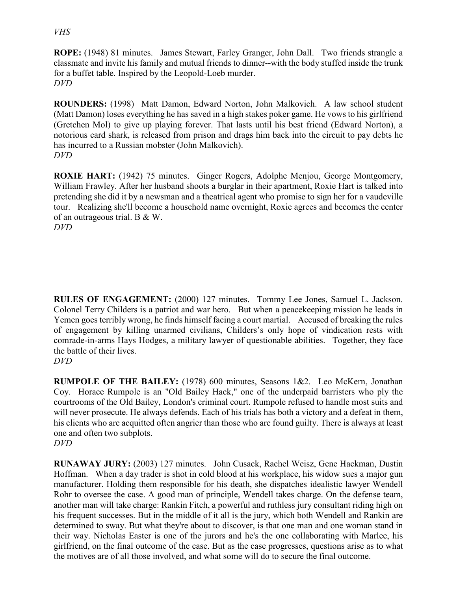#### *VHS*

**ROPE:** (1948) 81 minutes. James Stewart, Farley Granger, John Dall. Two friends strangle a classmate and invite his family and mutual friends to dinner--with the body stuffed inside the trunk for a buffet table. Inspired by the Leopold-Loeb murder. *DVD*

**ROUNDERS:** (1998) Matt Damon, Edward Norton, John Malkovich. A law school student (Matt Damon) loses everything he has saved in a high stakes poker game. He vows to his girlfriend (Gretchen Mol) to give up playing forever. That lasts until his best friend (Edward Norton), a notorious card shark, is released from prison and drags him back into the circuit to pay debts he has incurred to a Russian mobster (John Malkovich). *DVD*

**ROXIE HART:** (1942) 75 minutes. Ginger Rogers, Adolphe Menjou, George Montgomery, William Frawley. After her husband shoots a burglar in their apartment, Roxie Hart is talked into pretending she did it by a newsman and a theatrical agent who promise to sign her for a vaudeville tour. Realizing she'll become a household name overnight, Roxie agrees and becomes the center of an outrageous trial. B & W. *DVD*

**RULES OF ENGAGEMENT:** (2000) 127 minutes. Tommy Lee Jones, Samuel L. Jackson. Colonel Terry Childers is a patriot and war hero. But when a peacekeeping mission he leads in Yemen goes terribly wrong, he finds himself facing a court martial. Accused of breaking the rules of engagement by killing unarmed civilians, Childers's only hope of vindication rests with comrade-in-arms Hays Hodges, a military lawyer of questionable abilities. Together, they face the battle of their lives.

*DVD*

**RUMPOLE OF THE BAILEY:** (1978) 600 minutes, Seasons 1&2. Leo McKern, Jonathan Coy. Horace Rumpole is an "Old Bailey Hack," one of the underpaid barristers who ply the courtrooms of the Old Bailey, London's criminal court. Rumpole refused to handle most suits and will never prosecute. He always defends. Each of his trials has both a victory and a defeat in them, his clients who are acquitted often angrier than those who are found guilty. There is always at least one and often two subplots. *DVD*

**RUNAWAY JURY:** (2003) 127 minutes. John Cusack, Rachel Weisz, Gene Hackman, Dustin Hoffman. When a day trader is shot in cold blood at his workplace, his widow sues a major gun manufacturer. Holding them responsible for his death, she dispatches idealistic lawyer Wendell Rohr to oversee the case. A good man of principle, Wendell takes charge. On the defense team, another man will take charge: Rankin Fitch, a powerful and ruthless jury consultant riding high on his frequent successes. But in the middle of it all is the jury, which both Wendell and Rankin are determined to sway. But what they're about to discover, is that one man and one woman stand in their way. Nicholas Easter is one of the jurors and he's the one collaborating with Marlee, his girlfriend, on the final outcome of the case. But as the case progresses, questions arise as to what the motives are of all those involved, and what some will do to secure the final outcome.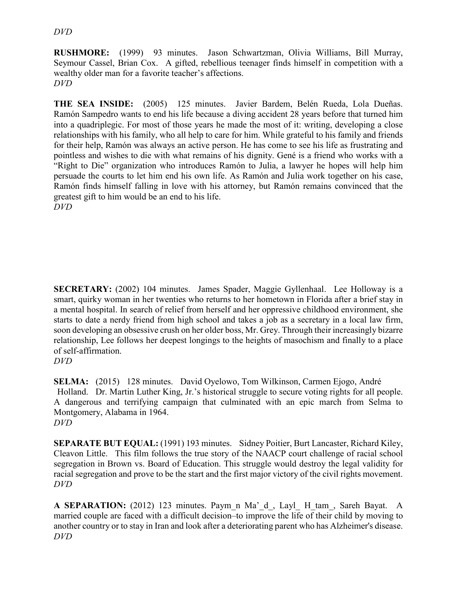#### *DVD*

**RUSHMORE:** (1999) 93 minutes. Jason Schwartzman, Olivia Williams, Bill Murray, Seymour Cassel, Brian Cox. A gifted, rebellious teenager finds himself in competition with a wealthy older man for a favorite teacher's affections. *DVD*

**THE SEA INSIDE:** (2005) 125 minutes. Javier Bardem, Belén Rueda, Lola Dueñas. Ramón Sampedro wants to end his life because a diving accident 28 years before that turned him into a quadriplegic. For most of those years he made the most of it: writing, developing a close relationships with his family, who all help to care for him. While grateful to his family and friends for their help, Ramón was always an active person. He has come to see his life as frustrating and pointless and wishes to die with what remains of his dignity. Gené is a friend who works with a "Right to Die" organization who introduces Ramón to Julia, a lawyer he hopes will help him persuade the courts to let him end his own life. As Ramón and Julia work together on his case, Ramón finds himself falling in love with his attorney, but Ramón remains convinced that the greatest gift to him would be an end to his life. *DVD*

**SECRETARY:** (2002) 104 minutes. James Spader, Maggie Gyllenhaal. Lee Holloway is a smart, quirky woman in her twenties who returns to her hometown in Florida after a brief stay in a mental hospital. In search of relief from herself and her oppressive childhood environment, she starts to date a nerdy friend from high school and takes a job as a secretary in a local law firm, soon developing an obsessive crush on her older boss, Mr. Grey. Through their increasingly bizarre relationship, Lee follows her deepest longings to the heights of masochism and finally to a place of self-affirmation.

**SELMA:** (2015) 128 minutes. David Oyelowo, Tom Wilkinson, Carmen Ejogo, André Holland. Dr. Martin Luther King, Jr.'s historical struggle to secure voting rights for all people. A dangerous and terrifying campaign that culminated with an epic march from Selma to Montgomery, Alabama in 1964. *DVD*

**SEPARATE BUT EQUAL:** (1991) 193 minutes. Sidney Poitier, Burt Lancaster, Richard Kiley, Cleavon Little. This film follows the true story of the NAACP court challenge of racial school segregation in Brown vs. Board of Education. This struggle would destroy the legal validity for racial segregation and prove to be the start and the first major victory of the civil rights movement. *DVD*

**A SEPARATION:** (2012) 123 minutes. Paym\_n Ma'\_d\_, Layl\_ H\_tam\_, Sareh Bayat. A married couple are faced with a difficult decision–to improve the life of their child by moving to another country or to stay in Iran and look after a deteriorating parent who has Alzheimer's disease. *DVD*

*DVD*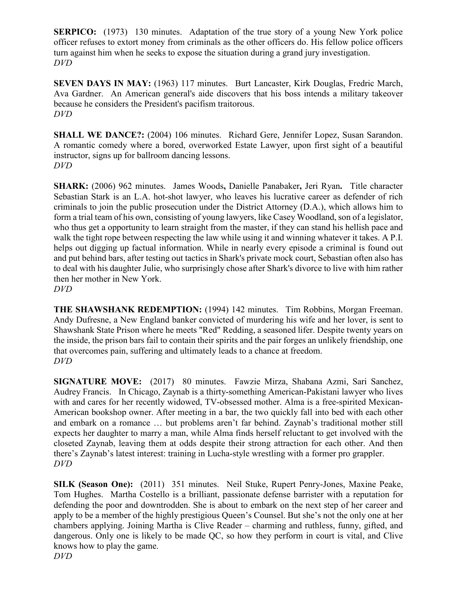**SERPICO:** (1973) 130 minutes. Adaptation of the true story of a young New York police officer refuses to extort money from criminals as the other officers do. His fellow police officers turn against him when he seeks to expose the situation during a grand jury investigation. *DVD*

**SEVEN DAYS IN MAY:** (1963) 117 minutes. Burt Lancaster, Kirk Douglas, Fredric March, Ava Gardner. An American general's aide discovers that his boss intends a military takeover because he considers the President's pacifism traitorous. *DVD*

**SHALL WE DANCE?:** (2004) 106 minutes. Richard Gere, Jennifer Lopez, Susan Sarandon. A romantic comedy where a bored, overworked Estate Lawyer, upon first sight of a beautiful instructor, signs up for ballroom dancing lessons. *DVD*

**SHARK:** (2006) 962 minutes. James Woods**,** Danielle Panabaker**,** Jeri Ryan**.** Title character Sebastian Stark is an L.A. hot-shot lawyer, who leaves his lucrative career as defender of rich criminals to join the public prosecution under the District Attorney (D.A.), which allows him to form a trial team of his own, consisting of young lawyers, like Casey Woodland, son of a legislator, who thus get a opportunity to learn straight from the master, if they can stand his hellish pace and walk the tight rope between respecting the law while using it and winning whatever it takes. A P.I. helps out digging up factual information. While in nearly every episode a criminal is found out and put behind bars, after testing out tactics in Shark's private mock court, Sebastian often also has to deal with his daughter Julie, who surprisingly chose after Shark's divorce to live with him rather then her mother in New York. *DVD*

**THE SHAWSHANK REDEMPTION:** (1994) 142 minutes. Tim Robbins, Morgan Freeman. Andy Dufresne, a New England banker convicted of murdering his wife and her lover, is sent to Shawshank State Prison where he meets "Red" Redding, a seasoned lifer. Despite twenty years on the inside, the prison bars fail to contain their spirits and the pair forges an unlikely friendship, one that overcomes pain, suffering and ultimately leads to a chance at freedom. *DVD*

**SIGNATURE MOVE:** (2017) 80 minutes. Fawzie Mirza, Shabana Azmi, Sari Sanchez, Audrey Francis. In Chicago, Zaynab is a thirty-something American-Pakistani lawyer who lives with and cares for her recently widowed, TV-obsessed mother. Alma is a free-spirited Mexican-American bookshop owner. After meeting in a bar, the two quickly fall into bed with each other and embark on a romance … but problems aren't far behind. Zaynab's traditional mother still expects her daughter to marry a man, while Alma finds herself reluctant to get involved with the closeted Zaynab, leaving them at odds despite their strong attraction for each other. And then there's Zaynab's latest interest: training in Lucha-style wrestling with a former pro grappler. *DVD*

**SILK (Season One):** (2011) 351 minutes. Neil Stuke, Rupert Penry-Jones, Maxine Peake, Tom Hughes. Martha Costello is a brilliant, passionate defense barrister with a reputation for defending the poor and downtrodden. She is about to embark on the next step of her career and apply to be a member of the highly prestigious Queen's Counsel. But she's not the only one at her chambers applying. Joining Martha is Clive Reader – charming and ruthless, funny, gifted, and dangerous. Only one is likely to be made QC, so how they perform in court is vital, and Clive knows how to play the game. *DVD*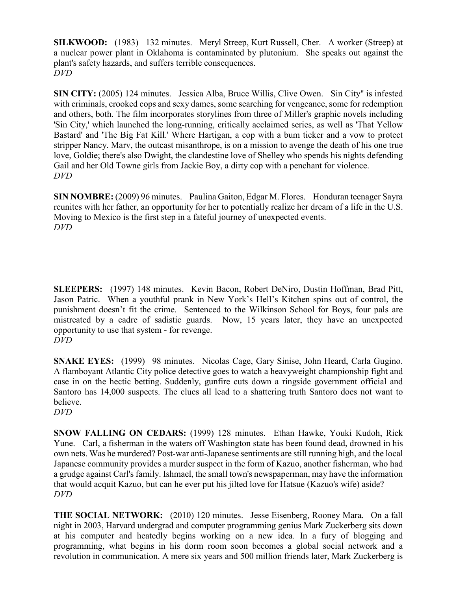**SILKWOOD:** (1983) 132 minutes. Meryl Streep, Kurt Russell, Cher. A worker (Streep) at a nuclear power plant in Oklahoma is contaminated by plutonium. She speaks out against the plant's safety hazards, and suffers terrible consequences. *DVD*

**SIN CITY:** (2005) 124 minutes. Jessica Alba, Bruce Willis, Clive Owen. Sin City" is infested with criminals, crooked cops and sexy dames, some searching for vengeance, some for redemption and others, both. The film incorporates storylines from three of Miller's graphic novels including 'Sin City,' which launched the long-running, critically acclaimed series, as well as 'That Yellow Bastard' and 'The Big Fat Kill.' Where Hartigan, a cop with a bum ticker and a vow to protect stripper Nancy. Marv, the outcast misanthrope, is on a mission to avenge the death of his one true love, Goldie; there's also Dwight, the clandestine love of Shelley who spends his nights defending Gail and her Old Towne girls from Jackie Boy, a dirty cop with a penchant for violence. *DVD*

**SIN NOMBRE:** (2009) 96 minutes. Paulina Gaiton, Edgar M. Flores. Honduran teenager Sayra reunites with her father, an opportunity for her to potentially realize her dream of a life in the U.S. Moving to Mexico is the first step in a fateful journey of unexpected events. *DVD*

**SLEEPERS:** (1997) 148 minutes. Kevin Bacon, Robert DeNiro, Dustin Hoffman, Brad Pitt, Jason Patric. When a youthful prank in New York's Hell's Kitchen spins out of control, the punishment doesn't fit the crime. Sentenced to the Wilkinson School for Boys, four pals are mistreated by a cadre of sadistic guards. Now, 15 years later, they have an unexpected opportunity to use that system - for revenge. *DVD*

**SNAKE EYES:** (1999) 98 minutes. Nicolas Cage, Gary Sinise, John Heard, Carla Gugino. A flamboyant Atlantic City police detective goes to watch a heavyweight championship fight and case in on the hectic betting. Suddenly, gunfire cuts down a ringside government official and Santoro has 14,000 suspects. The clues all lead to a shattering truth Santoro does not want to believe.

*DVD*

**SNOW FALLING ON CEDARS:** (1999) 128 minutes. Ethan Hawke, Youki Kudoh, Rick Yune. Carl, a fisherman in the waters off Washington state has been found dead, drowned in his own nets. Was he murdered? Post-war anti-Japanese sentiments are still running high, and the local Japanese community provides a murder suspect in the form of Kazuo, another fisherman, who had a grudge against Carl's family. Ishmael, the small town's newspaperman, may have the information that would acquit Kazuo, but can he ever put his jilted love for Hatsue (Kazuo's wife) aside? *DVD*

**THE SOCIAL NETWORK:** (2010) 120 minutes. Jesse Eisenberg, Rooney Mara. On a fall night in 2003, Harvard undergrad and computer programming genius Mark Zuckerberg sits down at his computer and heatedly begins working on a new idea. In a fury of blogging and programming, what begins in his dorm room soon becomes a global social network and a revolution in communication. A mere six years and 500 million friends later, Mark Zuckerberg is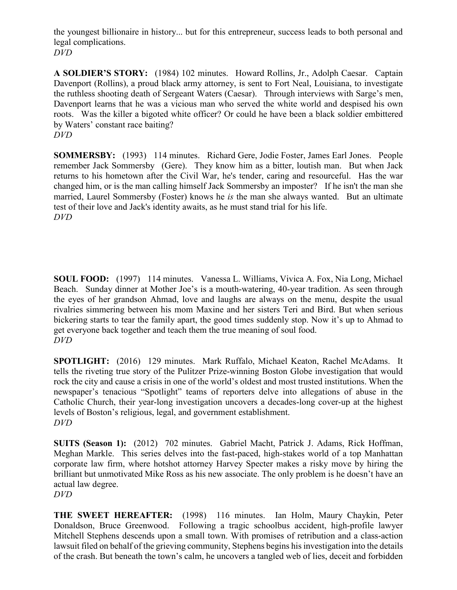the youngest billionaire in history... but for this entrepreneur, success leads to both personal and legal complications. *DVD*

**A SOLDIER'S STORY:** (1984) 102 minutes. Howard Rollins, Jr., Adolph Caesar. Captain Davenport (Rollins), a proud black army attorney, is sent to Fort Neal, Louisiana, to investigate the ruthless shooting death of Sergeant Waters (Caesar). Through interviews with Sarge's men, Davenport learns that he was a vicious man who served the white world and despised his own roots. Was the killer a bigoted white officer? Or could he have been a black soldier embittered by Waters' constant race baiting? *DVD*

**SOMMERSBY:** (1993) 114 minutes. Richard Gere, Jodie Foster, James Earl Jones. People remember Jack Sommersby (Gere). They know him as a bitter, loutish man. But when Jack returns to his hometown after the Civil War, he's tender, caring and resourceful. Has the war changed him, or is the man calling himself Jack Sommersby an imposter? If he isn't the man she married, Laurel Sommersby (Foster) knows he *is* the man she always wanted. But an ultimate test of their love and Jack's identity awaits, as he must stand trial for his life. *DVD*

**SOUL FOOD:** (1997) 114 minutes. Vanessa L. Williams, Vivica A. Fox, Nia Long, Michael Beach. Sunday dinner at Mother Joe's is a mouth-watering, 40-year tradition. As seen through the eyes of her grandson Ahmad, love and laughs are always on the menu, despite the usual rivalries simmering between his mom Maxine and her sisters Teri and Bird. But when serious bickering starts to tear the family apart, the good times suddenly stop. Now it's up to Ahmad to get everyone back together and teach them the true meaning of soul food. *DVD*

**SPOTLIGHT:** (2016) 129 minutes. Mark Ruffalo, Michael Keaton, Rachel McAdams. It tells the riveting true story of the Pulitzer Prize-winning Boston Globe investigation that would rock the city and cause a crisis in one of the world's oldest and most trusted institutions. When the newspaper's tenacious "Spotlight" teams of reporters delve into allegations of abuse in the Catholic Church, their year-long investigation uncovers a decades-long cover-up at the highest levels of Boston's religious, legal, and government establishment. *DVD*

**SUITS (Season 1):** (2012) 702 minutes. Gabriel Macht, Patrick J. Adams, Rick Hoffman, Meghan Markle. This series delves into the fast-paced, high-stakes world of a top Manhattan corporate law firm, where hotshot attorney Harvey Specter makes a risky move by hiring the brilliant but unmotivated Mike Ross as his new associate. The only problem is he doesn't have an actual law degree.

*DVD*

**THE SWEET HEREAFTER:** (1998) 116 minutes. Ian Holm, Maury Chaykin, Peter Donaldson, Bruce Greenwood. Following a tragic schoolbus accident, high-profile lawyer Mitchell Stephens descends upon a small town. With promises of retribution and a class-action lawsuit filed on behalf of the grieving community, Stephens begins his investigation into the details of the crash. But beneath the town's calm, he uncovers a tangled web of lies, deceit and forbidden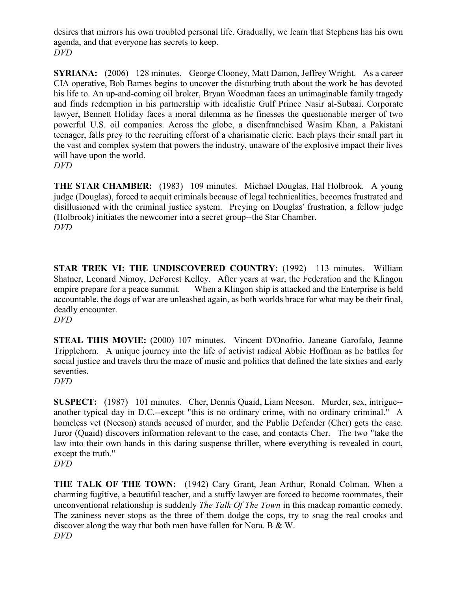desires that mirrors his own troubled personal life. Gradually, we learn that Stephens has his own agenda, and that everyone has secrets to keep. *DVD*

**SYRIANA:** (2006) 128 minutes. George Clooney, Matt Damon, Jeffrey Wright. As a career CIA operative, Bob Barnes begins to uncover the disturbing truth about the work he has devoted his life to. An up-and-coming oil broker, Bryan Woodman faces an unimaginable family tragedy and finds redemption in his partnership with idealistic Gulf Prince Nasir al-Subaai. Corporate lawyer, Bennett Holiday faces a moral dilemma as he finesses the questionable merger of two powerful U.S. oil companies. Across the globe, a disenfranchised Wasim Khan, a Pakistani teenager, falls prey to the recruiting efforst of a charismatic cleric. Each plays their small part in the vast and complex system that powers the industry, unaware of the explosive impact their lives will have upon the world. *DVD*

**THE STAR CHAMBER:** (1983) 109 minutes. Michael Douglas, Hal Holbrook. A young judge (Douglas), forced to acquit criminals because of legal technicalities, becomes frustrated and disillusioned with the criminal justice system. Preying on Douglas' frustration, a fellow judge (Holbrook) initiates the newcomer into a secret group--the Star Chamber. *DVD*

**STAR TREK VI: THE UNDISCOVERED COUNTRY:** (1992) 113 minutes. William Shatner, Leonard Nimoy, DeForest Kelley. After years at war, the Federation and the Klingon empire prepare for a peace summit. When a Klingon ship is attacked and the Enterprise is held accountable, the dogs of war are unleashed again, as both worlds brace for what may be their final, deadly encounter.

*DVD*

**STEAL THIS MOVIE:** (2000) 107 minutes. Vincent D'Onofrio, Janeane Garofalo, Jeanne Tripplehorn. A unique journey into the life of activist radical Abbie Hoffman as he battles for social justice and travels thru the maze of music and politics that defined the late sixties and early seventies.

*DVD*

**SUSPECT:** (1987) 101 minutes. Cher, Dennis Quaid, Liam Neeson. Murder, sex, intrigue- another typical day in D.C.--except "this is no ordinary crime, with no ordinary criminal." A homeless vet (Neeson) stands accused of murder, and the Public Defender (Cher) gets the case. Juror (Quaid) discovers information relevant to the case, and contacts Cher. The two "take the law into their own hands in this daring suspense thriller, where everything is revealed in court, except the truth." *DVD*

**THE TALK OF THE TOWN:** (1942) Cary Grant, Jean Arthur, Ronald Colman. When a charming fugitive, a beautiful teacher, and a stuffy lawyer are forced to become roommates, their unconventional relationship is suddenly *The Talk Of The Town* in this madcap romantic comedy. The zaniness never stops as the three of them dodge the cops, try to snag the real crooks and discover along the way that both men have fallen for Nora. B & W. *DVD*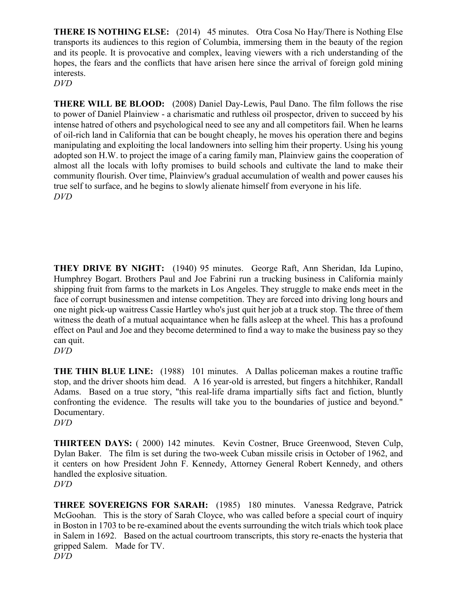**THERE IS NOTHING ELSE:** (2014) 45 minutes. Otra Cosa No Hay/There is Nothing Else transports its audiences to this region of Columbia, immersing them in the beauty of the region and its people. It is provocative and complex, leaving viewers with a rich understanding of the hopes, the fears and the conflicts that have arisen here since the arrival of foreign gold mining interests.

*DVD*

**THERE WILL BE BLOOD:** (2008) Daniel Day-Lewis, Paul Dano. The film follows the rise to power of Daniel Plainview - a charismatic and ruthless oil prospector, driven to succeed by his intense hatred of others and psychological need to see any and all competitors fail. When he learns of oil-rich land in California that can be bought cheaply, he moves his operation there and begins manipulating and exploiting the local landowners into selling him their property. Using his young adopted son H.W. to project the image of a caring family man, Plainview gains the cooperation of almost all the locals with lofty promises to build schools and cultivate the land to make their community flourish. Over time, Plainview's gradual accumulation of wealth and power causes his true self to surface, and he begins to slowly alienate himself from everyone in his life. *DVD*

**THEY DRIVE BY NIGHT:** (1940) 95 minutes. George Raft, Ann Sheridan, Ida Lupino, Humphrey Bogart. Brothers Paul and Joe Fabrini run a trucking business in California mainly shipping fruit from farms to the markets in Los Angeles. They struggle to make ends meet in the face of corrupt businessmen and intense competition. They are forced into driving long hours and one night pick-up waitress Cassie Hartley who's just quit her job at a truck stop. The three of them witness the death of a mutual acquaintance when he falls asleep at the wheel. This has a profound effect on Paul and Joe and they become determined to find a way to make the business pay so they can quit.

**THE THIN BLUE LINE:** (1988) 101 minutes. A Dallas policeman makes a routine traffic stop, and the driver shoots him dead. A 16 year-old is arrested, but fingers a hitchhiker, Randall Adams. Based on a true story, "this real-life drama impartially sifts fact and fiction, bluntly confronting the evidence. The results will take you to the boundaries of justice and beyond." Documentary.

*DVD*

**THIRTEEN DAYS:** ( 2000) 142 minutes. Kevin Costner, Bruce Greenwood, Steven Culp, Dylan Baker. The film is set during the two-week Cuban missile crisis in October of 1962, and it centers on how President John F. Kennedy, Attorney General Robert Kennedy, and others handled the explosive situation. *DVD*

**THREE SOVEREIGNS FOR SARAH:** (1985) 180 minutes. Vanessa Redgrave, Patrick McGoohan. This is the story of Sarah Cloyce, who was called before a special court of inquiry in Boston in 1703 to be re-examined about the events surrounding the witch trials which took place in Salem in 1692. Based on the actual courtroom transcripts, this story re-enacts the hysteria that gripped Salem. Made for TV. *DVD*

*DVD*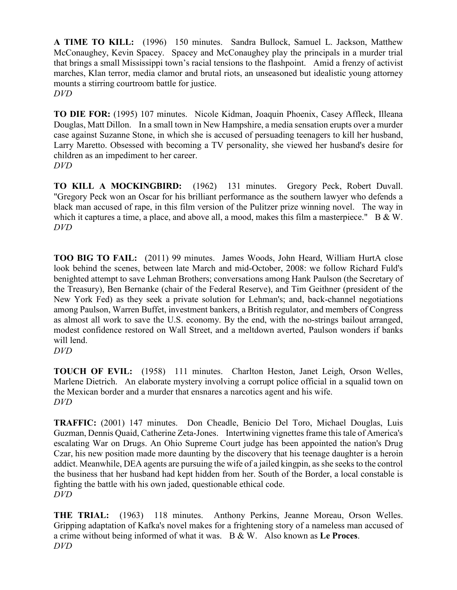**A TIME TO KILL:** (1996) 150 minutes. Sandra Bullock, Samuel L. Jackson, Matthew McConaughey, Kevin Spacey. Spacey and McConaughey play the principals in a murder trial that brings a small Mississippi town's racial tensions to the flashpoint. Amid a frenzy of activist marches, Klan terror, media clamor and brutal riots, an unseasoned but idealistic young attorney mounts a stirring courtroom battle for justice. *DVD*

**TO DIE FOR:** (1995) 107 minutes. Nicole Kidman, Joaquin Phoenix, Casey Affleck, Illeana Douglas, Matt Dillon. In a small town in New Hampshire, a media sensation erupts over a murder case against Suzanne Stone, in which she is accused of persuading teenagers to kill her husband, Larry Maretto. Obsessed with becoming a TV personality, she viewed her husband's desire for children as an impediment to her career. *DVD*

**TO KILL A MOCKINGBIRD:** (1962) 131 minutes. Gregory Peck, Robert Duvall. "Gregory Peck won an Oscar for his brilliant performance as the southern lawyer who defends a black man accused of rape, in this film version of the Pulitzer prize winning novel. The way in which it captures a time, a place, and above all, a mood, makes this film a masterpiece." B & W. *DVD*

**TOO BIG TO FAIL:** (2011) 99 minutes. James Woods, John Heard, William HurtA close look behind the scenes, between late March and mid-October, 2008: we follow Richard Fuld's benighted attempt to save Lehman Brothers; conversations among Hank Paulson (the Secretary of the Treasury), Ben Bernanke (chair of the Federal Reserve), and Tim Geithner (president of the New York Fed) as they seek a private solution for Lehman's; and, back-channel negotiations among Paulson, Warren Buffet, investment bankers, a British regulator, and members of Congress as almost all work to save the U.S. economy. By the end, with the no-strings bailout arranged, modest confidence restored on Wall Street, and a meltdown averted, Paulson wonders if banks will lend.

*DVD*

**TOUCH OF EVIL:** (1958) 111 minutes. Charlton Heston, Janet Leigh, Orson Welles, Marlene Dietrich. An elaborate mystery involving a corrupt police official in a squalid town on the Mexican border and a murder that ensnares a narcotics agent and his wife. *DVD*

**TRAFFIC:** (2001) 147 minutes. Don Cheadle, Benicio Del Toro, Michael Douglas, Luis Guzman, Dennis Quaid, Catherine Zeta-Jones. Intertwining vignettes frame this tale of America's escalating War on Drugs. An Ohio Supreme Court judge has been appointed the nation's Drug Czar, his new position made more daunting by the discovery that his teenage daughter is a heroin addict. Meanwhile, DEA agents are pursuing the wife of a jailed kingpin, as she seeks to the control the business that her husband had kept hidden from her. South of the Border, a local constable is fighting the battle with his own jaded, questionable ethical code. *DVD*

**THE TRIAL:** (1963) 118 minutes. Anthony Perkins, Jeanne Moreau, Orson Welles. Gripping adaptation of Kafka's novel makes for a frightening story of a nameless man accused of a crime without being informed of what it was. B & W. Also known as **Le Proces**. *DVD*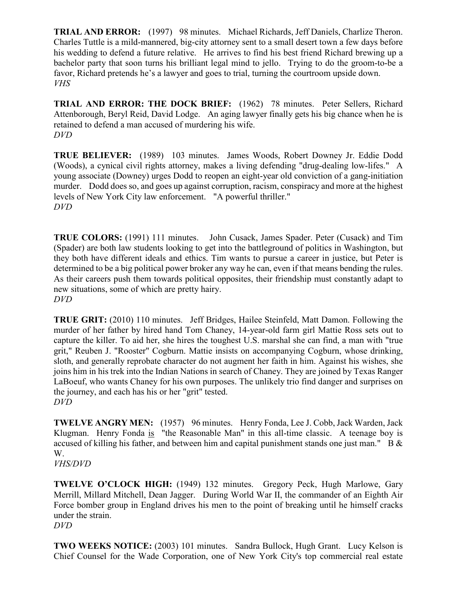**TRIAL AND ERROR:** (1997) 98 minutes. Michael Richards, Jeff Daniels, Charlize Theron. Charles Tuttle is a mild-mannered, big-city attorney sent to a small desert town a few days before his wedding to defend a future relative. He arrives to find his best friend Richard brewing up a bachelor party that soon turns his brilliant legal mind to jello. Trying to do the groom-to-be a favor, Richard pretends he's a lawyer and goes to trial, turning the courtroom upside down. *VHS*

**TRIAL AND ERROR: THE DOCK BRIEF:** (1962) 78 minutes. Peter Sellers, Richard Attenborough, Beryl Reid, David Lodge. An aging lawyer finally gets his big chance when he is retained to defend a man accused of murdering his wife. *DVD*

**TRUE BELIEVER:** (1989) 103 minutes. James Woods, Robert Downey Jr. Eddie Dodd (Woods), a cynical civil rights attorney, makes a living defending "drug-dealing low-lifes." A young associate (Downey) urges Dodd to reopen an eight-year old conviction of a gang-initiation murder. Dodd does so, and goes up against corruption, racism, conspiracy and more at the highest levels of New York City law enforcement. "A powerful thriller." *DVD*

**TRUE COLORS:** (1991) 111 minutes. John Cusack, James Spader. Peter (Cusack) and Tim (Spader) are both law students looking to get into the battleground of politics in Washington, but they both have different ideals and ethics. Tim wants to pursue a career in justice, but Peter is determined to be a big political power broker any way he can, even if that means bending the rules. As their careers push them towards political opposites, their friendship must constantly adapt to new situations, some of which are pretty hairy. *DVD*

**TRUE GRIT:** (2010) 110 minutes. Jeff Bridges, Hailee Steinfeld, Matt Damon. Following the murder of her father by hired hand Tom Chaney, 14-year-old farm girl Mattie Ross sets out to capture the killer. To aid her, she hires the toughest U.S. marshal she can find, a man with "true grit," Reuben J. "Rooster" Cogburn. Mattie insists on accompanying Cogburn, whose drinking, sloth, and generally reprobate character do not augment her faith in him. Against his wishes, she joins him in his trek into the Indian Nations in search of Chaney. They are joined by Texas Ranger LaBoeuf, who wants Chaney for his own purposes. The unlikely trio find danger and surprises on the journey, and each has his or her "grit" tested. *DVD*

**TWELVE ANGRY MEN:** (1957) 96 minutes. Henry Fonda, Lee J. Cobb, Jack Warden, Jack Klugman. Henry Fonda is "the Reasonable Man" in this all-time classic. A teenage boy is accused of killing his father, and between him and capital punishment stands one just man." B & W. *VHS/DVD*

**TWELVE O'CLOCK HIGH:** (1949) 132 minutes. Gregory Peck, Hugh Marlowe, Gary Merrill, Millard Mitchell, Dean Jagger. During World War II, the commander of an Eighth Air Force bomber group in England drives his men to the point of breaking until he himself cracks under the strain. *DVD*

**TWO WEEKS NOTICE:** (2003) 101 minutes. Sandra Bullock, Hugh Grant. Lucy Kelson is Chief Counsel for the Wade Corporation, one of New York City's top commercial real estate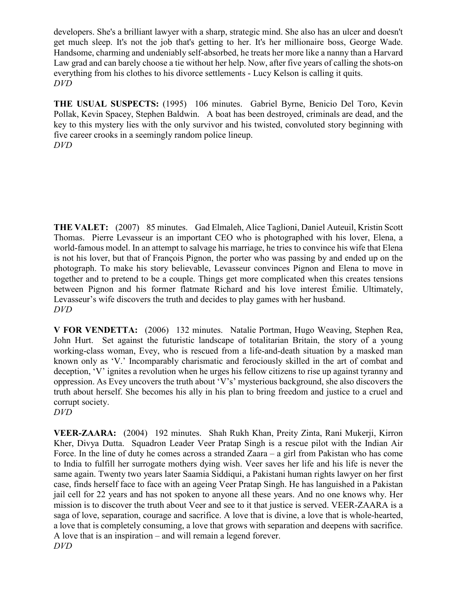developers. She's a brilliant lawyer with a sharp, strategic mind. She also has an ulcer and doesn't get much sleep. It's not the job that's getting to her. It's her millionaire boss, George Wade. Handsome, charming and undeniably self-absorbed, he treats her more like a nanny than a Harvard Law grad and can barely choose a tie without her help. Now, after five years of calling the shots-on everything from his clothes to his divorce settlements - Lucy Kelson is calling it quits. *DVD*

**THE USUAL SUSPECTS:** (1995) 106 minutes. Gabriel Byrne, Benicio Del Toro, Kevin Pollak, Kevin Spacey, Stephen Baldwin. A boat has been destroyed, criminals are dead, and the key to this mystery lies with the only survivor and his twisted, convoluted story beginning with five career crooks in a seemingly random police lineup. *DVD*

**THE VALET:** (2007) 85 minutes. Gad Elmaleh, Alice Taglioni, Daniel Auteuil, Kristin Scott Thomas. Pierre Levasseur is an important CEO who is photographed with his lover, Elena, a world-famous model. In an attempt to salvage his marriage, he tries to convince his wife that Elena is not his lover, but that of François Pignon, the porter who was passing by and ended up on the photograph. To make his story believable, Levasseur convinces Pignon and Elena to move in together and to pretend to be a couple. Things get more complicated when this creates tensions between Pignon and his former flatmate Richard and his love interest Émilie. Ultimately, Levasseur's wife discovers the truth and decides to play games with her husband. *DVD*

**V FOR VENDETTA:** (2006) 132 minutes. Natalie Portman, Hugo Weaving, Stephen Rea, John Hurt. Set against the futuristic landscape of totalitarian Britain, the story of a young working-class woman, Evey, who is rescued from a life-and-death situation by a masked man known only as 'V.' Incomparably charismatic and ferociously skilled in the art of combat and deception, 'V' ignites a revolution when he urges his fellow citizens to rise up against tyranny and oppression. As Evey uncovers the truth about 'V's' mysterious background, she also discovers the truth about herself. She becomes his ally in his plan to bring freedom and justice to a cruel and corrupt society.

*DVD*

**VEER-ZAARA:** (2004) 192 minutes. Shah Rukh Khan, Preity Zinta, Rani Mukerji, Kirron Kher, Divya Dutta. Squadron Leader Veer Pratap Singh is a rescue pilot with the Indian Air Force. In the line of duty he comes across a stranded Zaara – a girl from Pakistan who has come to India to fulfill her surrogate mothers dying wish. Veer saves her life and his life is never the same again. Twenty two years later Saamia Siddiqui, a Pakistani human rights lawyer on her first case, finds herself face to face with an ageing Veer Pratap Singh. He has languished in a Pakistan jail cell for 22 years and has not spoken to anyone all these years. And no one knows why. Her mission is to discover the truth about Veer and see to it that justice is served. VEER-ZAARA is a saga of love, separation, courage and sacrifice. A love that is divine, a love that is whole-hearted, a love that is completely consuming, a love that grows with separation and deepens with sacrifice. A love that is an inspiration – and will remain a legend forever. *DVD*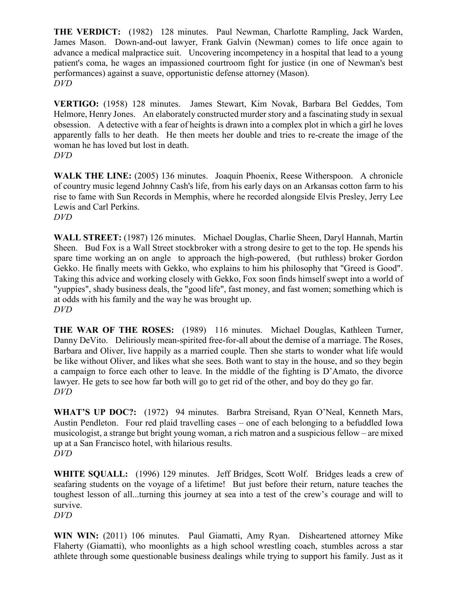**THE VERDICT:** (1982) 128 minutes. Paul Newman, Charlotte Rampling, Jack Warden, James Mason. Down-and-out lawyer, Frank Galvin (Newman) comes to life once again to advance a medical malpractice suit. Uncovering incompetency in a hospital that lead to a young patient's coma, he wages an impassioned courtroom fight for justice (in one of Newman's best performances) against a suave, opportunistic defense attorney (Mason). *DVD*

**VERTIGO:** (1958) 128 minutes. James Stewart, Kim Novak, Barbara Bel Geddes, Tom Helmore, Henry Jones. An elaborately constructed murder story and a fascinating study in sexual obsession. A detective with a fear of heights is drawn into a complex plot in which a girl he loves apparently falls to her death. He then meets her double and tries to re-create the image of the woman he has loved but lost in death. *DVD*

WALK THE LINE: (2005) 136 minutes. Joaquin Phoenix, Reese Witherspoon. A chronicle of country music legend Johnny Cash's life, from his early days on an Arkansas cotton farm to his rise to fame with Sun Records in Memphis, where he recorded alongside Elvis Presley, Jerry Lee Lewis and Carl Perkins. *DVD*

**WALL STREET:** (1987) 126 minutes. Michael Douglas, Charlie Sheen, Daryl Hannah, Martin Sheen. Bud Fox is a Wall Street stockbroker with a strong desire to get to the top. He spends his spare time working an on angle to approach the high-powered, (but ruthless) broker Gordon Gekko. He finally meets with Gekko, who explains to him his philosophy that "Greed is Good". Taking this advice and working closely with Gekko, Fox soon finds himself swept into a world of "yuppies", shady business deals, the "good life", fast money, and fast women; something which is at odds with his family and the way he was brought up. *DVD*

**THE WAR OF THE ROSES:** (1989) 116 minutes. Michael Douglas, Kathleen Turner, Danny DeVito. Deliriously mean-spirited free-for-all about the demise of a marriage. The Roses, Barbara and Oliver, live happily as a married couple. Then she starts to wonder what life would be like without Oliver, and likes what she sees. Both want to stay in the house, and so they begin a campaign to force each other to leave. In the middle of the fighting is D'Amato, the divorce lawyer. He gets to see how far both will go to get rid of the other, and boy do they go far. *DVD*

**WHAT'S UP DOC?:** (1972) 94 minutes. Barbra Streisand, Ryan O'Neal, Kenneth Mars, Austin Pendleton. Four red plaid travelling cases – one of each belonging to a befuddled Iowa musicologist, a strange but bright young woman, a rich matron and a suspicious fellow – are mixed up at a San Francisco hotel, with hilarious results. *DVD*

**WHITE SQUALL:** (1996) 129 minutes. Jeff Bridges, Scott Wolf. Bridges leads a crew of seafaring students on the voyage of a lifetime! But just before their return, nature teaches the toughest lesson of all...turning this journey at sea into a test of the crew's courage and will to survive. *DVD*

**WIN WIN:** (2011) 106 minutes. Paul Giamatti, Amy Ryan. Disheartened attorney Mike Flaherty (Giamatti), who moonlights as a high school wrestling coach, stumbles across a star athlete through some questionable business dealings while trying to support his family. Just as it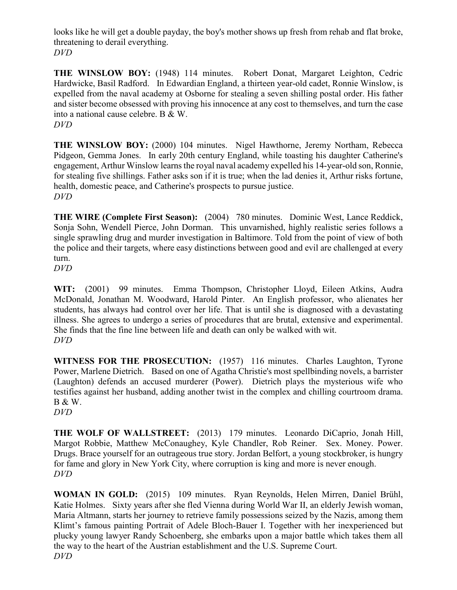looks like he will get a double payday, the boy's mother shows up fresh from rehab and flat broke, threatening to derail everything. *DVD*

**THE WINSLOW BOY:** (1948) 114 minutes. Robert Donat, Margaret Leighton, Cedric Hardwicke, Basil Radford. In Edwardian England, a thirteen year-old cadet, Ronnie Winslow, is expelled from the naval academy at Osborne for stealing a seven shilling postal order. His father and sister become obsessed with proving his innocence at any cost to themselves, and turn the case into a national cause celebre. B & W. *DVD*

**THE WINSLOW BOY:** (2000) 104 minutes. Nigel Hawthorne, Jeremy Northam, Rebecca Pidgeon, Gemma Jones. In early 20th century England, while toasting his daughter Catherine's engagement, Arthur Winslow learns the royal naval academy expelled his 14-year-old son, Ronnie, for stealing five shillings. Father asks son if it is true; when the lad denies it, Arthur risks fortune, health, domestic peace, and Catherine's prospects to pursue justice. *DVD*

**THE WIRE (Complete First Season):** (2004) 780 minutes. Dominic West, Lance Reddick, Sonja Sohn, Wendell Pierce, John Dorman. This unvarnished, highly realistic series follows a single sprawling drug and murder investigation in Baltimore. Told from the point of view of both the police and their targets, where easy distinctions between good and evil are challenged at every turn.

*DVD*

**WIT:** (2001) 99 minutes. Emma Thompson, Christopher Lloyd, Eileen Atkins, Audra McDonald, Jonathan M. Woodward, Harold Pinter. An English professor, who alienates her students, has always had control over her life. That is until she is diagnosed with a devastating illness. She agrees to undergo a series of procedures that are brutal, extensive and experimental. She finds that the fine line between life and death can only be walked with wit. *DVD*

WITNESS FOR THE PROSECUTION: (1957) 116 minutes. Charles Laughton, Tyrone Power, Marlene Dietrich. Based on one of Agatha Christie's most spellbinding novels, a barrister (Laughton) defends an accused murderer (Power). Dietrich plays the mysterious wife who testifies against her husband, adding another twist in the complex and chilling courtroom drama. B & W.

*DVD*

**THE WOLF OF WALLSTREET:** (2013) 179 minutes. Leonardo DiCaprio, Jonah Hill, Margot Robbie, Matthew McConaughey, Kyle Chandler, Rob Reiner. Sex. Money. Power. Drugs. Brace yourself for an outrageous true story. Jordan Belfort, a young stockbroker, is hungry for fame and glory in New York City, where corruption is king and more is never enough. *DVD*

**WOMAN IN GOLD:** (2015) 109 minutes. Ryan Reynolds, Helen Mirren, Daniel Brühl, Katie Holmes. Sixty years after she fled Vienna during World War II, an elderly Jewish woman, Maria Altmann, starts her journey to retrieve family possessions seized by the Nazis, among them Klimt's famous painting Portrait of Adele Bloch-Bauer I. Together with her inexperienced but plucky young lawyer Randy Schoenberg, she embarks upon a major battle which takes them all the way to the heart of the Austrian establishment and the U.S. Supreme Court. *DVD*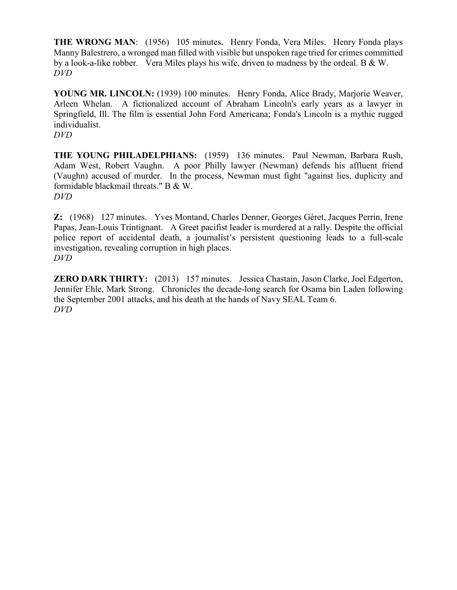**THE WRONG MAN:** (1956) 105 minutes. Henry Fonda, Vera Miles. Henry Fonda plays Manny Balestrero, a wronged man filled with visible but unspoken rage tried for crimes committed by a look-a-like robber. Vera Miles plays his wife, driven to madness by the ordeal. B & W. *DVD*

**YOUNG MR. LINCOLN:** (1939) 100 minutes. Henry Fonda, Alice Brady, Marjorie Weaver, Arleen Whelan. A fictionalized account of Abraham Lincoln's early years as a lawyer in Springfield, Ill. The film is essential John Ford Americana; Fonda's Lincoln is a mythic rugged individualist.

*DVD*

**THE YOUNG PHILADELPHIANS:** (1959) 136 minutes. Paul Newman, Barbara Rush, Adam West, Robert Vaughn. A poor Philly lawyer (Newman) defends his affluent friend (Vaughn) accused of murder. In the process, Newman must fight "against lies, duplicity and formidable blackmail threats." B & W. *DVD*

**Z:** (1968) 127 minutes. Yves Montand, Charles Denner, Georges Géret, Jacques Perrin, Irene Papas, Jean-Louis Trintignant. A Greet pacifist leader is murdered at a rally. Despite the official police report of accidental death, a journalist's persistent questioning leads to a full-scale investigation, revealing corruption in high places. *DVD*

**ZERO DARK THIRTY:** (2013) 157 minutes. Jessica Chastain, Jason Clarke, Joel Edgerton, Jennifer Ehle, Mark Strong. Chronicles the decade-long search for Osama bin Laden following the September 2001 attacks, and his death at the hands of Navy SEAL Team 6. *DVD*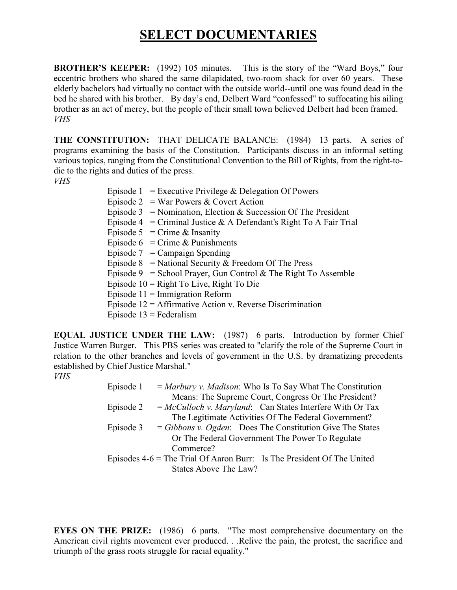# **SELECT DOCUMENTARIES**

**BROTHER'S KEEPER:** (1992) 105 minutes. This is the story of the "Ward Boys," four eccentric brothers who shared the same dilapidated, two-room shack for over 60 years. These elderly bachelors had virtually no contact with the outside world--until one was found dead in the bed he shared with his brother. By day's end, Delbert Ward "confessed" to suffocating his ailing brother as an act of mercy, but the people of their small town believed Delbert had been framed. *VHS*

**THE CONSTITUTION:** THAT DELICATE BALANCE: (1984) 13 parts. A series of programs examining the basis of the Constitution. Participants discuss in an informal setting various topics, ranging from the Constitutional Convention to the Bill of Rights, from the right-todie to the rights and duties of the press.

*VHS*

| Episode $1 =$ Executive Privilege & Delegation Of Powers           |
|--------------------------------------------------------------------|
| Episode 2 = War Powers & Covert Action                             |
| Episode 3 = Nomination, Election & Succession Of The President     |
| Episode 4 = Criminal Justice & A Defendant's Right To A Fair Trial |
| Episode 5 = Crime & Insanity                                       |
| Episode $6 =$ Crime & Punishments                                  |
| Episode $7 =$ Campaign Spending                                    |
| Episode 8 = National Security & Freedom Of The Press               |
| Episode 9 = School Prayer, Gun Control & The Right To Assemble     |
| Episode $10 =$ Right To Live, Right To Die                         |
| Episode $11 =$ Immigration Reform                                  |
| Episode $12 =$ Affirmative Action v. Reverse Discrimination        |
| Episode $13$ = Federalism                                          |
|                                                                    |

**EQUAL JUSTICE UNDER THE LAW:** (1987) 6 parts. Introduction by former Chief Justice Warren Burger. This PBS series was created to "clarify the role of the Supreme Court in relation to the other branches and levels of government in the U.S. by dramatizing precedents established by Chief Justice Marshal."

#### *VHS*

| Episode 1                                                                | $=$ <i>Marbury v. Madison:</i> Who Is To Say What The Constitution |  |
|--------------------------------------------------------------------------|--------------------------------------------------------------------|--|
|                                                                          | Means: The Supreme Court, Congress Or The President?               |  |
| Episode 2                                                                | $= McCulloch v. Maryland:$ Can States Interfere With Or Tax        |  |
|                                                                          | The Legitimate Activities Of The Federal Government?               |  |
| Episode 3                                                                | $= Gibbons$ v. Ogden: Does The Constitution Give The States        |  |
|                                                                          | Or The Federal Government The Power To Regulate                    |  |
| Commerce?                                                                |                                                                    |  |
| Episodes $4-6$ = The Trial Of Aaron Burr: Is The President Of The United |                                                                    |  |
|                                                                          | States Above The Law?                                              |  |

**EYES ON THE PRIZE:** (1986) 6 parts. "The most comprehensive documentary on the American civil rights movement ever produced. . .Relive the pain, the protest, the sacrifice and triumph of the grass roots struggle for racial equality."